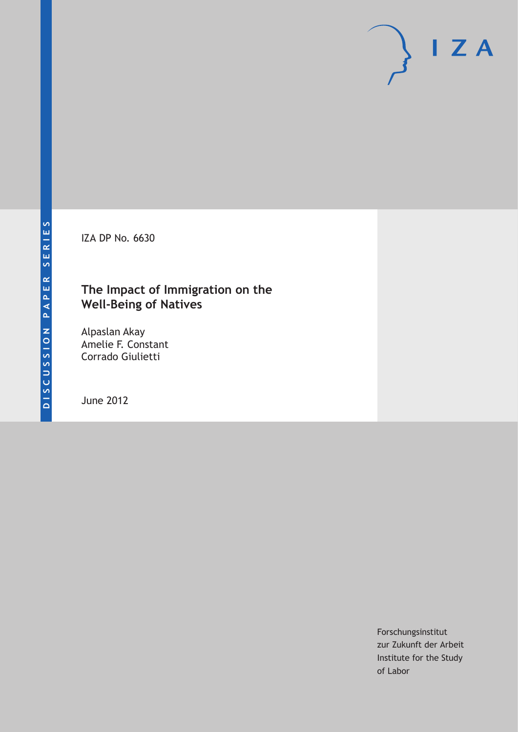IZA DP No. 6630

## **The Impact of Immigration on the Well-Being of Natives**

Alpaslan Akay Amelie F. Constant Corrado Giulietti

June 2012

Forschungsinstitut zur Zukunft der Arbeit Institute for the Study of Labor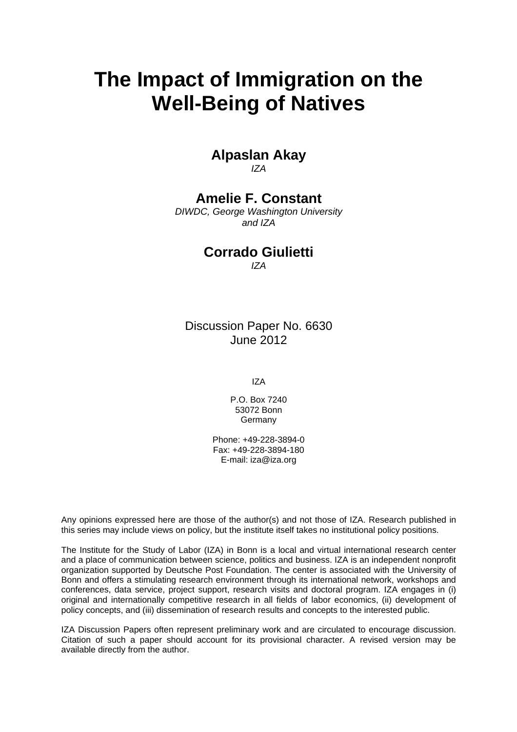# **The Impact of Immigration on the Well-Being of Natives**

### **Alpaslan Akay**  *IZA*

# **Amelie F. Constant**

*DIWDC, George Washington University and IZA* 

### **Corrado Giulietti**

*IZA* 

Discussion Paper No. 6630 June 2012

IZA

P.O. Box 7240 53072 Bonn Germany

Phone: +49-228-3894-0 Fax: +49-228-3894-180 E-mail: [iza@iza.org](mailto:iza@iza.org)

Any opinions expressed here are those of the author(s) and not those of IZA. Research published in this series may include views on policy, but the institute itself takes no institutional policy positions.

The Institute for the Study of Labor (IZA) in Bonn is a local and virtual international research center and a place of communication between science, politics and business. IZA is an independent nonprofit organization supported by Deutsche Post Foundation. The center is associated with the University of Bonn and offers a stimulating research environment through its international network, workshops and conferences, data service, project support, research visits and doctoral program. IZA engages in (i) original and internationally competitive research in all fields of labor economics, (ii) development of policy concepts, and (iii) dissemination of research results and concepts to the interested public.

IZA Discussion Papers often represent preliminary work and are circulated to encourage discussion. Citation of such a paper should account for its provisional character. A revised version may be available directly from the author.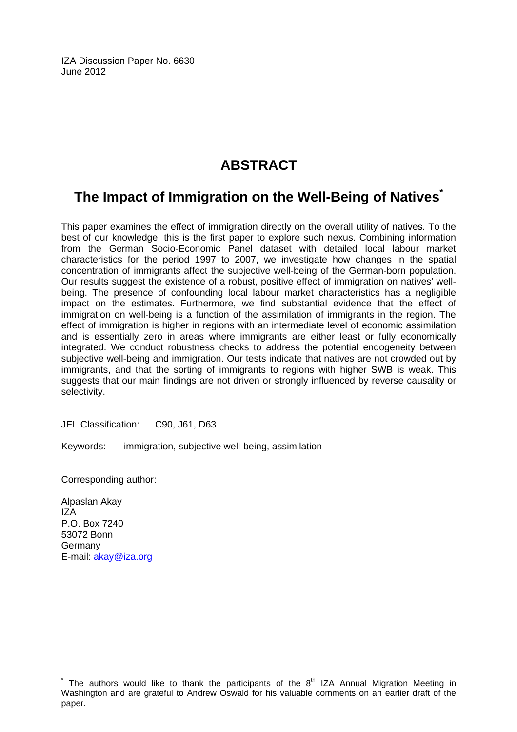IZA Discussion Paper No. 6630 June 2012

# **ABSTRACT**

# **The Impact of Immigration on the Well-Being of Natives[\\*](#page-2-0)**

This paper examines the effect of immigration directly on the overall utility of natives. To the best of our knowledge, this is the first paper to explore such nexus. Combining information from the German Socio-Economic Panel dataset with detailed local labour market characteristics for the period 1997 to 2007, we investigate how changes in the spatial concentration of immigrants affect the subjective well-being of the German-born population. Our results suggest the existence of a robust, positive effect of immigration on natives' wellbeing. The presence of confounding local labour market characteristics has a negligible impact on the estimates. Furthermore, we find substantial evidence that the effect of immigration on well-being is a function of the assimilation of immigrants in the region. The effect of immigration is higher in regions with an intermediate level of economic assimilation and is essentially zero in areas where immigrants are either least or fully economically integrated. We conduct robustness checks to address the potential endogeneity between subjective well-being and immigration. Our tests indicate that natives are not crowded out by immigrants, and that the sorting of immigrants to regions with higher SWB is weak. This suggests that our main findings are not driven or strongly influenced by reverse causality or selectivity.

JEL Classification: C90, J61, D63

Keywords: immigration, subjective well-being, assimilation

Corresponding author:

Alpaslan Akay IZA P.O. Box 7240 53072 Bonn Germany E-mail: [akay@iza.org](mailto:akay@iza.org)

 $\overline{a}$ 

<span id="page-2-0"></span><sup>\*</sup> The authors would like to thank the participants of the  $8<sup>th</sup> IZA$  Annual Migration Meeting in Washington and are grateful to Andrew Oswald for his valuable comments on an earlier draft of the paper.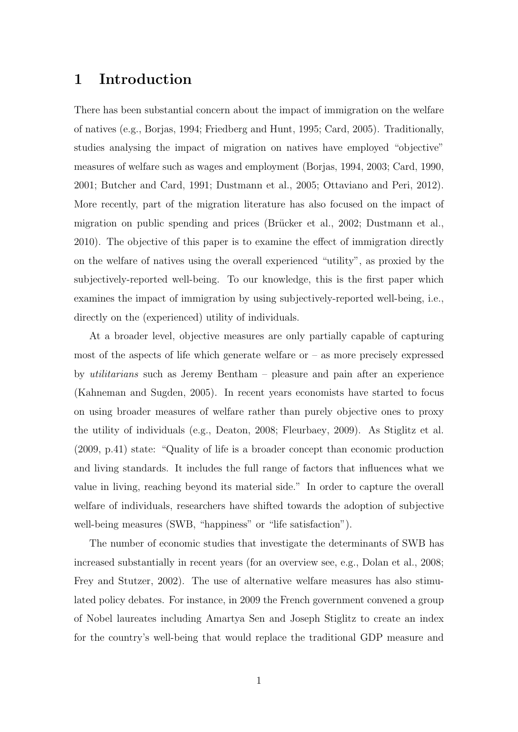### 1 Introduction

There has been substantial concern about the impact of immigration on the welfare of natives (e.g., [Borjas,](#page--1-0) [1994;](#page--1-0) [Friedberg and Hunt,](#page--1-1) [1995;](#page--1-1) [Card,](#page--1-2) [2005\)](#page--1-2). Traditionally, studies analysing the impact of migration on natives have employed "objective" measures of welfare such as wages and employment [\(Borjas,](#page--1-0) [1994,](#page--1-0) [2003;](#page--1-3) [Card,](#page--1-4) [1990,](#page--1-4) [2001;](#page--1-5) [Butcher and Card,](#page--1-6) [1991;](#page--1-6) [Dustmann et al.,](#page--1-4) [2005;](#page--1-4) [Ottaviano and Peri,](#page--1-7) [2012\)](#page--1-7). More recently, part of the migration literature has also focused on the impact of migration on public spending and prices (Brücker et al., [2002;](#page--1-8) [Dustmann et al.,](#page--1-5) [2010\)](#page--1-5). The objective of this paper is to examine the effect of immigration directly on the welfare of natives using the overall experienced "utility", as proxied by the subjectively-reported well-being. To our knowledge, this is the first paper which examines the impact of immigration by using subjectively-reported well-being, i.e., directly on the (experienced) utility of individuals.

At a broader level, objective measures are only partially capable of capturing most of the aspects of life which generate welfare or  $-$  as more precisely expressed by utilitarians such as Jeremy Bentham – pleasure and pain after an experience [\(Kahneman and Sugden,](#page--1-9) [2005\)](#page--1-9). In recent years economists have started to focus on using broader measures of welfare rather than purely objective ones to proxy the utility of individuals (e.g., [Deaton,](#page--1-10) [2008;](#page--1-10) [Fleurbaey,](#page--1-11) [2009\)](#page--1-11). As [Stiglitz et al.](#page--1-12) [\(2009,](#page--1-12) p.41) state: "Quality of life is a broader concept than economic production and living standards. It includes the full range of factors that influences what we value in living, reaching beyond its material side." In order to capture the overall welfare of individuals, researchers have shifted towards the adoption of subjective well-being measures (SWB, "happiness" or "life satisfaction").

The number of economic studies that investigate the determinants of SWB has increased substantially in recent years (for an overview see, e.g., [Dolan et al.,](#page--1-13) [2008;](#page--1-13) [Frey and Stutzer,](#page--1-14) [2002\)](#page--1-14). The use of alternative welfare measures has also stimulated policy debates. For instance, in 2009 the French government convened a group of Nobel laureates including Amartya Sen and Joseph Stiglitz to create an index for the country's well-being that would replace the traditional GDP measure and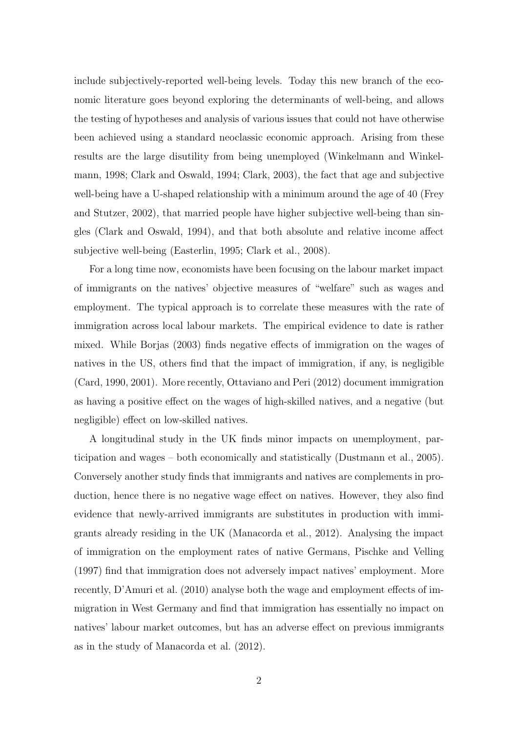include subjectively-reported well-being levels. Today this new branch of the economic literature goes beyond exploring the determinants of well-being, and allows the testing of hypotheses and analysis of various issues that could not have otherwise been achieved using a standard neoclassic economic approach. Arising from these results are the large disutility from being unemployed [\(Winkelmann and Winkel](#page--1-15)[mann,](#page--1-15) [1998;](#page--1-15) [Clark and Oswald,](#page--1-16) [1994;](#page--1-16) [Clark,](#page--1-17) [2003\)](#page--1-17), the fact that age and subjective well-being have a U-shaped relationship with a minimum around the age of 40 [\(Frey](#page--1-14) [and Stutzer,](#page--1-14) [2002\)](#page--1-14), that married people have higher subjective well-being than singles [\(Clark and Oswald,](#page--1-16) [1994\)](#page--1-16), and that both absolute and relative income affect subjective well-being [\(Easterlin,](#page--1-2) [1995;](#page--1-2) [Clark et al.,](#page--1-18) [2008\)](#page--1-18).

For a long time now, economists have been focusing on the labour market impact of immigrants on the natives' objective measures of "welfare" such as wages and employment. The typical approach is to correlate these measures with the rate of immigration across local labour markets. The empirical evidence to date is rather mixed. While [Borjas](#page--1-3) [\(2003\)](#page--1-3) finds negative effects of immigration on the wages of natives in the US, others find that the impact of immigration, if any, is negligible [\(Card,](#page--1-4) [1990,](#page--1-4) [2001\)](#page--1-5). More recently, [Ottaviano and Peri](#page--1-7) [\(2012\)](#page--1-7) document immigration as having a positive effect on the wages of high-skilled natives, and a negative (but negligible) effect on low-skilled natives.

A longitudinal study in the UK finds minor impacts on unemployment, participation and wages – both economically and statistically [\(Dustmann et al.,](#page--1-4) [2005\)](#page--1-4). Conversely another study finds that immigrants and natives are complements in production, hence there is no negative wage effect on natives. However, they also find evidence that newly-arrived immigrants are substitutes in production with immigrants already residing in the UK [\(Manacorda et al.,](#page--1-2) [2012\)](#page--1-2). Analysing the impact of immigration on the employment rates of native Germans, [Pischke and Velling](#page--1-19) [\(1997\)](#page--1-19) find that immigration does not adversely impact natives' employment. More recently, [D'Amuri et al.](#page--1-20) [\(2010\)](#page--1-20) analyse both the wage and employment effects of immigration in West Germany and find that immigration has essentially no impact on natives' labour market outcomes, but has an adverse effect on previous immigrants as in the study of [Manacorda et al.](#page--1-2) [\(2012\)](#page--1-2).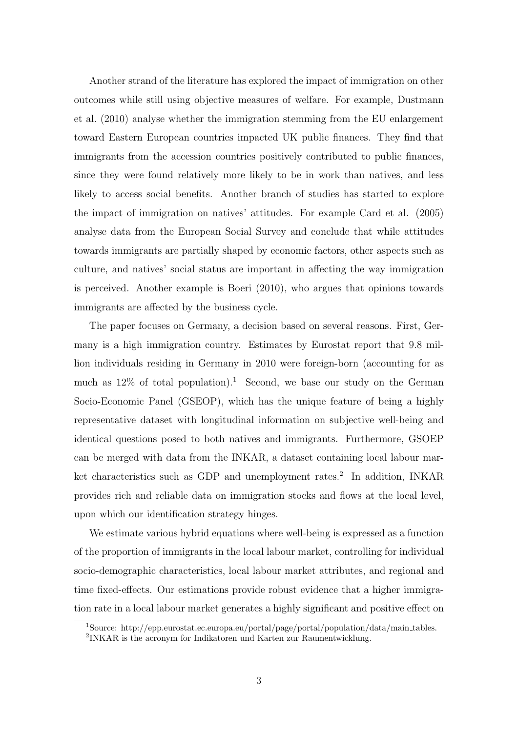Another strand of the literature has explored the impact of immigration on other outcomes while still using objective measures of welfare. For example, [Dustmann](#page--1-5) [et al.](#page--1-5) [\(2010\)](#page--1-5) analyse whether the immigration stemming from the EU enlargement toward Eastern European countries impacted UK public finances. They find that immigrants from the accession countries positively contributed to public finances, since they were found relatively more likely to be in work than natives, and less likely to access social benefits. Another branch of studies has started to explore the impact of immigration on natives' attitudes. For example Card et al. (2005) analyse data from the European Social Survey and conclude that while attitudes towards immigrants are partially shaped by economic factors, other aspects such as culture, and natives' social status are important in affecting the way immigration is perceived. Another example is [Boeri](#page--1-21) [\(2010\)](#page--1-21), who argues that opinions towards immigrants are affected by the business cycle.

The paper focuses on Germany, a decision based on several reasons. First, Germany is a high immigration country. Estimates by Eurostat report that 9.8 million individuals residing in Germany in 2010 were foreign-born (accounting for as much as  $12\%$  $12\%$  of total population).<sup>1</sup> Second, we base our study on the German Socio-Economic Panel (GSEOP), which has the unique feature of being a highly representative dataset with longitudinal information on subjective well-being and identical questions posed to both natives and immigrants. Furthermore, GSOEP can be merged with data from the INKAR, a dataset containing local labour mar-ket characteristics such as GDP and unemployment rates.<sup>[2](#page-5-1)</sup> In addition, INKAR provides rich and reliable data on immigration stocks and flows at the local level, upon which our identification strategy hinges.

We estimate various hybrid equations where well-being is expressed as a function of the proportion of immigrants in the local labour market, controlling for individual socio-demographic characteristics, local labour market attributes, and regional and time fixed-effects. Our estimations provide robust evidence that a higher immigration rate in a local labour market generates a highly significant and positive effect on

<span id="page-5-1"></span><span id="page-5-0"></span><sup>1</sup>Source: http://epp.eurostat.ec.europa.eu/portal/page/portal/population/data/main tables. 2 INKAR is the acronym for Indikatoren und Karten zur Raumentwicklung.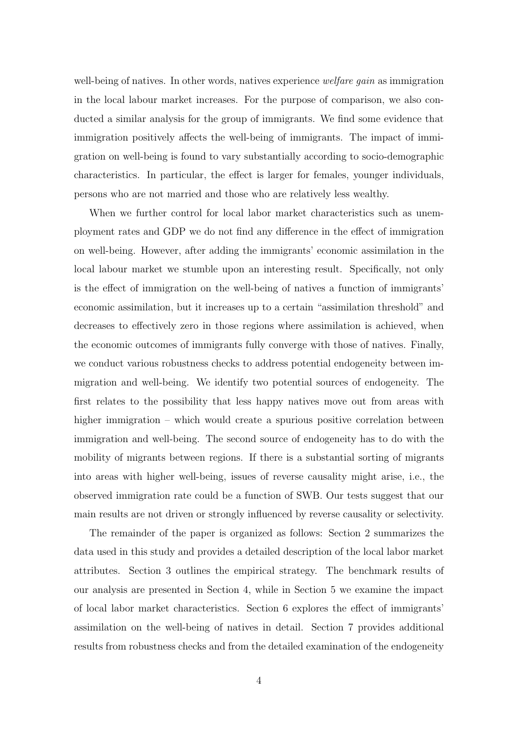well-being of natives. In other words, natives experience *welfare qain* as immigration in the local labour market increases. For the purpose of comparison, we also conducted a similar analysis for the group of immigrants. We find some evidence that immigration positively affects the well-being of immigrants. The impact of immigration on well-being is found to vary substantially according to socio-demographic characteristics. In particular, the effect is larger for females, younger individuals, persons who are not married and those who are relatively less wealthy.

When we further control for local labor market characteristics such as unemployment rates and GDP we do not find any difference in the effect of immigration on well-being. However, after adding the immigrants' economic assimilation in the local labour market we stumble upon an interesting result. Specifically, not only is the effect of immigration on the well-being of natives a function of immigrants' economic assimilation, but it increases up to a certain "assimilation threshold" and decreases to effectively zero in those regions where assimilation is achieved, when the economic outcomes of immigrants fully converge with those of natives. Finally, we conduct various robustness checks to address potential endogeneity between immigration and well-being. We identify two potential sources of endogeneity. The first relates to the possibility that less happy natives move out from areas with higher immigration – which would create a spurious positive correlation between immigration and well-being. The second source of endogeneity has to do with the mobility of migrants between regions. If there is a substantial sorting of migrants into areas with higher well-being, issues of reverse causality might arise, i.e., the observed immigration rate could be a function of SWB. Our tests suggest that our main results are not driven or strongly influenced by reverse causality or selectivity.

The remainder of the paper is organized as follows: Section 2 summarizes the data used in this study and provides a detailed description of the local labor market attributes. Section 3 outlines the empirical strategy. The benchmark results of our analysis are presented in Section 4, while in Section 5 we examine the impact of local labor market characteristics. Section 6 explores the effect of immigrants' assimilation on the well-being of natives in detail. Section 7 provides additional results from robustness checks and from the detailed examination of the endogeneity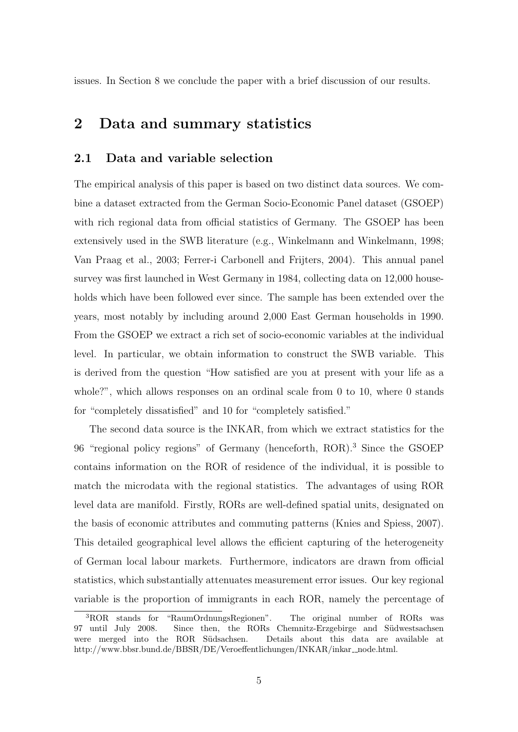issues. In Section 8 we conclude the paper with a brief discussion of our results.

### 2 Data and summary statistics

### 2.1 Data and variable selection

The empirical analysis of this paper is based on two distinct data sources. We combine a dataset extracted from the German Socio-Economic Panel dataset (GSOEP) with rich regional data from official statistics of Germany. The GSOEP has been extensively used in the SWB literature (e.g., [Winkelmann and Winkelmann,](#page--1-15) [1998;](#page--1-15) [Van Praag et al.,](#page--1-1) [2003;](#page--1-1) [Ferrer-i Carbonell and Frijters,](#page--1-21) [2004\)](#page--1-21). This annual panel survey was first launched in West Germany in 1984, collecting data on 12,000 households which have been followed ever since. The sample has been extended over the years, most notably by including around 2,000 East German households in 1990. From the GSOEP we extract a rich set of socio-economic variables at the individual level. In particular, we obtain information to construct the SWB variable. This is derived from the question "How satisfied are you at present with your life as a whole?", which allows responses on an ordinal scale from 0 to 10, where 0 stands for "completely dissatisfied" and 10 for "completely satisfied."

The second data source is the INKAR, from which we extract statistics for the 96 "regional policy regions" of Germany (henceforth, ROR).<sup>[3](#page-7-0)</sup> Since the GSOEP contains information on the ROR of residence of the individual, it is possible to match the microdata with the regional statistics. The advantages of using ROR level data are manifold. Firstly, RORs are well-defined spatial units, designated on the basis of economic attributes and commuting patterns [\(Knies and Spiess,](#page--1-22) [2007\)](#page--1-22). This detailed geographical level allows the efficient capturing of the heterogeneity of German local labour markets. Furthermore, indicators are drawn from official statistics, which substantially attenuates measurement error issues. Our key regional variable is the proportion of immigrants in each ROR, namely the percentage of

<span id="page-7-0"></span><sup>3</sup>ROR stands for "RaumOrdnungsRegionen". The original number of RORs was 97 until July 2008. Since then, the RORs Chemnitz-Erzgebirge and Südwestsachsen were merged into the ROR Südsachsen. Details about this data are available at http://www.bbsr.bund.de/BBSR/DE/Veroeffentlichungen/INKAR/inkar\_node.html.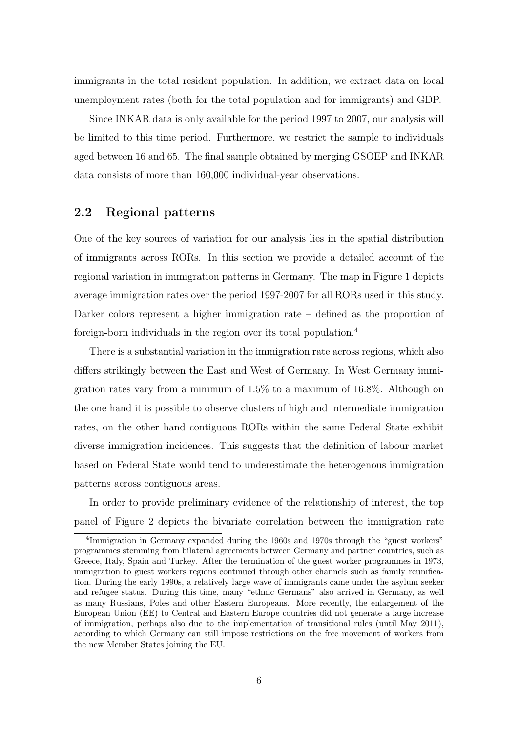immigrants in the total resident population. In addition, we extract data on local unemployment rates (both for the total population and for immigrants) and GDP.

Since INKAR data is only available for the period 1997 to 2007, our analysis will be limited to this time period. Furthermore, we restrict the sample to individuals aged between 16 and 65. The final sample obtained by merging GSOEP and INKAR data consists of more than 160,000 individual-year observations.

### 2.2 Regional patterns

One of the key sources of variation for our analysis lies in the spatial distribution of immigrants across RORs. In this section we provide a detailed account of the regional variation in immigration patterns in Germany. The map in Figure [1](#page-9-0) depicts average immigration rates over the period 1997-2007 for all RORs used in this study. Darker colors represent a higher immigration rate – defined as the proportion of foreign-born individuals in the region over its total population.[4](#page-8-0)

There is a substantial variation in the immigration rate across regions, which also differs strikingly between the East and West of Germany. In West Germany immigration rates vary from a minimum of 1.5% to a maximum of 16.8%. Although on the one hand it is possible to observe clusters of high and intermediate immigration rates, on the other hand contiguous RORs within the same Federal State exhibit diverse immigration incidences. This suggests that the definition of labour market based on Federal State would tend to underestimate the heterogenous immigration patterns across contiguous areas.

In order to provide preliminary evidence of the relationship of interest, the top panel of Figure 2 depicts the bivariate correlation between the immigration rate

<span id="page-8-0"></span><sup>&</sup>lt;sup>4</sup>Immigration in Germany expanded during the 1960s and 1970s through the "guest workers" programmes stemming from bilateral agreements between Germany and partner countries, such as Greece, Italy, Spain and Turkey. After the termination of the guest worker programmes in 1973, immigration to guest workers regions continued through other channels such as family reunification. During the early 1990s, a relatively large wave of immigrants came under the asylum seeker and refugee status. During this time, many "ethnic Germans" also arrived in Germany, as well as many Russians, Poles and other Eastern Europeans. More recently, the enlargement of the European Union (EE) to Central and Eastern Europe countries did not generate a large increase of immigration, perhaps also due to the implementation of transitional rules (until May 2011), according to which Germany can still impose restrictions on the free movement of workers from the new Member States joining the EU.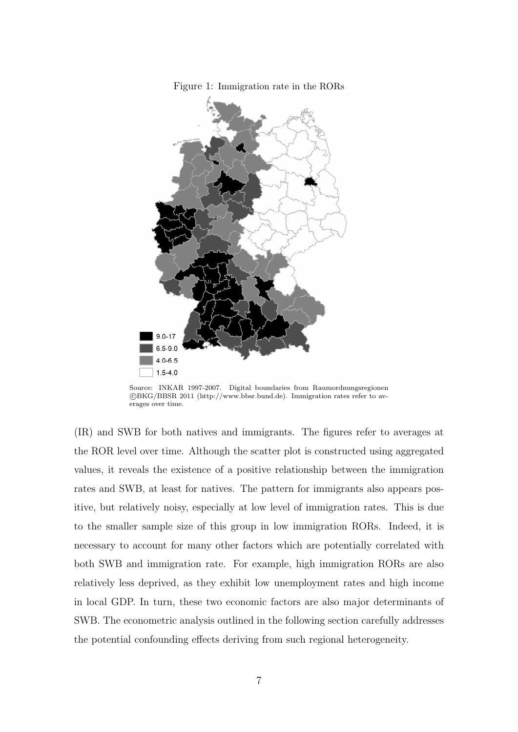<span id="page-9-0"></span>Figure 1: Immigration rate in the RORs



Source: INKAR 1997-2007. Digital boundaries from Raumordnungsregionen c BKG/BBSR 2011 [\(http://www.bbsr.bund.de\)](http://www.bbsr.bund.de). Immigration rates refer to averages over time.

(IR) and SWB for both natives and immigrants. The figures refer to averages at the ROR level over time. Although the scatter plot is constructed using aggregated values, it reveals the existence of a positive relationship between the immigration rates and SWB, at least for natives. The pattern for immigrants also appears positive, but relatively noisy, especially at low level of immigration rates. This is due to the smaller sample size of this group in low immigration RORs. Indeed, it is necessary to account for many other factors which are potentially correlated with both SWB and immigration rate. For example, high immigration RORs are also relatively less deprived, as they exhibit low unemployment rates and high income in local GDP. In turn, these two economic factors are also major determinants of SWB. The econometric analysis outlined in the following section carefully addresses the potential confounding effects deriving from such regional heterogeneity.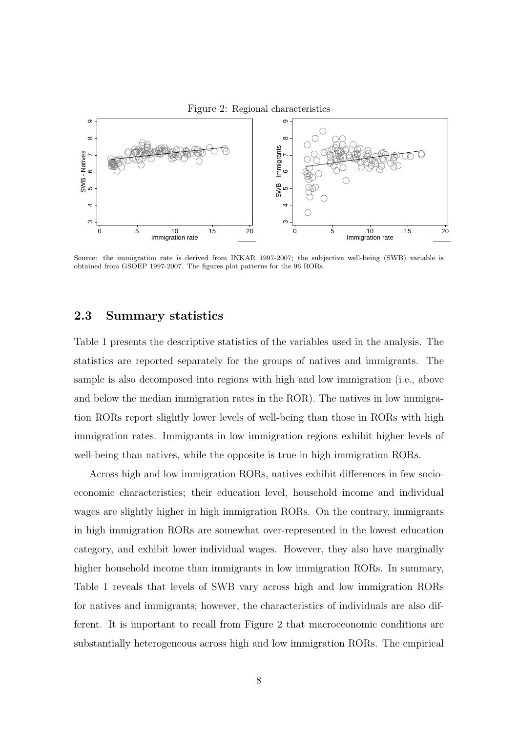



Source: the immigration rate is derived from INKAR 1997-2007; the subjective well-being (SWB) variable is obtained from GSOEP 1997-2007. The figures plot patterns for the 96 RORs.

#### 2.3 Summary statistics

Table [1](#page-11-0) presents the descriptive statistics of the variables used in the analysis. The statistics are reported separately for the groups of natives and immigrants. The sample is also decomposed into regions with high and low immigration (i.e., above and below the median immigration rates in the ROR). The natives in low immigration RORs report slightly lower levels of well-being than those in RORs with high immigration rates. Immigrants in low immigration regions exhibit higher levels of well-being than natives, while the opposite is true in high immigration RORs.

Across high and low immigration RORs, natives exhibit differences in few socioeconomic characteristics; their education level, household income and individual wages are slightly higher in high immigration RORs. On the contrary, immigrants in high immigration RORs are somewhat over-represented in the lowest education category, and exhibit lower individual wages. However, they also have marginally higher household income than immigrants in low immigration RORs. In summary, Table [1](#page-11-0) reveals that levels of SWB vary across high and low immigration RORs for natives and immigrants; however, the characteristics of individuals are also different. It is important to recall from Figure 2 that macroeconomic conditions are substantially heterogeneous across high and low immigration RORs. The empirical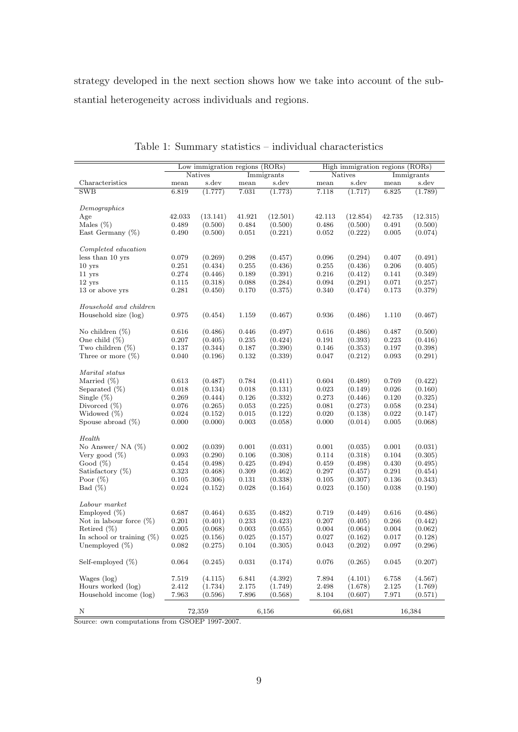strategy developed in the next section shows how we take into account of the substantial heterogeneity across individuals and regions.

|                              |        | Low immigration regions (RORs) |               |            |        | High immigration regions (RORs) |                |            |
|------------------------------|--------|--------------------------------|---------------|------------|--------|---------------------------------|----------------|------------|
|                              |        | <b>Natives</b>                 |               | Immigrants |        | Natives                         |                | Immigrants |
| Characteristics              | mean   | s.dev                          | $_{\rm mean}$ | s.dev      | mean   | s.dev                           | $_{\rm{mean}}$ | s.dev      |
| SWB                          | 6.819  | (1.777)                        | 7.031         | (1.773)    | 7.118  | (1.717)                         | 6.825          | (1.789)    |
|                              |        |                                |               |            |        |                                 |                |            |
| Demographics                 |        |                                |               |            |        |                                 |                |            |
| Age                          | 42.033 | (13.141)                       | 41.921        | (12.501)   | 42.113 | (12.854)                        | 42.735         | (12.315)   |
| Males $(\%)$                 | 0.489  | (0.500)                        | 0.484         | (0.500)    | 0.486  | (0.500)                         | 0.491          | (0.500)    |
| East Germany $(\%)$          | 0.490  | (0.500)                        | 0.051         | (0.221)    | 0.052  | (0.222)                         | 0.005          | (0.074)    |
| Completed education          |        |                                |               |            |        |                                 |                |            |
| less than 10 yrs             | 0.079  | (0.269)                        | 0.298         | (0.457)    | 0.096  | (0.294)                         | 0.407          | (0.491)    |
| $10$ yrs                     | 0.251  | (0.434)                        | 0.255         | (0.436)    | 0.255  | (0.436)                         | 0.206          | (0.405)    |
| $11$ yrs                     | 0.274  | (0.446)                        | 0.189         | (0.391)    | 0.216  | (0.412)                         | 0.141          | (0.349)    |
| $12$ yrs                     | 0.115  | (0.318)                        | 0.088         | (0.284)    | 0.094  | (0.291)                         | 0.071          | (0.257)    |
| 13 or above yrs              | 0.281  | (0.450)                        | 0.170         | (0.375)    | 0.340  | (0.474)                         | 0.173          | (0.379)    |
|                              |        |                                |               |            |        |                                 |                |            |
| Household and children       |        |                                |               |            |        |                                 |                |            |
| Household size (log)         | 0.975  | (0.454)                        | 1.159         | (0.467)    | 0.936  | (0.486)                         | 1.110          | (0.467)    |
| No children $(\%)$           | 0.616  | (0.486)                        | 0.446         | (0.497)    | 0.616  | (0.486)                         | 0.487          | (0.500)    |
| One child $(\%)$             | 0.207  | (0.405)                        | 0.235         | (0.424)    | 0.191  | (0.393)                         | 0.223          | (0.416)    |
| Two children $(\%)$          | 0.137  | (0.344)                        | 0.187         | (0.390)    | 0.146  | (0.353)                         | 0.197          | (0.398)    |
| Three or more $(\%)$         | 0.040  | (0.196)                        | 0.132         | (0.339)    | 0.047  | (0.212)                         | 0.093          | (0.291)    |
|                              |        |                                |               |            |        |                                 |                |            |
| Marital status               |        |                                |               |            |        |                                 |                |            |
| Married $(\%)$               | 0.613  | (0.487)                        | 0.784         | (0.411)    | 0.604  | (0.489)                         | 0.769          | (0.422)    |
| Separated $(\%)$             | 0.018  | (0.134)                        | 0.018         | (0.131)    | 0.023  | (0.149)                         | 0.026          | (0.160)    |
| Single $(\%)$                | 0.269  | (0.444)                        | 0.126         | (0.332)    | 0.273  | (0.446)                         | 0.120          | (0.325)    |
| Divorced $(\%)$              | 0.076  | (0.265)                        | 0.053         | (0.225)    | 0.081  | (0.273)                         | 0.058          | (0.234)    |
| Widowed $(\%)$               | 0.024  | (0.152)                        | 0.015         | (0.122)    | 0.020  | (0.138)                         | 0.022          | (0.147)    |
| Spouse abroad $(\%)$         | 0.000  | (0.000)                        | 0.003         | (0.058)    | 0.000  | (0.014)                         | 0.005          | (0.068)    |
| Health                       |        |                                |               |            |        |                                 |                |            |
| No Answer/ NA $(\%)$         | 0.002  | (0.039)                        | 0.001         | (0.031)    | 0.001  | (0.035)                         | 0.001          | (0.031)    |
| Very good $(\%)$             | 0.093  | (0.290)                        | 0.106         | (0.308)    | 0.114  | (0.318)                         | 0.104          | (0.305)    |
| Good $(\%)$                  | 0.454  | (0.498)                        | 0.425         | (0.494)    | 0.459  | (0.498)                         | 0.430          | (0.495)    |
| Satisfactory $(\%)$          |        | (0.468)                        |               |            |        |                                 | 0.291          |            |
|                              | 0.323  |                                | 0.309         | (0.462)    | 0.297  | (0.457)                         |                | (0.454)    |
| Poor $(\%)$                  | 0.105  | (0.306)                        | 0.131         | (0.338)    | 0.105  | (0.307)                         | 0.136          | (0.343)    |
| Bad $(\%)$                   | 0.024  | (0.152)                        | 0.028         | (0.164)    | 0.023  | (0.150)                         | 0.038          | (0.190)    |
| Labour market                |        |                                |               |            |        |                                 |                |            |
| Employed $(\%)$              | 0.687  | (0.464)                        | 0.635         | (0.482)    | 0.719  | (0.449)                         | 0.616          | (0.486)    |
| Not in labour force $(\%)$   | 0.201  | (0.401)                        | 0.233         | (0.423)    | 0.207  | (0.405)                         | 0.266          | (0.442)    |
| Retired $(\%)$               | 0.005  | (0.068)                        | 0.003         | (0.055)    | 0.004  | (0.064)                         | 0.004          | (0.062)    |
| In school or training $(\%)$ | 0.025  | (0.156)                        | 0.025         | (0.157)    | 0.027  | (0.162)                         | 0.017          | (0.128)    |
| Unemployed (%)               | 0.082  | (0.275)                        | 0.104         | (0.305)    | 0.043  | (0.202)                         | 0.097          | (0.296)    |
| Self-employed $(\%)$         | 0.064  | (0.245)                        | 0.031         | (0.174)    | 0.076  | (0.265)                         | 0.045          | (0.207)    |
| Wages (log)                  | 7.519  | (4.115)                        | 6.841         | (4.392)    | 7.894  | (4.101)                         | 6.758          | (4.567)    |
| Hours worked (log)           | 2.412  | (1.734)                        | 2.175         | (1.749)    | 2.498  | (1.678)                         | 2.125          | (1.769)    |
| Household income (log)       | 7.963  | (0.596)                        | 7.896         | (0.568)    | 8.104  | (0.607)                         | 7.971          | (0.571)    |
|                              |        |                                |               |            |        |                                 |                |            |
| Ν                            |        | 72,359                         |               | 6,156      |        | 66,681                          |                | 16,384     |

<span id="page-11-0"></span>Table 1: Summary statistics – individual characteristics

Source: own computations from GSOEP 1997-2007.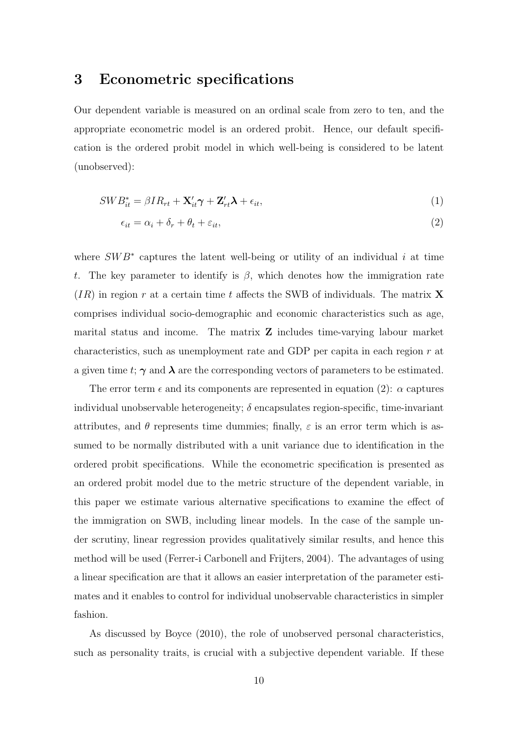### 3 Econometric specifications

Our dependent variable is measured on an ordinal scale from zero to ten, and the appropriate econometric model is an ordered probit. Hence, our default specification is the ordered probit model in which well-being is considered to be latent (unobserved):

$$
SWB_{it}^* = \beta IR_{rt} + \mathbf{X}_{it}'\boldsymbol{\gamma} + \mathbf{Z}_{rt}'\boldsymbol{\lambda} + \epsilon_{it},\tag{1}
$$

<span id="page-12-1"></span><span id="page-12-0"></span>
$$
\epsilon_{it} = \alpha_i + \delta_r + \theta_t + \varepsilon_{it},\tag{2}
$$

where  $SWB^*$  captures the latent well-being or utility of an individual i at time t. The key parameter to identify is  $\beta$ , which denotes how the immigration rate  $(IR)$  in region r at a certain time t affects the SWB of individuals. The matrix **X** comprises individual socio-demographic and economic characteristics such as age, marital status and income. The matrix Z includes time-varying labour market characteristics, such as unemployment rate and GDP per capita in each region  $r$  at a given time t;  $\gamma$  and  $\lambda$  are the corresponding vectors of parameters to be estimated.

The error term  $\epsilon$  and its components are represented in equation [\(2\)](#page-12-0):  $\alpha$  captures individual unobservable heterogeneity;  $\delta$  encapsulates region-specific, time-invariant attributes, and  $\theta$  represents time dummies; finally,  $\varepsilon$  is an error term which is assumed to be normally distributed with a unit variance due to identification in the ordered probit specifications. While the econometric specification is presented as an ordered probit model due to the metric structure of the dependent variable, in this paper we estimate various alternative specifications to examine the effect of the immigration on SWB, including linear models. In the case of the sample under scrutiny, linear regression provides qualitatively similar results, and hence this method will be used [\(Ferrer-i Carbonell and Frijters,](#page--1-21) [2004\)](#page--1-21). The advantages of using a linear specification are that it allows an easier interpretation of the parameter estimates and it enables to control for individual unobservable characteristics in simpler fashion.

As discussed by [Boyce](#page--1-23) [\(2010\)](#page--1-23), the role of unobserved personal characteristics, such as personality traits, is crucial with a subjective dependent variable. If these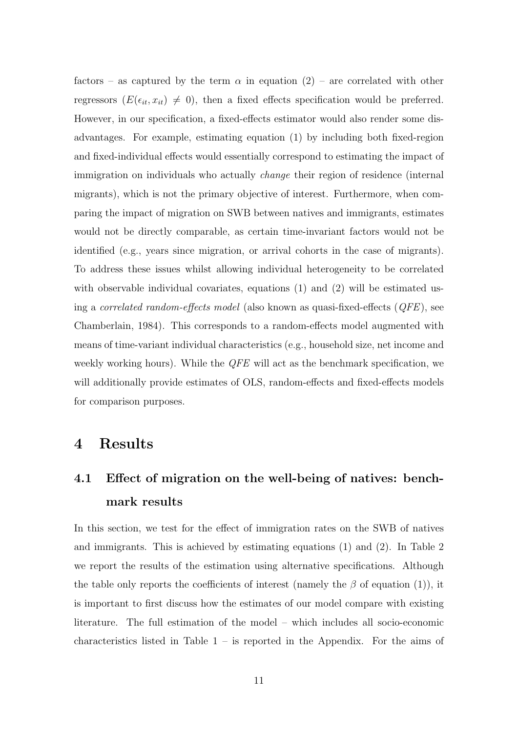factors – as captured by the term  $\alpha$  in equation [\(2\)](#page-12-0) – are correlated with other regressors  $(E(\epsilon_{it}, x_{it}) \neq 0)$ , then a fixed effects specification would be preferred. However, in our specification, a fixed-effects estimator would also render some disadvantages. For example, estimating equation [\(1\)](#page-12-1) by including both fixed-region and fixed-individual effects would essentially correspond to estimating the impact of immigration on individuals who actually change their region of residence (internal migrants), which is not the primary objective of interest. Furthermore, when comparing the impact of migration on SWB between natives and immigrants, estimates would not be directly comparable, as certain time-invariant factors would not be identified (e.g., years since migration, or arrival cohorts in the case of migrants). To address these issues whilst allowing individual heterogeneity to be correlated with observable individual covariates, equations [\(1\)](#page-12-1) and [\(2\)](#page-12-0) will be estimated using a *correlated random-effects model* (also known as quasi-fixed-effects  $(QFE)$ , see [Chamberlain,](#page--1-24) [1984\)](#page--1-24). This corresponds to a random-effects model augmented with means of time-variant individual characteristics (e.g., household size, net income and weekly working hours). While the *QFE* will act as the benchmark specification, we will additionally provide estimates of OLS, random-effects and fixed-effects models for comparison purposes.

### 4 Results

# 4.1 Effect of migration on the well-being of natives: benchmark results

In this section, we test for the effect of immigration rates on the SWB of natives and immigrants. This is achieved by estimating equations [\(1\)](#page-12-1) and [\(2\)](#page-12-0). In Table [2](#page-15-0) we report the results of the estimation using alternative specifications. Although the table only reports the coefficients of interest (namely the  $\beta$  of equation [\(1\)](#page-12-1)), it is important to first discuss how the estimates of our model compare with existing literature. The full estimation of the model – which includes all socio-economic characteristics listed in Table  $1 1 -$  is reported in the Appendix. For the aims of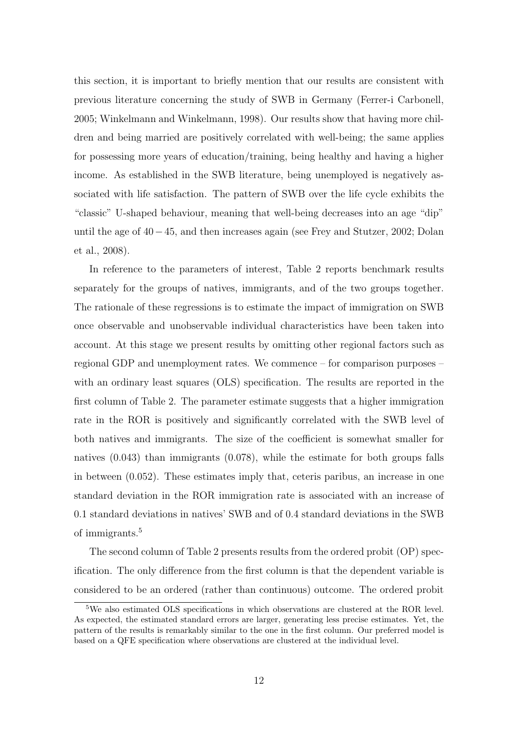this section, it is important to briefly mention that our results are consistent with previous literature concerning the study of SWB in Germany [\(Ferrer-i Carbonell,](#page--1-25) [2005;](#page--1-25) [Winkelmann and Winkelmann,](#page--1-15) [1998\)](#page--1-15). Our results show that having more children and being married are positively correlated with well-being; the same applies for possessing more years of education/training, being healthy and having a higher income. As established in the SWB literature, being unemployed is negatively associated with life satisfaction. The pattern of SWB over the life cycle exhibits the "classic" U-shaped behaviour, meaning that well-being decreases into an age "dip" until the age of 40−45, and then increases again (see [Frey and Stutzer,](#page--1-14) [2002;](#page--1-14) [Dolan](#page--1-13) [et al.,](#page--1-13) [2008\)](#page--1-13).

In reference to the parameters of interest, Table [2](#page-15-0) reports benchmark results separately for the groups of natives, immigrants, and of the two groups together. The rationale of these regressions is to estimate the impact of immigration on SWB once observable and unobservable individual characteristics have been taken into account. At this stage we present results by omitting other regional factors such as regional GDP and unemployment rates. We commence – for comparison purposes – with an ordinary least squares (OLS) specification. The results are reported in the first column of Table [2.](#page-15-0) The parameter estimate suggests that a higher immigration rate in the ROR is positively and significantly correlated with the SWB level of both natives and immigrants. The size of the coefficient is somewhat smaller for natives (0.043) than immigrants (0.078), while the estimate for both groups falls in between (0.052). These estimates imply that, ceteris paribus, an increase in one standard deviation in the ROR immigration rate is associated with an increase of 0.1 standard deviations in natives' SWB and of 0.4 standard deviations in the SWB of immigrants.[5](#page-14-0)

The second column of Table [2](#page-15-0) presents results from the ordered probit (OP) specification. The only difference from the first column is that the dependent variable is considered to be an ordered (rather than continuous) outcome. The ordered probit

<span id="page-14-0"></span><sup>5</sup>We also estimated OLS specifications in which observations are clustered at the ROR level. As expected, the estimated standard errors are larger, generating less precise estimates. Yet, the pattern of the results is remarkably similar to the one in the first column. Our preferred model is based on a QFE specification where observations are clustered at the individual level.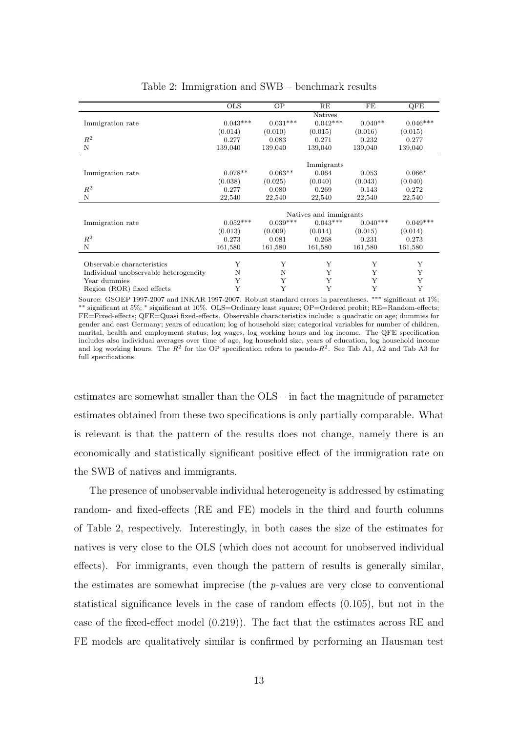|                                       | <b>OLS</b> | OP         | RE                     | FE         | QFE        |
|---------------------------------------|------------|------------|------------------------|------------|------------|
|                                       |            |            | <b>Natives</b>         |            |            |
| Immigration rate                      | $0.043***$ | $0.031***$ | $0.042***$             | $0.040**$  | $0.046***$ |
|                                       | (0.014)    | (0.010)    | (0.015)                | (0.016)    | (0.015)    |
| $\mathbb{R}^2$                        | 0.277      | 0.083      | 0.271                  | 0.232      | 0.277      |
| N                                     | 139,040    | 139,040    | 139,040                | 139,040    | 139,040    |
|                                       |            |            |                        |            |            |
|                                       |            |            | Immigrants             |            |            |
| Immigration rate                      | $0.078**$  | $0.063**$  | 0.064                  | 0.053      | $0.066*$   |
|                                       | (0.038)    | (0.025)    | (0.040)                | (0.043)    | (0.040)    |
| $R^2$                                 | 0.277      | 0.080      | 0.269                  | 0.143      | 0.272      |
| N                                     | 22,540     | 22,540     | 22,540                 | 22,540     | 22,540     |
|                                       |            |            |                        |            |            |
|                                       |            |            | Natives and immigrants |            |            |
| Immigration rate                      | $0.052***$ | $0.039***$ | $0.043***$             | $0.040***$ | $0.049***$ |
|                                       | (0.013)    | (0.009)    | (0.014)                | (0.015)    | (0.014)    |
| $R^2$                                 | 0.273      | 0.081      | 0.268                  | 0.231      | 0.273      |
| N                                     | 161,580    | 161,580    | 161,580                | 161,580    | 161,580    |
|                                       |            |            |                        |            |            |
| Observable characteristics            | Y          | Υ          | Y                      | Y          | Υ          |
| Individual unobservable heterogeneity | N          | N          | Y                      | Y          | Y          |
| Year dummies                          | Y          | Y          | Y                      | Y          | Y          |
| Region (ROR) fixed effects            | Y          | Y          | Y                      | Y          | Y          |

#### <span id="page-15-0"></span>Table 2: Immigration and SWB – benchmark results

Source: GSOEP 1997-2007 and INKAR 1997-2007. Robust standard errors in parentheses. ∗∗∗ significant at 1%; ∗∗ significant at 5%; <sup>∗</sup> significant at 10%. OLS=Ordinary least square; OP=Ordered probit; RE=Random-effects; FE=Fixed-effects; QFE=Quasi fixed-effects. Observable characteristics include: a quadratic on age; dummies for gender and east Germany; years of education; log of household size; categorical variables for number of children, marital, health and employment status; log wages, log working hours and log income. The QFE specification includes also individual averages over time of age, log household size, years of education, log household income and log working hours. The  $R^2$  for the OP specification refers to pseudo- $R^2$ . See Tab [A1,](#page-11-0) [A2](#page-15-0) and Tab [A3](#page-17-0) for full specifications.

estimates are somewhat smaller than the OLS – in fact the magnitude of parameter estimates obtained from these two specifications is only partially comparable. What is relevant is that the pattern of the results does not change, namely there is an economically and statistically significant positive effect of the immigration rate on the SWB of natives and immigrants.

The presence of unobservable individual heterogeneity is addressed by estimating random- and fixed-effects (RE and FE) models in the third and fourth columns of Table [2,](#page-15-0) respectively. Interestingly, in both cases the size of the estimates for natives is very close to the OLS (which does not account for unobserved individual effects). For immigrants, even though the pattern of results is generally similar, the estimates are somewhat imprecise (the p-values are very close to conventional statistical significance levels in the case of random effects (0.105), but not in the case of the fixed-effect model (0.219)). The fact that the estimates across RE and FE models are qualitatively similar is confirmed by performing an Hausman test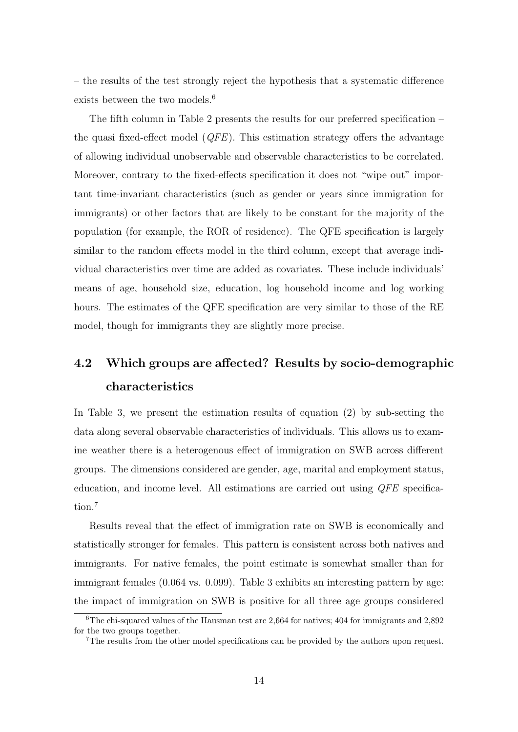– the results of the test strongly reject the hypothesis that a systematic difference exists between the two models.<sup>[6](#page-16-0)</sup>

The fifth column in Table [2](#page-15-0) presents the results for our preferred specification – the quasi fixed-effect model  $(QFE)$ . This estimation strategy offers the advantage of allowing individual unobservable and observable characteristics to be correlated. Moreover, contrary to the fixed-effects specification it does not "wipe out" important time-invariant characteristics (such as gender or years since immigration for immigrants) or other factors that are likely to be constant for the majority of the population (for example, the ROR of residence). The QFE specification is largely similar to the random effects model in the third column, except that average individual characteristics over time are added as covariates. These include individuals' means of age, household size, education, log household income and log working hours. The estimates of the QFE specification are very similar to those of the RE model, though for immigrants they are slightly more precise.

# 4.2 Which groups are affected? Results by socio-demographic characteristics

In Table [3,](#page-17-0) we present the estimation results of equation [\(2\)](#page-12-0) by sub-setting the data along several observable characteristics of individuals. This allows us to examine weather there is a heterogenous effect of immigration on SWB across different groups. The dimensions considered are gender, age, marital and employment status, education, and income level. All estimations are carried out using QFE specifica-tion.<sup>[7](#page-16-1)</sup>

Results reveal that the effect of immigration rate on SWB is economically and statistically stronger for females. This pattern is consistent across both natives and immigrants. For native females, the point estimate is somewhat smaller than for immigrant females (0.064 vs. 0.099). Table [3](#page-17-0) exhibits an interesting pattern by age: the impact of immigration on SWB is positive for all three age groups considered

<span id="page-16-0"></span> $6$ The chi-squared values of the Hausman test are 2,664 for natives; 404 for immigrants and 2,892 for the two groups together.

<span id="page-16-1"></span><sup>7</sup>The results from the other model specifications can be provided by the authors upon request.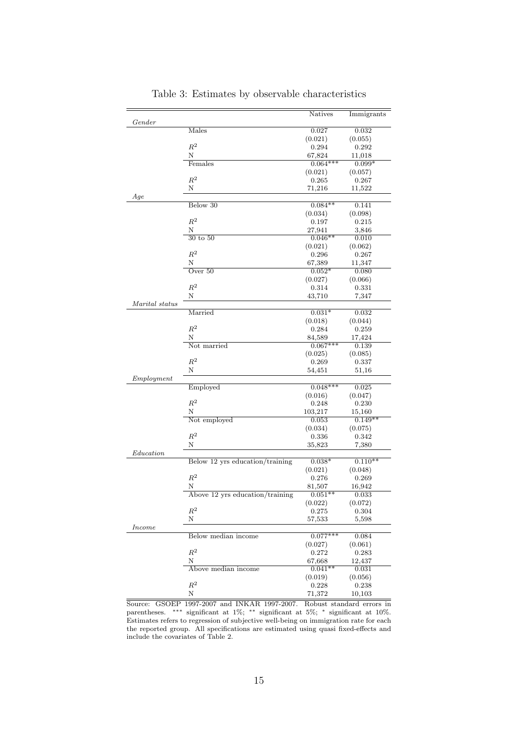|                |                                 | <b>Natives</b> | Immigrants |
|----------------|---------------------------------|----------------|------------|
| Gender         |                                 |                |            |
|                | Males                           | 0.027          | 0.032      |
|                |                                 | (0.021)        | (0.055)    |
|                | $\mathbb{R}^2$                  | 0.294          | 0.292      |
|                | Ν                               | 67,824         | $11{,}018$ |
|                | Females                         | $0.064***$     | $0.099*$   |
|                |                                 | (0.021)        | (0.057)    |
|                | $R^2$                           | 0.265          | 0.267      |
|                | Ν                               | $^{71,216}$    | 11,522     |
| Age            |                                 |                |            |
|                | Below 30                        | $0.084**$      | 0.141      |
|                |                                 | (0.034)        | (0.098)    |
|                | $R^2$                           | 0.197          | 0.215      |
|                | Ν                               | 27,941         | 3,846      |
|                | $30$ to $50$                    | $0.046**$      | 0.010      |
|                |                                 | (0.021)        | (0.062)    |
|                | $R^2$                           | 0.296          | 0.267      |
|                | N                               | 67,389         | 11,347     |
|                | Over $50$                       | $0.052*$       | 0.080      |
|                |                                 | (0.027)        | (0.066)    |
|                | $\mathbb{R}^2$                  | 0.314          | 0.331      |
|                | Ν                               | 43,710         | 7,347      |
| Marital status |                                 |                |            |
|                | Married                         | $0.031*$       | 0.032      |
|                |                                 | (0.018)        | (0.044)    |
|                | $\mathbb{R}^2$                  | 0.284          | 0.259      |
|                | Ν                               | 84,589         | 17,424     |
|                | Not married                     | $0.067***$     | 0.139      |
|                |                                 | (0.025)        | (0.085)    |
|                | $\mathbb{R}^2$                  | 0.269          | 0.337      |
|                | Ν                               | 54,451         | $^{51,16}$ |
| Emplogment     |                                 |                |            |
|                | Employed                        | $0.048***$     | 0.025      |
|                |                                 | (0.016)        | (0.047)    |
|                | $\mathbb{R}^2$                  | 0.248          | 0.230      |
|                | Ν                               | 103,217        | 15,160     |
|                | Not employed                    | 0.053          | $0.149**$  |
|                |                                 | (0.034)        | (0.075)    |
|                | $\mathbb{R}^2$                  | 0.336          | 0.342      |
|                | Ν                               | 35,823         | 7,380      |
| Education      |                                 |                |            |
|                | Below 12 yrs education/training | $0.038*$       | $0.110**$  |
|                |                                 | (0.021)        | (0.048)    |
|                | $R^2$                           | 0.276          | 0.269      |
|                | Ν                               | 81,507         | 16,942     |
|                | Above 12 yrs education/training | $0.051**$      | 0.033      |
|                |                                 | (0.022)        | (0.072)    |
|                | $\mathbb{R}^2$                  | 0.275          | 0.304      |
|                | Ν                               | 57,533         | 5,598      |
| <i>Income</i>  |                                 |                |            |
|                | Below median income             | $0.077***$     | 0.084      |
|                |                                 | (0.027)        | (0.061)    |
|                | $\mathbb{R}^2$                  | 0.272          | 0.283      |
|                | Ν                               | 67,668         | 12,437     |
|                | Above median income             | $0.041**$      | 0.031      |
|                |                                 | (0.019)        | (0.056)    |
|                | $\mathbb{R}^2$                  | 0.228          | 0.238      |
|                | Ν                               | 71,372         | 10,103     |

<span id="page-17-0"></span>Table 3: Estimates by observable characteristics

Source: GSOEP 1997-2007 and INKAR 1997-2007. Robust standard errors in parentheses. ∗∗∗ significant at 1%; ∗∗ significant at 5%; <sup>∗</sup> significant at 10%. Estimates refers to regression of subjective well-being on immigration rate for each the reported group. All specifications are estimated using quasi fixed-effects and include the covariates of Table [2.](#page-15-0)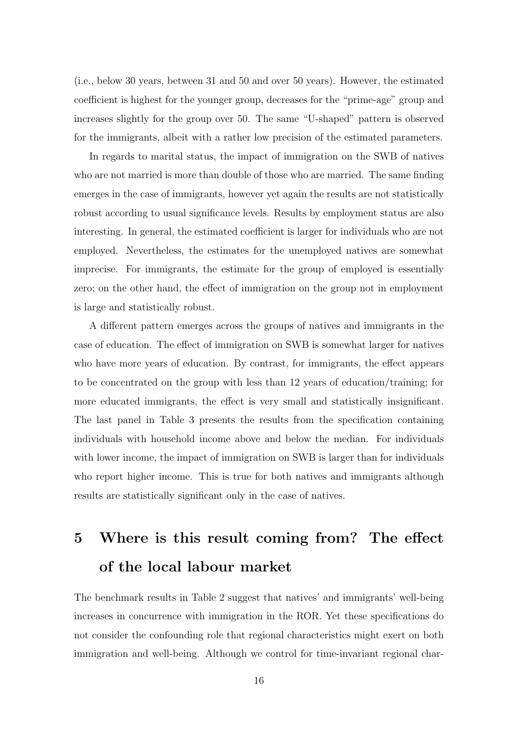(i.e., below 30 years, between 31 and 50 and over 50 years). However, the estimated coefficient is highest for the younger group, decreases for the "prime-age" group and increases slightly for the group over 50. The same "U-shaped" pattern is observed for the immigrants, albeit with a rather low precision of the estimated parameters.

In regards to marital status, the impact of immigration on the SWB of natives who are not married is more than double of those who are married. The same finding emerges in the case of immigrants, however yet again the results are not statistically robust according to usual significance levels. Results by employment status are also interesting. In general, the estimated coefficient is larger for individuals who are not employed. Nevertheless, the estimates for the unemployed natives are somewhat imprecise. For immigrants, the estimate for the group of employed is essentially zero; on the other hand, the effect of immigration on the group not in employment is large and statistically robust.

A different pattern emerges across the groups of natives and immigrants in the case of education. The effect of immigration on SWB is somewhat larger for natives who have more years of education. By contrast, for immigrants, the effect appears to be concentrated on the group with less than 12 years of education/training; for more educated immigrants, the effect is very small and statistically insignificant. The last panel in Table [3](#page-17-0) presents the results from the specification containing individuals with household income above and below the median. For individuals with lower income, the impact of immigration on SWB is larger than for individuals who report higher income. This is true for both natives and immigrants although results are statistically significant only in the case of natives.

# 5 Where is this result coming from? The effect of the local labour market

The benchmark results in Table [2](#page-15-0) suggest that natives' and immigrants' well-being increases in concurrence with immigration in the ROR. Yet these specifications do not consider the confounding role that regional characteristics might exert on both immigration and well-being. Although we control for time-invariant regional char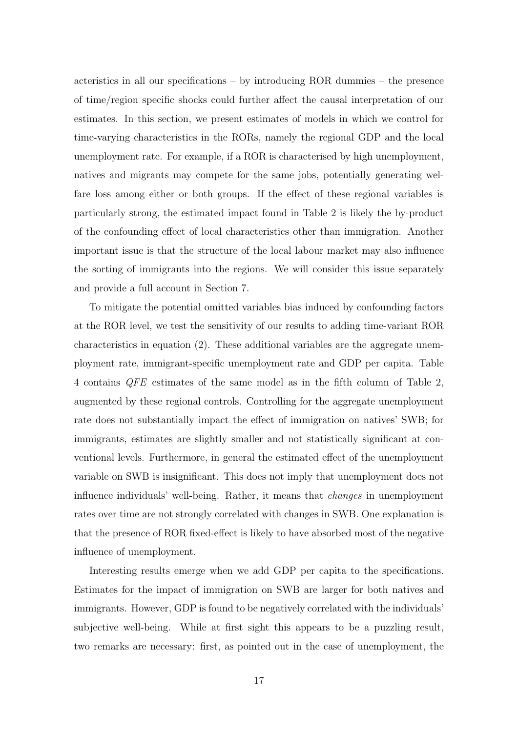acteristics in all our specifications – by introducing ROR dummies – the presence of time/region specific shocks could further affect the causal interpretation of our estimates. In this section, we present estimates of models in which we control for time-varying characteristics in the RORs, namely the regional GDP and the local unemployment rate. For example, if a ROR is characterised by high unemployment, natives and migrants may compete for the same jobs, potentially generating welfare loss among either or both groups. If the effect of these regional variables is particularly strong, the estimated impact found in Table [2](#page-15-0) is likely the by-product of the confounding effect of local characteristics other than immigration. Another important issue is that the structure of the local labour market may also influence the sorting of immigrants into the regions. We will consider this issue separately and provide a full account in Section 7.

To mitigate the potential omitted variables bias induced by confounding factors at the ROR level, we test the sensitivity of our results to adding time-variant ROR characteristics in equation [\(2\)](#page-12-0). These additional variables are the aggregate unemployment rate, immigrant-specific unemployment rate and GDP per capita. Table [4](#page-20-0) contains QFE estimates of the same model as in the fifth column of Table [2,](#page-15-0) augmented by these regional controls. Controlling for the aggregate unemployment rate does not substantially impact the effect of immigration on natives' SWB; for immigrants, estimates are slightly smaller and not statistically significant at conventional levels. Furthermore, in general the estimated effect of the unemployment variable on SWB is insignificant. This does not imply that unemployment does not influence individuals' well-being. Rather, it means that changes in unemployment rates over time are not strongly correlated with changes in SWB. One explanation is that the presence of ROR fixed-effect is likely to have absorbed most of the negative influence of unemployment.

Interesting results emerge when we add GDP per capita to the specifications. Estimates for the impact of immigration on SWB are larger for both natives and immigrants. However, GDP is found to be negatively correlated with the individuals' subjective well-being. While at first sight this appears to be a puzzling result, two remarks are necessary: first, as pointed out in the case of unemployment, the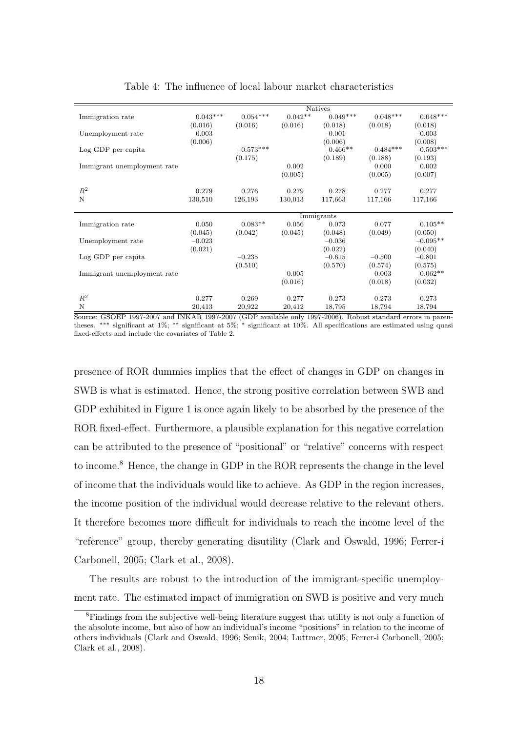|                             |            |             |           | <b>Natives</b> |             |             |
|-----------------------------|------------|-------------|-----------|----------------|-------------|-------------|
| Immigration rate            | $0.043***$ | $0.054***$  | $0.042**$ | $0.049***$     | $0.048***$  | $0.048***$  |
|                             | (0.016)    | (0.016)     | (0.016)   | (0.018)        | (0.018)     | (0.018)     |
| Unemployment rate           | 0.003      |             |           | $-0.001$       |             | $-0.003$    |
|                             | (0.006)    |             |           | (0.006)        |             | (0.008)     |
| Log GDP per capita          |            | $-0.573***$ |           | $-0.466**$     | $-0.484***$ | $-0.503***$ |
|                             |            | (0.175)     |           | (0.189)        | (0.188)     | (0.193)     |
| Immigrant unemployment rate |            |             | 0.002     |                | 0.000       | 0.002       |
|                             |            |             | (0.005)   |                | (0.005)     | (0.007)     |
|                             |            |             |           |                |             |             |
| $R^2$                       | 0.279      | 0.276       | 0.279     | 0.278          | 0.277       | 0.277       |
| N                           | 130,510    | 126,193     | 130,013   | 117,663        | 117,166     | 117,166     |
|                             |            |             |           |                |             |             |
|                             |            |             |           | Immigrants     |             |             |
| Immigration rate            | 0.050      | $0.083**$   | 0.056     | 0.073          | 0.077       | $0.105**$   |
|                             | (0.045)    | (0.042)     | (0.045)   | (0.048)        | (0.049)     | (0.050)     |
| Unemployment rate           | $-0.023$   |             |           | $-0.036$       |             | $-0.095**$  |
|                             | (0.021)    |             |           | (0.022)        |             | (0.040)     |
| Log GDP per capita          |            | $-0.235$    |           | $-0.615$       | $-0.500$    | $-0.801$    |
|                             |            | (0.510)     |           | (0.570)        | (0.574)     | (0.575)     |
| Immigrant unemployment rate |            |             | 0.005     |                | 0.003       | $0.062**$   |
|                             |            |             | (0.016)   |                | (0.018)     | (0.032)     |
|                             |            |             |           |                |             |             |
| $R^2$                       | 0.277      | 0.269       | 0.277     | 0.273          | 0.273       | 0.273       |
| N                           | 20,413     | 20,922      | 20,412    | 18,795         | 18,794      | 18,794      |

#### <span id="page-20-0"></span>Table 4: The influence of local labour market characteristics

Source: GSOEP 1997-2007 and INKAR 1997-2007 (GDP available only 1997-2006). Robust standard errors in parentheses. ∗∗∗ significant at 1%; ∗∗ significant at 5%; <sup>∗</sup> significant at 10%. All specifications are estimated using quasi fixed-effects and include the covariates of Table [2.](#page-15-0)

presence of ROR dummies implies that the effect of changes in GDP on changes in SWB is what is estimated. Hence, the strong positive correlation between SWB and GDP exhibited in Figure [1](#page-9-0) is once again likely to be absorbed by the presence of the ROR fixed-effect. Furthermore, a plausible explanation for this negative correlation can be attributed to the presence of "positional" or "relative" concerns with respect to income.<sup>[8](#page-20-1)</sup> Hence, the change in GDP in the ROR represents the change in the level of income that the individuals would like to achieve. As GDP in the region increases, the income position of the individual would decrease relative to the relevant others. It therefore becomes more difficult for individuals to reach the income level of the "reference" group, thereby generating disutility [\(Clark and Oswald,](#page--1-26) [1996;](#page--1-26) [Ferrer-i](#page--1-25) [Carbonell,](#page--1-25) [2005;](#page--1-25) [Clark et al.,](#page--1-18) [2008\)](#page--1-18).

The results are robust to the introduction of the immigrant-specific unemployment rate. The estimated impact of immigration on SWB is positive and very much

<span id="page-20-1"></span><sup>&</sup>lt;sup>8</sup>Findings from the subjective well-being literature suggest that utility is not only a function of the absolute income, but also of how an individual's income "positions" in relation to the income of others individuals [\(Clark and Oswald,](#page--1-26) [1996;](#page--1-26) [Senik,](#page--1-27) [2004;](#page--1-27) [Luttmer,](#page--1-28) [2005;](#page--1-28) [Ferrer-i Carbonell,](#page--1-25) [2005;](#page--1-25) [Clark et al.,](#page--1-18) [2008\)](#page--1-18).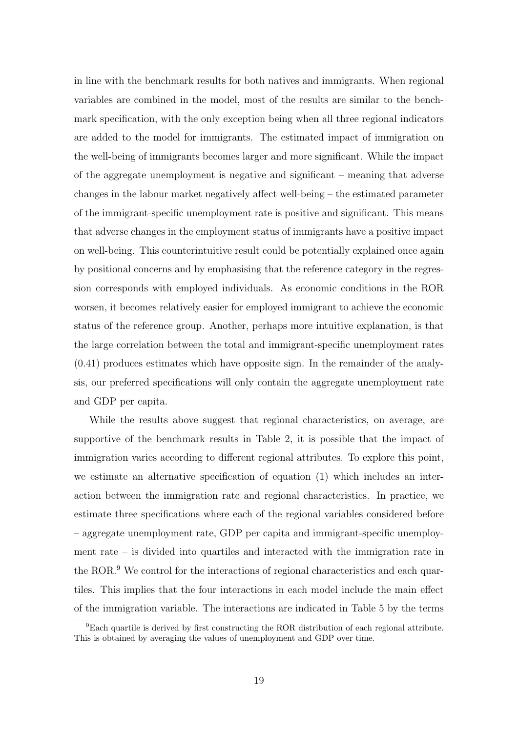in line with the benchmark results for both natives and immigrants. When regional variables are combined in the model, most of the results are similar to the benchmark specification, with the only exception being when all three regional indicators are added to the model for immigrants. The estimated impact of immigration on the well-being of immigrants becomes larger and more significant. While the impact of the aggregate unemployment is negative and significant – meaning that adverse changes in the labour market negatively affect well-being – the estimated parameter of the immigrant-specific unemployment rate is positive and significant. This means that adverse changes in the employment status of immigrants have a positive impact on well-being. This counterintuitive result could be potentially explained once again by positional concerns and by emphasising that the reference category in the regression corresponds with employed individuals. As economic conditions in the ROR worsen, it becomes relatively easier for employed immigrant to achieve the economic status of the reference group. Another, perhaps more intuitive explanation, is that the large correlation between the total and immigrant-specific unemployment rates (0.41) produces estimates which have opposite sign. In the remainder of the analysis, our preferred specifications will only contain the aggregate unemployment rate and GDP per capita.

While the results above suggest that regional characteristics, on average, are supportive of the benchmark results in Table [2,](#page-15-0) it is possible that the impact of immigration varies according to different regional attributes. To explore this point, we estimate an alternative specification of equation [\(1\)](#page-12-1) which includes an interaction between the immigration rate and regional characteristics. In practice, we estimate three specifications where each of the regional variables considered before – aggregate unemployment rate, GDP per capita and immigrant-specific unemployment rate – is divided into quartiles and interacted with the immigration rate in the ROR.<sup>[9](#page-21-0)</sup> We control for the interactions of regional characteristics and each quartiles. This implies that the four interactions in each model include the main effect of the immigration variable. The interactions are indicated in Table [5](#page-22-0) by the terms

<span id="page-21-0"></span> $9E$ ach quartile is derived by first constructing the ROR distribution of each regional attribute. This is obtained by averaging the values of unemployment and GDP over time.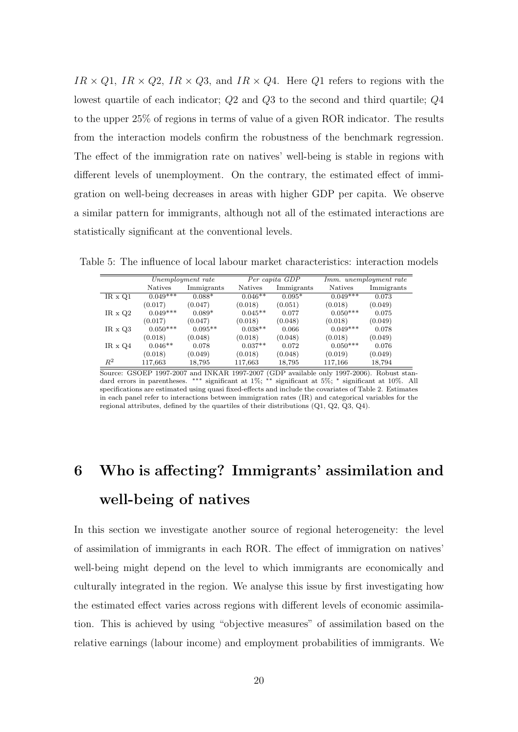$IR \times Q1$ ,  $IR \times Q2$ ,  $IR \times Q3$ , and  $IR \times Q4$ . Here Q1 refers to regions with the lowest quartile of each indicator; Q2 and Q3 to the second and third quartile; Q4 to the upper 25% of regions in terms of value of a given ROR indicator. The results from the interaction models confirm the robustness of the benchmark regression. The effect of the immigration rate on natives' well-being is stable in regions with different levels of unemployment. On the contrary, the estimated effect of immigration on well-being decreases in areas with higher GDP per capita. We observe a similar pattern for immigrants, although not all of the estimated interactions are statistically significant at the conventional levels.

<span id="page-22-0"></span>Unemployment rate Per capita GDP Imm. unemployment rate Natives Immigrants Natives Immigrants Natives Immigrants  $IR \times Q1$   $0.049***$   $0.088*$   $0.046**$   $0.095*$   $0.049***$   $0.073$  $(0.017)$   $(0.047)$   $(0.018)$   $(0.051)$   $(0.018)$   $(0.049)$  $IR \times Q2$   $0.049***$   $0.089*$   $0.045***$   $0.077$   $0.050***$   $0.075$  $(0.017)$   $(0.047)$   $(0.018)$   $(0.048)$   $(0.018)$   $(0.049)$ IR x Q3  $0.050^{***}$   $0.095^{**}$   $0.038^{**}$   $0.066$   $0.049^{***}$   $0.078$  $(0.018)$   $(0.048)$   $(0.018)$   $(0.048)$   $(0.018)$   $(0.018)$   $(0.049)$  $IR \times Q4$   $0.046**$   $0.078$   $0.037**$   $0.072$   $0.050***$   $0.076$  $(0.018)$   $(0.049)$   $(0.018)$   $(0.048)$   $(0.019)$   $(0.049)$  $R^2$  117,663 18,795 117,663 18,795 117,166 18,794

Table 5: The influence of local labour market characteristics: interaction models

Source: GSOEP 1997-2007 and INKAR 1997-2007 (GDP available only 1997-2006). Robust standard errors in parentheses. ∗∗∗ significant at 1%; ∗∗ significant at 5%; <sup>∗</sup> significant at 10%. All specifications are estimated using quasi fixed-effects and include the covariates of Table [2.](#page-15-0) Estimates in each panel refer to interactions between immigration rates (IR) and categorical variables for the regional attributes, defined by the quartiles of their distributions (Q1, Q2, Q3, Q4).

# 6 Who is affecting? Immigrants' assimilation and well-being of natives

In this section we investigate another source of regional heterogeneity: the level of assimilation of immigrants in each ROR. The effect of immigration on natives' well-being might depend on the level to which immigrants are economically and culturally integrated in the region. We analyse this issue by first investigating how the estimated effect varies across regions with different levels of economic assimilation. This is achieved by using "objective measures" of assimilation based on the relative earnings (labour income) and employment probabilities of immigrants. We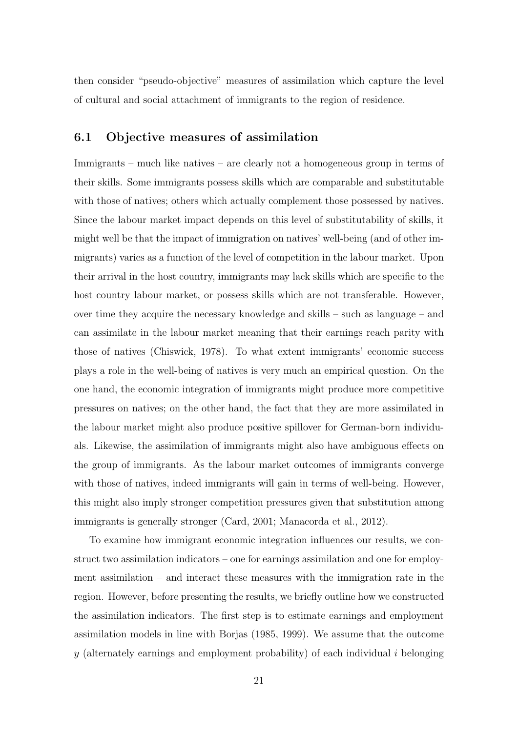then consider "pseudo-objective" measures of assimilation which capture the level of cultural and social attachment of immigrants to the region of residence.

### 6.1 Objective measures of assimilation

Immigrants – much like natives – are clearly not a homogeneous group in terms of their skills. Some immigrants possess skills which are comparable and substitutable with those of natives; others which actually complement those possessed by natives. Since the labour market impact depends on this level of substitutability of skills, it might well be that the impact of immigration on natives' well-being (and of other immigrants) varies as a function of the level of competition in the labour market. Upon their arrival in the host country, immigrants may lack skills which are specific to the host country labour market, or possess skills which are not transferable. However, over time they acquire the necessary knowledge and skills – such as language – and can assimilate in the labour market meaning that their earnings reach parity with those of natives [\(Chiswick,](#page--1-29) [1978\)](#page--1-29). To what extent immigrants' economic success plays a role in the well-being of natives is very much an empirical question. On the one hand, the economic integration of immigrants might produce more competitive pressures on natives; on the other hand, the fact that they are more assimilated in the labour market might also produce positive spillover for German-born individuals. Likewise, the assimilation of immigrants might also have ambiguous effects on the group of immigrants. As the labour market outcomes of immigrants converge with those of natives, indeed immigrants will gain in terms of well-being. However, this might also imply stronger competition pressures given that substitution among immigrants is generally stronger [\(Card,](#page--1-5) [2001;](#page--1-5) [Manacorda et al.,](#page--1-2) [2012\)](#page--1-2).

To examine how immigrant economic integration influences our results, we construct two assimilation indicators – one for earnings assimilation and one for employment assimilation – and interact these measures with the immigration rate in the region. However, before presenting the results, we briefly outline how we constructed the assimilation indicators. The first step is to estimate earnings and employment assimilation models in line with [Borjas](#page--1-30) [\(1985,](#page--1-30) [1999\)](#page--1-31). We assume that the outcome y (alternately earnings and employment probability) of each individual i belonging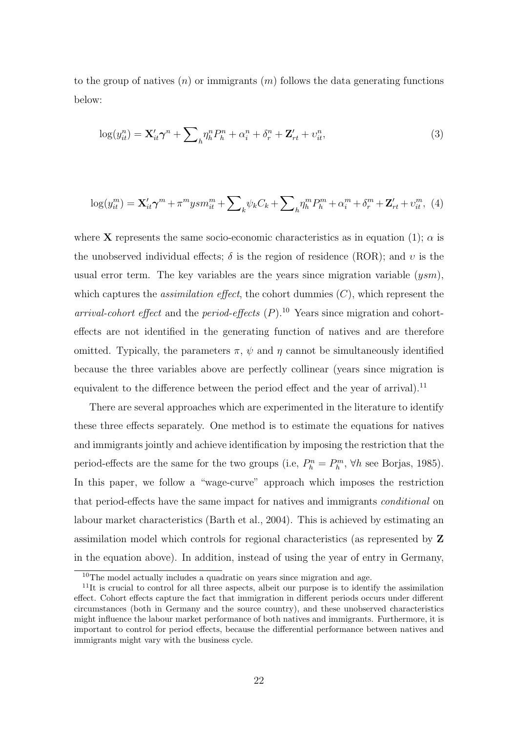<span id="page-24-2"></span>to the group of natives  $(n)$  or immigrants  $(m)$  follows the data generating functions below:

<span id="page-24-3"></span>
$$
\log(y_{it}^n) = \mathbf{X}_{it}' \boldsymbol{\gamma}^n + \sum_{h} \eta_h^n P_h^n + \alpha_i^n + \delta_r^n + \mathbf{Z}_{rt}' + \upsilon_{it}^n,\tag{3}
$$

$$
\log(y_{it}^m) = \mathbf{X}_{it}' \boldsymbol{\gamma}^m + \pi^m y s m_{it}^m + \sum_k \psi_k C_k + \sum_h \eta_h^m P_h^m + \alpha_i^m + \delta_r^m + \mathbf{Z}_{rt}' + \upsilon_{it}^m, \tag{4}
$$

where **X** represents the same socio-economic characteristics as in equation [\(1\)](#page-12-1);  $\alpha$  is the unobserved individual effects;  $\delta$  is the region of residence (ROR); and v is the usual error term. The key variables are the years since migration variable  $(ysm)$ , which captures the *assimilation effect*, the cohort dummies  $(C)$ , which represent the arrival-cohort effect and the period-effects  $(P)$ .<sup>[10](#page-24-0)</sup> Years since migration and cohorteffects are not identified in the generating function of natives and are therefore omitted. Typically, the parameters  $\pi$ ,  $\psi$  and  $\eta$  cannot be simultaneously identified because the three variables above are perfectly collinear (years since migration is equivalent to the difference between the period effect and the year of arrival).<sup>[11](#page-24-1)</sup>

There are several approaches which are experimented in the literature to identify these three effects separately. One method is to estimate the equations for natives and immigrants jointly and achieve identification by imposing the restriction that the period-effects are the same for the two groups (i.e,  $P_h^n = P_h^m$ ,  $\forall h$  see [Borjas,](#page--1-30) [1985\)](#page--1-30). In this paper, we follow a "wage-curve" approach which imposes the restriction that period-effects have the same impact for natives and immigrants conditional on labour market characteristics [\(Barth et al.,](#page--1-32) [2004\)](#page--1-32). This is achieved by estimating an assimilation model which controls for regional characteristics (as represented by Z in the equation above). In addition, instead of using the year of entry in Germany,

<span id="page-24-1"></span><span id="page-24-0"></span> $10$ The model actually includes a quadratic on years since migration and age.

 $11$ It is crucial to control for all three aspects, albeit our purpose is to identify the assimilation effect. Cohort effects capture the fact that immigration in different periods occurs under different circumstances (both in Germany and the source country), and these unobserved characteristics might influence the labour market performance of both natives and immigrants. Furthermore, it is important to control for period effects, because the differential performance between natives and immigrants might vary with the business cycle.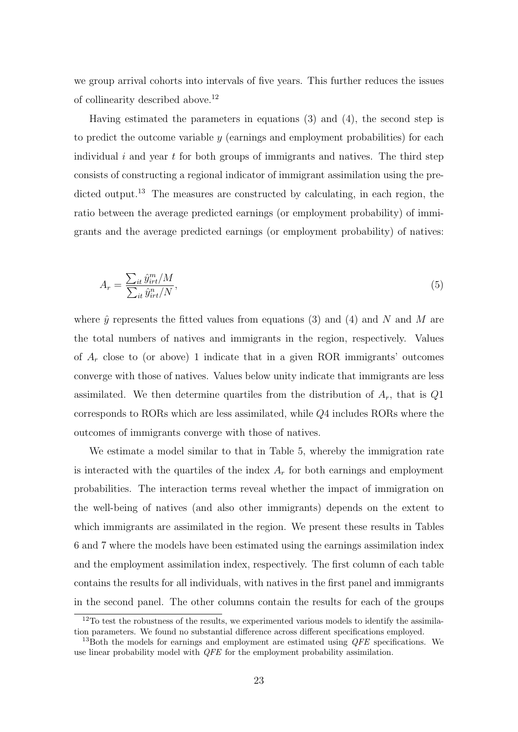we group arrival cohorts into intervals of five years. This further reduces the issues of collinearity described above.[12](#page-25-0)

Having estimated the parameters in equations [\(3\)](#page-24-2) and [\(4\)](#page-24-3), the second step is to predict the outcome variable  $y$  (earnings and employment probabilities) for each individual  $i$  and year  $t$  for both groups of immigrants and natives. The third step consists of constructing a regional indicator of immigrant assimilation using the pre-dicted output.<sup>[13](#page-25-1)</sup> The measures are constructed by calculating, in each region, the ratio between the average predicted earnings (or employment probability) of immigrants and the average predicted earnings (or employment probability) of natives:

$$
A_r = \frac{\sum_{it} \hat{y}_{irt}^m / M}{\sum_{it} \hat{y}_{irt}^n / N},\tag{5}
$$

where  $\hat{y}$  represents the fitted values from equations [\(3\)](#page-24-2) and [\(4\)](#page-24-3) and N and M are the total numbers of natives and immigrants in the region, respectively. Values of  $A_r$  close to (or above) 1 indicate that in a given ROR immigrants' outcomes converge with those of natives. Values below unity indicate that immigrants are less assimilated. We then determine quartiles from the distribution of  $A_r$ , that is  $Q1$ corresponds to RORs which are less assimilated, while Q4 includes RORs where the outcomes of immigrants converge with those of natives.

We estimate a model similar to that in Table [5,](#page-22-0) whereby the immigration rate is interacted with the quartiles of the index  $A<sub>r</sub>$  for both earnings and employment probabilities. The interaction terms reveal whether the impact of immigration on the well-being of natives (and also other immigrants) depends on the extent to which immigrants are assimilated in the region. We present these results in Tables [6](#page-27-0) and [7](#page-28-0) where the models have been estimated using the earnings assimilation index and the employment assimilation index, respectively. The first column of each table contains the results for all individuals, with natives in the first panel and immigrants in the second panel. The other columns contain the results for each of the groups

<span id="page-25-0"></span><sup>&</sup>lt;sup>12</sup>To test the robustness of the results, we experimented various models to identify the assimilation parameters. We found no substantial difference across different specifications employed.

<span id="page-25-1"></span> $13$ Both the models for earnings and employment are estimated using  $QFE$  specifications. We use linear probability model with *QFE* for the employment probability assimilation.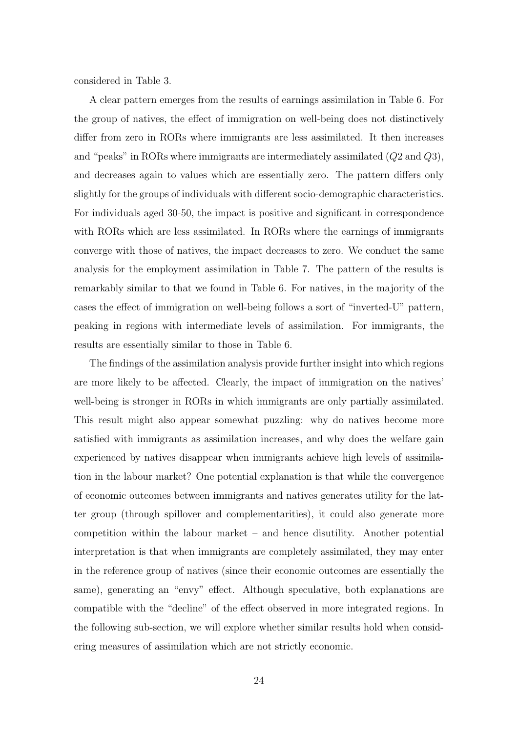considered in Table [3.](#page-17-0)

A clear pattern emerges from the results of earnings assimilation in Table [6.](#page-27-0) For the group of natives, the effect of immigration on well-being does not distinctively differ from zero in RORs where immigrants are less assimilated. It then increases and "peaks" in RORs where immigrants are intermediately assimilated (Q2 and Q3), and decreases again to values which are essentially zero. The pattern differs only slightly for the groups of individuals with different socio-demographic characteristics. For individuals aged 30-50, the impact is positive and significant in correspondence with RORs which are less assimilated. In RORs where the earnings of immigrants converge with those of natives, the impact decreases to zero. We conduct the same analysis for the employment assimilation in Table [7.](#page-28-0) The pattern of the results is remarkably similar to that we found in Table [6.](#page-27-0) For natives, in the majority of the cases the effect of immigration on well-being follows a sort of "inverted-U" pattern, peaking in regions with intermediate levels of assimilation. For immigrants, the results are essentially similar to those in Table [6.](#page-27-0)

The findings of the assimilation analysis provide further insight into which regions are more likely to be affected. Clearly, the impact of immigration on the natives' well-being is stronger in RORs in which immigrants are only partially assimilated. This result might also appear somewhat puzzling: why do natives become more satisfied with immigrants as assimilation increases, and why does the welfare gain experienced by natives disappear when immigrants achieve high levels of assimilation in the labour market? One potential explanation is that while the convergence of economic outcomes between immigrants and natives generates utility for the latter group (through spillover and complementarities), it could also generate more competition within the labour market – and hence disutility. Another potential interpretation is that when immigrants are completely assimilated, they may enter in the reference group of natives (since their economic outcomes are essentially the same), generating an "envy" effect. Although speculative, both explanations are compatible with the "decline" of the effect observed in more integrated regions. In the following sub-section, we will explore whether similar results hold when considering measures of assimilation which are not strictly economic.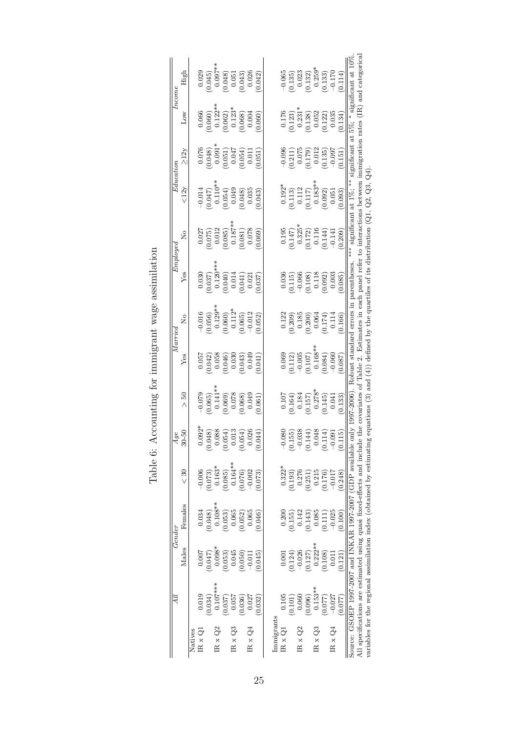<span id="page-27-0"></span>

|                                             | Дl                                                                                                                 |           | Gender    |                                             | Age                                                                                                           |                                                         |                                                                                      | Marrie                                                                                                    | Employec                                                                                           |                                                                                                         | Education                                                                                                            |                                                                                                    |                                                                                                     | Income                                                                                          |
|---------------------------------------------|--------------------------------------------------------------------------------------------------------------------|-----------|-----------|---------------------------------------------|---------------------------------------------------------------------------------------------------------------|---------------------------------------------------------|--------------------------------------------------------------------------------------|-----------------------------------------------------------------------------------------------------------|----------------------------------------------------------------------------------------------------|---------------------------------------------------------------------------------------------------------|----------------------------------------------------------------------------------------------------------------------|----------------------------------------------------------------------------------------------------|-----------------------------------------------------------------------------------------------------|-------------------------------------------------------------------------------------------------|
|                                             |                                                                                                                    | Males     | Females   | $\frac{30}{5}$                              | $-50$<br>$\approx$                                                                                            | PS.<br>Λ                                                | Yes                                                                                  | $\frac{1}{2}$                                                                                             | Yes                                                                                                | Σò                                                                                                      | <12y                                                                                                                 | $\geq$ 12y                                                                                         | Low                                                                                                 | High                                                                                            |
| Natives                                     |                                                                                                                    |           |           |                                             |                                                                                                               |                                                         |                                                                                      |                                                                                                           |                                                                                                    |                                                                                                         |                                                                                                                      |                                                                                                    |                                                                                                     |                                                                                                 |
| $\operatorname{IR} \times \operatorname{Q}$ | 0.019                                                                                                              | 0.007     | 0.034     | $-0.006$                                    | $0.092*$                                                                                                      | 0.079                                                   | 0.057                                                                                | 0.016                                                                                                     | 0.030                                                                                              | 0.027                                                                                                   |                                                                                                                      |                                                                                                    | 0.066                                                                                               | 0.029                                                                                           |
|                                             | (0.034)                                                                                                            | (0.047)   | (0.048)   | (0.073)                                     | (0.048)                                                                                                       |                                                         |                                                                                      |                                                                                                           |                                                                                                    |                                                                                                         |                                                                                                                      |                                                                                                    |                                                                                                     |                                                                                                 |
| IR $\times$ Q2                              | $0.107***$                                                                                                         | $0.098*$  | $0.108**$ | $0.163*$                                    | 0.088                                                                                                         | $(0.065)$<br>0.141**                                    |                                                                                      |                                                                                                           |                                                                                                    |                                                                                                         |                                                                                                                      |                                                                                                    |                                                                                                     |                                                                                                 |
|                                             | 0.037)                                                                                                             | (0.053)   | (0.053)   | 0.085)                                      |                                                                                                               |                                                         |                                                                                      |                                                                                                           |                                                                                                    |                                                                                                         |                                                                                                                      |                                                                                                    |                                                                                                     |                                                                                                 |
| IR $\times Q3$                              | 0.057                                                                                                              | 0.045     |           | $0.164***$                                  |                                                                                                               |                                                         |                                                                                      |                                                                                                           |                                                                                                    |                                                                                                         |                                                                                                                      |                                                                                                    |                                                                                                     |                                                                                                 |
|                                             | (0.036)                                                                                                            | (0.050)   | (0.065)   | (0.076)                                     | $\begin{array}{c} (0.054) \\ 0.013 \\ (0.054) \\ 0.026 \end{array}$                                           | $\begin{array}{c} 0.069 \\ 0.078 \\ 0.068 \end{array}$  | $\begin{array}{c} 0.042) \\ 0.058 \\ 0.046) \\ 0.030 \\ 0.043) \\ 0.049 \end{array}$ | $\begin{array}{c} 0.056) \\ 0.129^{* \ast} \\ 0.060) \\ 0.112^{*} \\ 0.112^{*} \\ -0.065) \\ \end{array}$ | $\begin{array}{c} 0.037 \\ 0.120^{**} \\ 0.040) \\ 0.041 \\ 0.014 \\ 0.041) \\ 0.021 \end{array}$  | $\begin{array}{c} 0.075) \\ 0.012 \\ 0.085) \\ 0.187^{**} \\ 0.187^{**} \\ 0.081) \\ 0.001 \end{array}$ | $\begin{array}{c} -0.014 \\ -0.047) \\ 0.110^{**} \\ -0.10^{**} \\ 0.054) \\ 0.049 \\ 0.049 \\ 0.035 \\ \end{array}$ | $\begin{array}{c} 0.076 \\ 0.048) \\ 0.091^* \\ 0.051) \\ 0.051) \\ 0.047 \\ 0.047 \\ \end{array}$ | $\begin{array}{c} 0.060)\\ 0.122^{*}\\ 0.062)\\ 0.1062\\ 0.123^{*}\\ 0.068)\\ 0.004 \end{array}$    | $0.045$<br>$0.097**$<br>$0.048$<br>$0.048$<br>$0.051$<br>$0.026$<br>$0.026$                     |
| $IR \times Q4$                              | 0.027                                                                                                              | $-0.01$   | 0.065     | $-0.002$                                    |                                                                                                               | 0.049                                                   |                                                                                      |                                                                                                           |                                                                                                    |                                                                                                         |                                                                                                                      |                                                                                                    |                                                                                                     |                                                                                                 |
|                                             | 0.032                                                                                                              | (0.045)   | 0.046     | 0.073)                                      | (0.044)                                                                                                       | 0.061                                                   | 0.041                                                                                | 0.052                                                                                                     | 0.037                                                                                              | 0.069                                                                                                   | 0.043                                                                                                                | 0.051                                                                                              | 0.060                                                                                               | 0.042                                                                                           |
|                                             |                                                                                                                    |           |           |                                             |                                                                                                               |                                                         |                                                                                      |                                                                                                           |                                                                                                    |                                                                                                         |                                                                                                                      |                                                                                                    |                                                                                                     |                                                                                                 |
| Immigrants                                  |                                                                                                                    |           |           |                                             |                                                                                                               |                                                         |                                                                                      |                                                                                                           |                                                                                                    |                                                                                                         |                                                                                                                      |                                                                                                    |                                                                                                     |                                                                                                 |
| $\times Q1$                                 | 0.105                                                                                                              | 0.001     | 0.200     | $0.322*$                                    | $-0.080$                                                                                                      |                                                         | 0.069                                                                                |                                                                                                           |                                                                                                    | 0.195                                                                                                   |                                                                                                                      |                                                                                                    |                                                                                                     | $-0.065$                                                                                        |
|                                             | (0.101)                                                                                                            | (0.124)   | (0.155)   | (0.193)                                     |                                                                                                               | $\begin{array}{c} 0.107 \\ 0.164) \\ 0.184 \end{array}$ | $\begin{array}{c} (0.112) \\ -0.005 \\ (0.107) \\ 0.168^{**} \end{array}$            |                                                                                                           |                                                                                                    |                                                                                                         |                                                                                                                      |                                                                                                    |                                                                                                     |                                                                                                 |
| IR $\mathrm{x}$ Q2                          | 0.060                                                                                                              | $-0.026$  | 0.142     | 0.276                                       |                                                                                                               |                                                         |                                                                                      |                                                                                                           |                                                                                                    |                                                                                                         |                                                                                                                      |                                                                                                    |                                                                                                     |                                                                                                 |
|                                             | 0.096)                                                                                                             | (0.127)   | (0.143)   |                                             |                                                                                                               | $(0.157)$<br>0.278*                                     |                                                                                      |                                                                                                           |                                                                                                    |                                                                                                         |                                                                                                                      |                                                                                                    |                                                                                                     |                                                                                                 |
| IR $\rm x$ Q3                               | $0.153**$                                                                                                          | $0.222**$ | 0.085     | $\left( 0.251\right)$ $\left( 0.215\right)$ |                                                                                                               |                                                         |                                                                                      |                                                                                                           |                                                                                                    |                                                                                                         |                                                                                                                      |                                                                                                    |                                                                                                     |                                                                                                 |
|                                             | (770.077)                                                                                                          | (0.108)   | (0.111)   | (0.176)                                     | $\begin{array}{c} (0.155) \\ -0.038 \\ (0.144) \\ 0.048 \\ 0.048 \\ (0.114) \\ (0.114) \\ -0.091 \end{array}$ | 0.145)                                                  | $0.084$ )<br>$-0.060$                                                                | $\begin{array}{c} 0.122 \\ 0.209) \\ 0.185 \\ 0.030) \\ 0.064 \\ 0.064 \\ 0.174) \end{array}$             | $\begin{array}{c} 0.036 \\ 0.115) \\ -0.066 \\ 0.108) \\ 0.118 \\ 0.092) \\ 0.003 \end{array}$     | $\begin{array}{c} 0.147 \\ 0.325^* \\ 0.172) \\ 0.116 \\ 0.141 \\ \end{array}$                          | $\begin{array}{c} 0.192^* \\ 0.113) \\ 0.112 \\ 0.117) \\ 0.183^{**} \\ 0.082) \\ 0.092) \\ 0.051 \end{array}$       | $\begin{array}{c} -0.096 \\ -0.211) \\ 0.075 \\ 0.179) \\ 0.012 \\ 0.013 \\ -0.037 \end{array}$    | $\begin{array}{c} 0.176 \\ 0.123) \\ 0.231^{\ast} \\ 0.138) \\ 0.052 \\ 0.052 \\ 0.035 \end{array}$ | $\begin{array}{c} 0.135 \\ 0.023 \\ 0.132 \\ 0.259^* \\ 0.259^* \\ 0.133 \\ -0.170 \end{array}$ |
| $IR \times Q4$                              | $-0.027$                                                                                                           | 0.01      | $-0.025$  | $-0.017$                                    |                                                                                                               | 0.041                                                   |                                                                                      |                                                                                                           |                                                                                                    |                                                                                                         |                                                                                                                      |                                                                                                    |                                                                                                     |                                                                                                 |
|                                             | 0.077                                                                                                              | (0.121)   | (0.100)   | (0.248)                                     | (0.115)                                                                                                       | 0.133                                                   | 0.087                                                                                | 0.166)                                                                                                    | 0.085                                                                                              | 0.209                                                                                                   | 0.093                                                                                                                | 0.151)                                                                                             | 0.134                                                                                               |                                                                                                 |
|                                             | Source: GSOEP 1997-2007 and INKAR 1997-2007 (GDP available only 1997-2006). Robust standard errors in parentheses. |           |           |                                             |                                                                                                               |                                                         |                                                                                      |                                                                                                           |                                                                                                    | ***                                                                                                     | significant at $1\%$ ; **                                                                                            | significant at 5%; *                                                                               |                                                                                                     | significant at 10%                                                                              |
|                                             | All specifications are estimated using quasi fixed-effects and include                                             |           |           |                                             |                                                                                                               |                                                         |                                                                                      |                                                                                                           | the covariates of Table 2. Estimates in each panel refer to interactions between immigration rates |                                                                                                         |                                                                                                                      |                                                                                                    |                                                                                                     | (IR) and categorica                                                                             |
|                                             | variables for the regional assimilation index (obtained by estimating                                              |           |           |                                             |                                                                                                               |                                                         |                                                                                      |                                                                                                           | equations (3) and (4) defined by the quartiles of its distribution (Q1, Q2, Q3,                    |                                                                                                         |                                                                                                                      | $\widetilde{Q}$                                                                                    |                                                                                                     |                                                                                                 |

Table 6: Accounting for immigrant wage assimilation Table 6: Accounting for immigrant wage assimilation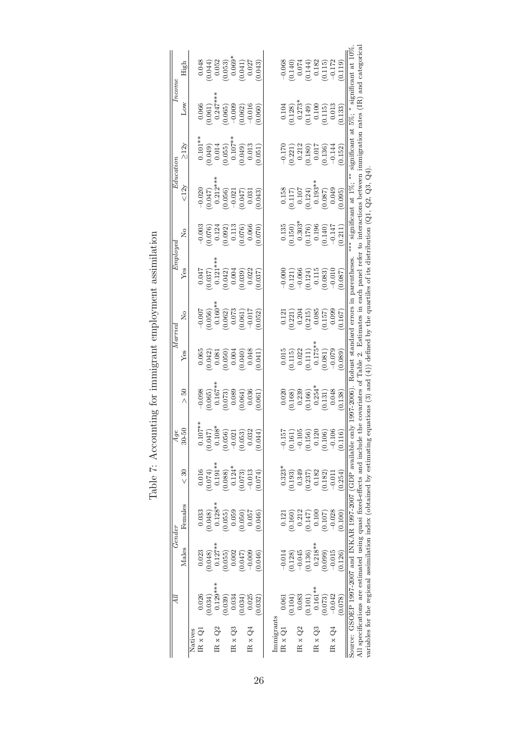<span id="page-28-0"></span>

|                    | Дl                                                                       |            | Gender    |                | Age       |                                                                                                               |                                                                                                               | $_{Marree}$                                                                                                       | Employed                                                                                                                                         |                                                                                               | Education                                                                                                     |                                                                                                          | Incom                                                                                             |                                                                                           |
|--------------------|--------------------------------------------------------------------------|------------|-----------|----------------|-----------|---------------------------------------------------------------------------------------------------------------|---------------------------------------------------------------------------------------------------------------|-------------------------------------------------------------------------------------------------------------------|--------------------------------------------------------------------------------------------------------------------------------------------------|-----------------------------------------------------------------------------------------------|---------------------------------------------------------------------------------------------------------------|----------------------------------------------------------------------------------------------------------|---------------------------------------------------------------------------------------------------|-------------------------------------------------------------------------------------------|
|                    |                                                                          | Males      | Females   | $\frac{30}{5}$ | $30 - 50$ | S<br>$\wedge$                                                                                                 | Yes                                                                                                           | $\tilde{\mathbf{z}}$                                                                                              | $Y$ es                                                                                                                                           | å                                                                                             | $\langle 12y$                                                                                                 | $\geq$ 12y                                                                                               | Low                                                                                               | High                                                                                      |
| Natives            |                                                                          |            |           |                |           |                                                                                                               |                                                                                                               |                                                                                                                   |                                                                                                                                                  |                                                                                               |                                                                                                               |                                                                                                          |                                                                                                   |                                                                                           |
| $IR \times Q$      | 0.026                                                                    | 0.023      | 0.033     | 0.016          | $0.107**$ | 0.098                                                                                                         | 0.065                                                                                                         | 0.007                                                                                                             |                                                                                                                                                  | 0.003                                                                                         |                                                                                                               |                                                                                                          | 0.066                                                                                             | 0.048                                                                                     |
|                    | 0.034                                                                    | (0.048)    | (840.0)   | 0.074)         | (150.0)   |                                                                                                               |                                                                                                               |                                                                                                                   |                                                                                                                                                  |                                                                                               |                                                                                                               |                                                                                                          |                                                                                                   |                                                                                           |
| IR $xQ2$           | $0.129***$                                                               | $0.127***$ | $0.128**$ | $0.191***$     | $0.108*$  |                                                                                                               |                                                                                                               |                                                                                                                   |                                                                                                                                                  |                                                                                               |                                                                                                               |                                                                                                          |                                                                                                   |                                                                                           |
|                    | (0.039)                                                                  | (0.055)    | 0.055)    | 0.088          | (0.056)   |                                                                                                               |                                                                                                               |                                                                                                                   |                                                                                                                                                  |                                                                                               |                                                                                                               |                                                                                                          |                                                                                                   |                                                                                           |
| IR $\times Q3$     | 0.034                                                                    | 0.002      | 0.059     | $0.124*$       | $-0.021$  |                                                                                                               |                                                                                                               |                                                                                                                   |                                                                                                                                                  |                                                                                               |                                                                                                               |                                                                                                          |                                                                                                   |                                                                                           |
|                    | 0.034                                                                    | (0.047)    | 0.050)    | 0.073)         | (0.053)   | $\begin{array}{c} 0.065 \\ 0.167^* \\ 0.073) \\ 0.0039 \\ 0.064) \\ 0.064 \end{array}$                        | $\begin{array}{c} 0.042 \ 0.081 \ 0.050) \ 0.004 \ 0.040) \ 0.040 \end{array}$                                | $\begin{array}{c} 0.056) \\ 0.160^{* \circ} \\ 0.062) \\ 0.062) \\ 0.073 \\ -0.017 \end{array}$                   | $\begin{array}{c} 0.047 \\ 0.037) \\ 0.121^{**} \\ 0.042) \\ 0.004 \\ 0.0039) \\ 0.039) \\ 0.022 \end{array}$                                    | $\begin{array}{c} 0.076) \\ 0.124 \\ 0.092) \\ 0.113 \\ 0.076) \\ 0.066 \\ 0.066 \end{array}$ | $\begin{array}{c} 0.020 \\ 0.047) \\ 0.212** \\ 0.3060 \\ 0.056) \\ -0.021 \\ 0.047) \\ 0.031 \\ \end{array}$ | $0.101**$<br>$0.049)$<br>$0.014$<br>$0.055)$<br>$0.107**$<br>$0.049)$<br>$0.013$<br>$0.013$              | $\begin{array}{c} 0.061)\\0.247**\\0.347*\\0.065)\\0.069\\0.002)\\0.016\end{array}$               | $\begin{array}{c} 0.044) \\ 0.052 \\ 0.053) \\ 0.069^{*} \\ 0.041) \\ 0.0417 \end{array}$ |
| $IR \times Q4$     | 0.025                                                                    | $-0.009$   | 0.057     | $-0.013$       | 0.032     |                                                                                                               |                                                                                                               |                                                                                                                   |                                                                                                                                                  |                                                                                               |                                                                                                               |                                                                                                          |                                                                                                   |                                                                                           |
|                    | 0.032                                                                    | 0.046      | 0.046     | (1.074)        | 0.044     | 1.061                                                                                                         | 1.041                                                                                                         | 0.052                                                                                                             | 0.037                                                                                                                                            |                                                                                               | 0.043                                                                                                         | 0.051)                                                                                                   | 0.060                                                                                             | 0.043)                                                                                    |
|                    |                                                                          |            |           |                |           |                                                                                                               |                                                                                                               |                                                                                                                   |                                                                                                                                                  |                                                                                               |                                                                                                               |                                                                                                          |                                                                                                   |                                                                                           |
| Immigrants         |                                                                          |            |           |                |           |                                                                                                               |                                                                                                               |                                                                                                                   |                                                                                                                                                  |                                                                                               |                                                                                                               |                                                                                                          |                                                                                                   |                                                                                           |
| $R \times Q$       |                                                                          | $-0.014$   | 0.121     | $0.323*$       | $-0.157$  |                                                                                                               |                                                                                                               |                                                                                                                   |                                                                                                                                                  |                                                                                               |                                                                                                               |                                                                                                          |                                                                                                   |                                                                                           |
|                    | 0.104                                                                    | (0.128)    | 0.160)    | 0.193)         | (0.161)   |                                                                                                               |                                                                                                               |                                                                                                                   |                                                                                                                                                  |                                                                                               |                                                                                                               |                                                                                                          |                                                                                                   |                                                                                           |
| IR $\mathrm{x}$ Q2 | 0.083                                                                    | $-0.045$   | 0.212     | 0.349          | $-0.105$  |                                                                                                               |                                                                                                               |                                                                                                                   |                                                                                                                                                  |                                                                                               |                                                                                                               |                                                                                                          |                                                                                                   |                                                                                           |
|                    | 0.101                                                                    | (0.136)    | (147)     | 0.237          | (0.156)   |                                                                                                               |                                                                                                               |                                                                                                                   |                                                                                                                                                  |                                                                                               |                                                                                                               |                                                                                                          |                                                                                                   |                                                                                           |
| IR $\mathrm{x}$ Q3 | $0.161***$                                                               | $0.218***$ | 0.100     | 0.182          | 0.120     |                                                                                                               |                                                                                                               |                                                                                                                   |                                                                                                                                                  |                                                                                               |                                                                                                               |                                                                                                          |                                                                                                   |                                                                                           |
|                    | (0.073)                                                                  | (660.0)    | (0.107)   | (0.182)        | (0.106)   | $\begin{array}{c} 0.020 \\ (0.168) \\ 0.239 \\ (0.166) \\ (0.166) \\ 0.254^* \\ 0.131) \\ 0.131) \end{array}$ | $\begin{array}{c} 0.015 \\ 0.115) \\ 0.022 \\ 0.111) \\ 0.111) \\ 0.175^{**} \\ 0.081) \\ -0.091 \end{array}$ | $\begin{array}{c} 0.121 \\ (0.221) \\ 0.204 \\ 0.215) \\ 0.085 \\ 0.085 \\ 0.157) \\ 0.099 \\ 0.157) \end{array}$ | $\begin{array}{c} -0.000 \\ -0.121) \\ -0.066 \\ 0.124) \\ 0.115 \\ 0.083) \\ -0.010 \end{array}$                                                | $\begin{array}{c} 0.135 \\ 0.150) \\ 0.303^4 \\ 0.176) \\ 0.176) \\ 0.196 \\ \end{array}$     | $\begin{array}{l} 0.158 \\ -0.117) \\ 0.101 \\ -0.124) \\ 0.124) \\ 0.087) \\ 0.087) \\ 0.000 \\ \end{array}$ | $\begin{array}{c} -0.170 \\ -0.221) \\ 0.212 \\ 0.180) \\ 0.017 \\ 0.017 \\ 0.014 \\ -0.144 \end{array}$ | $\begin{array}{c} 0.104 \\ 0.128) \\ 0.273^{*} \\ 0.149) \\ 0.100 \\ 0.100 \\ 0.115) \end{array}$ | $-0.068$<br>(0.141)<br>(0.1510)<br>(4115)<br>(115)<br>(115)                               |
| IR x $Q4$          | $-0.042$                                                                 | $-0.015$   | $-0.028$  | $-0.011$       | $-0.10$   |                                                                                                               |                                                                                                               |                                                                                                                   |                                                                                                                                                  |                                                                                               |                                                                                                               |                                                                                                          |                                                                                                   |                                                                                           |
|                    | 0.078                                                                    | 0.126      | 0.100     | (0.254)        | 0.116     | 0.138)                                                                                                        | 0.089                                                                                                         |                                                                                                                   | 0.087                                                                                                                                            | 0.211                                                                                         | 0.095                                                                                                         | 0.152                                                                                                    | 0.133                                                                                             | 0.119                                                                                     |
|                    | Source: GSOEP 1997-2007 and INKAR 1997-2007 (GDP available on            |            |           |                | $\geq$    | 1997-2006).                                                                                                   | Robust standard errors in parentheses                                                                         |                                                                                                                   |                                                                                                                                                  |                                                                                               | significant at 1%;                                                                                            | significant                                                                                              | 5%;<br>đ                                                                                          | significant at 10%                                                                        |
|                    | All specifications are estimated using quasi fixed-effects and include t |            |           |                |           | he covariates of Table 2.                                                                                     |                                                                                                               |                                                                                                                   | Estimates in each panel refer to i                                                                                                               |                                                                                               | interactions between                                                                                          | immigration                                                                                              | $\widehat{\Xi}$<br>rates                                                                          | and categorica                                                                            |
|                    |                                                                          |            |           |                |           |                                                                                                               |                                                                                                               |                                                                                                                   | variables for the regional assimilation index (obtained by estimating equations $(3)$ and $(4)$ ) defined by the quartiles of its distribution ( |                                                                                               | $\mathcal{C}^4$<br>(Q1, Q2, Q3,                                                                               |                                                                                                          |                                                                                                   |                                                                                           |

Table 7: Accounting for immigrant employment assimilation Table 7: Accounting for immigrant employment assimilation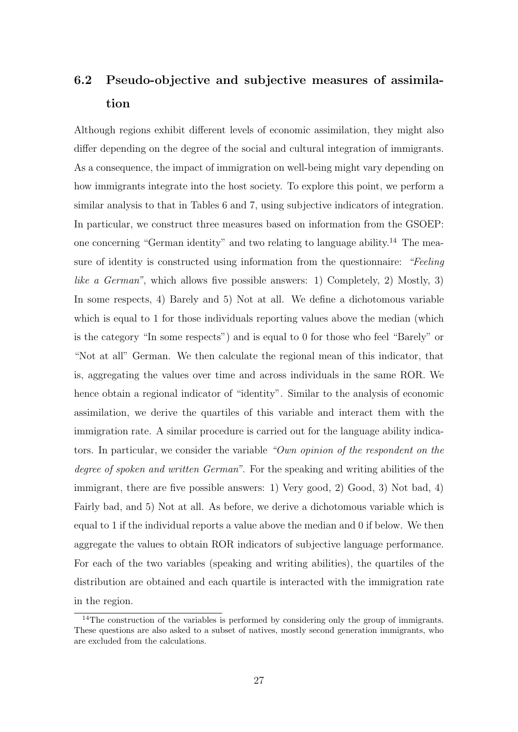# 6.2 Pseudo-objective and subjective measures of assimilation

Although regions exhibit different levels of economic assimilation, they might also differ depending on the degree of the social and cultural integration of immigrants. As a consequence, the impact of immigration on well-being might vary depending on how immigrants integrate into the host society. To explore this point, we perform a similar analysis to that in Tables [6](#page-27-0) and [7,](#page-28-0) using subjective indicators of integration. In particular, we construct three measures based on information from the GSOEP: one concerning "German identity" and two relating to language ability.<sup>[14](#page-29-0)</sup> The measure of identity is constructed using information from the questionnaire: "Feeling like a German", which allows five possible answers: 1) Completely, 2) Mostly, 3) In some respects, 4) Barely and 5) Not at all. We define a dichotomous variable which is equal to 1 for those individuals reporting values above the median (which is the category "In some respects") and is equal to 0 for those who feel "Barely" or "Not at all" German. We then calculate the regional mean of this indicator, that is, aggregating the values over time and across individuals in the same ROR. We hence obtain a regional indicator of "identity". Similar to the analysis of economic assimilation, we derive the quartiles of this variable and interact them with the immigration rate. A similar procedure is carried out for the language ability indicators. In particular, we consider the variable "Own opinion of the respondent on the degree of spoken and written German". For the speaking and writing abilities of the immigrant, there are five possible answers: 1) Very good, 2) Good, 3) Not bad, 4) Fairly bad, and 5) Not at all. As before, we derive a dichotomous variable which is equal to 1 if the individual reports a value above the median and 0 if below. We then aggregate the values to obtain ROR indicators of subjective language performance. For each of the two variables (speaking and writing abilities), the quartiles of the distribution are obtained and each quartile is interacted with the immigration rate in the region.

<span id="page-29-0"></span><sup>&</sup>lt;sup>14</sup>The construction of the variables is performed by considering only the group of immigrants. These questions are also asked to a subset of natives, mostly second generation immigrants, who are excluded from the calculations.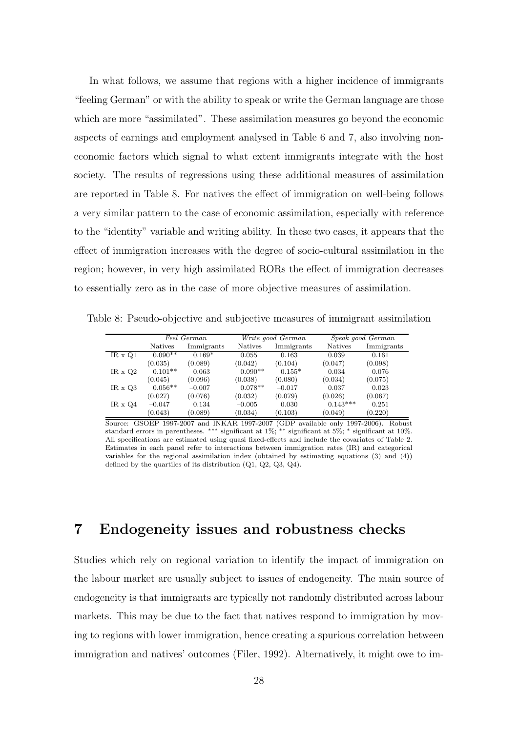In what follows, we assume that regions with a higher incidence of immigrants "feeling German" or with the ability to speak or write the German language are those which are more "assimilated". These assimilation measures go beyond the economic aspects of earnings and employment analysed in Table [6](#page-27-0) and [7,](#page-28-0) also involving noneconomic factors which signal to what extent immigrants integrate with the host society. The results of regressions using these additional measures of assimilation are reported in Table [8.](#page-30-0) For natives the effect of immigration on well-being follows a very similar pattern to the case of economic assimilation, especially with reference to the "identity" variable and writing ability. In these two cases, it appears that the effect of immigration increases with the degree of socio-cultural assimilation in the region; however, in very high assimilated RORs the effect of immigration decreases to essentially zero as in the case of more objective measures of assimilation.

Table 8: Pseudo-objective and subjective measures of immigrant assimilation

<span id="page-30-0"></span>

|                |                | Feel German |                | Write good German |                | Speak good German |
|----------------|----------------|-------------|----------------|-------------------|----------------|-------------------|
|                | <b>Natives</b> | Immigrants  | <b>Natives</b> | Immigrants        | <b>Natives</b> | Immigrants        |
| $IR \times Q1$ | $0.090**$      | $0.169*$    | 0.055          | 0.163             | 0.039          | 0.161             |
|                | (0.035)        | (0.089)     | (0.042)        | (0.104)           | (0.047)        | (0.098)           |
| IR $\times$ Q2 | $0.101**$      | 0.063       | $0.090**$      | $0.155*$          | 0.034          | 0.076             |
|                | (0.045)        | (0.096)     | (0.038)        | (0.080)           | (0.034)        | (0.075)           |
| $IR \times Q3$ | $0.056**$      | $-0.007$    | $0.078**$      | $-0.017$          | 0.037          | 0.023             |
|                | (0.027)        | (0.076)     | (0.032)        | (0.079)           | (0.026)        | (0.067)           |
| $IR \times Q4$ | $-0.047$       | 0.134       | $-0.005$       | 0.030             | $0.143***$     | 0.251             |
|                | (0.043)        | (0.089)     | (0.034)        | (0.103)           | (0.049)        | (0.220)           |

Source: GSOEP 1997-2007 and INKAR 1997-2007 (GDP available only 1997-2006). Robust standard errors in parentheses. ∗∗∗ significant at 1%; ∗∗ significant at 5%; <sup>∗</sup> significant at 10%. All specifications are estimated using quasi fixed-effects and include the covariates of Table [2.](#page-15-0) Estimates in each panel refer to interactions between immigration rates (IR) and categorical variables for the regional assimilation index (obtained by estimating equations  $(3)$  and  $(4)$ ) defined by the quartiles of its distribution (Q1, Q2, Q3, Q4).

# 7 Endogeneity issues and robustness checks

Studies which rely on regional variation to identify the impact of immigration on the labour market are usually subject to issues of endogeneity. The main source of endogeneity is that immigrants are typically not randomly distributed across labour markets. This may be due to the fact that natives respond to immigration by moving to regions with lower immigration, hence creating a spurious correlation between immigration and natives' outcomes [\(Filer,](#page--1-19) [1992\)](#page--1-19). Alternatively, it might owe to im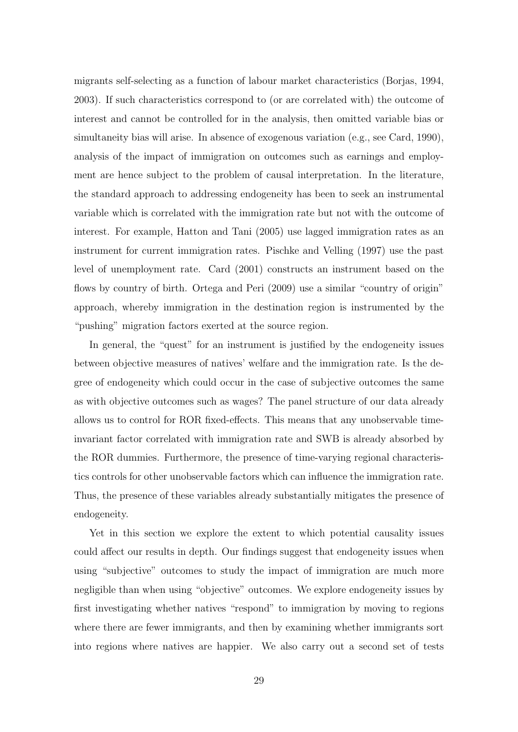migrants self-selecting as a function of labour market characteristics [\(Borjas,](#page--1-0) [1994,](#page--1-0) [2003\)](#page--1-3). If such characteristics correspond to (or are correlated with) the outcome of interest and cannot be controlled for in the analysis, then omitted variable bias or simultaneity bias will arise. In absence of exogenous variation (e.g., see [Card,](#page--1-4) [1990\)](#page--1-4), analysis of the impact of immigration on outcomes such as earnings and employment are hence subject to the problem of causal interpretation. In the literature, the standard approach to addressing endogeneity has been to seek an instrumental variable which is correlated with the immigration rate but not with the outcome of interest. For example, [Hatton and Tani](#page--1-15) [\(2005\)](#page--1-15) use lagged immigration rates as an instrument for current immigration rates. [Pischke and Velling](#page--1-19) [\(1997\)](#page--1-19) use the past level of unemployment rate. [Card](#page--1-5) [\(2001\)](#page--1-5) constructs an instrument based on the flows by country of birth. [Ortega and Peri](#page--1-33) [\(2009\)](#page--1-33) use a similar "country of origin" approach, whereby immigration in the destination region is instrumented by the "pushing" migration factors exerted at the source region.

In general, the "quest" for an instrument is justified by the endogeneity issues between objective measures of natives' welfare and the immigration rate. Is the degree of endogeneity which could occur in the case of subjective outcomes the same as with objective outcomes such as wages? The panel structure of our data already allows us to control for ROR fixed-effects. This means that any unobservable timeinvariant factor correlated with immigration rate and SWB is already absorbed by the ROR dummies. Furthermore, the presence of time-varying regional characteristics controls for other unobservable factors which can influence the immigration rate. Thus, the presence of these variables already substantially mitigates the presence of endogeneity.

Yet in this section we explore the extent to which potential causality issues could affect our results in depth. Our findings suggest that endogeneity issues when using "subjective" outcomes to study the impact of immigration are much more negligible than when using "objective" outcomes. We explore endogeneity issues by first investigating whether natives "respond" to immigration by moving to regions where there are fewer immigrants, and then by examining whether immigrants sort into regions where natives are happier. We also carry out a second set of tests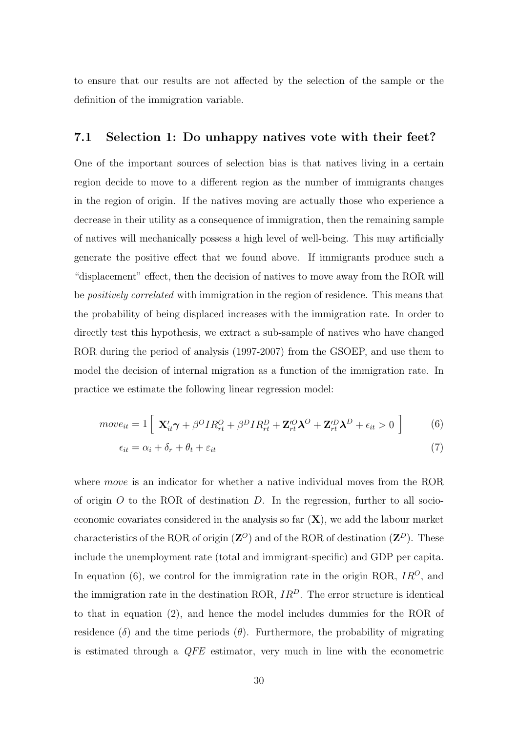to ensure that our results are not affected by the selection of the sample or the definition of the immigration variable.

#### 7.1 Selection 1: Do unhappy natives vote with their feet?

One of the important sources of selection bias is that natives living in a certain region decide to move to a different region as the number of immigrants changes in the region of origin. If the natives moving are actually those who experience a decrease in their utility as a consequence of immigration, then the remaining sample of natives will mechanically possess a high level of well-being. This may artificially generate the positive effect that we found above. If immigrants produce such a "displacement" effect, then the decision of natives to move away from the ROR will be *positively correlated* with immigration in the region of residence. This means that the probability of being displaced increases with the immigration rate. In order to directly test this hypothesis, we extract a sub-sample of natives who have changed ROR during the period of analysis (1997-2007) from the GSOEP, and use them to model the decision of internal migration as a function of the immigration rate. In practice we estimate the following linear regression model:

$$
move_{it} = 1 \left[ \mathbf{X}_{it}'\boldsymbol{\gamma} + \beta^O IR_{rt}^O + \beta^D IR_{rt}^D + \mathbf{Z}_{rt}^O \boldsymbol{\lambda}^O + \mathbf{Z}_{rt}'^D \boldsymbol{\lambda}^D + \epsilon_{it} > 0 \right]
$$
 (6)

<span id="page-32-0"></span>
$$
\epsilon_{it} = \alpha_i + \delta_r + \theta_t + \varepsilon_{it} \tag{7}
$$

where *move* is an indicator for whether a native individual moves from the ROR of origin  $O$  to the ROR of destination  $D$ . In the regression, further to all socioeconomic covariates considered in the analysis so far  $(X)$ , we add the labour market characteristics of the ROR of origin  $(\mathbf{Z}^O)$  and of the ROR of destination  $(\mathbf{Z}^D)$ . These include the unemployment rate (total and immigrant-specific) and GDP per capita. In equation [\(6\)](#page-32-0), we control for the immigration rate in the origin ROR,  $IR<sup>O</sup>$ , and the immigration rate in the destination ROR,  $IR<sup>D</sup>$ . The error structure is identical to that in equation [\(2\)](#page-12-0), and hence the model includes dummies for the ROR of residence (δ) and the time periods ( $\theta$ ). Furthermore, the probability of migrating is estimated through a QFE estimator, very much in line with the econometric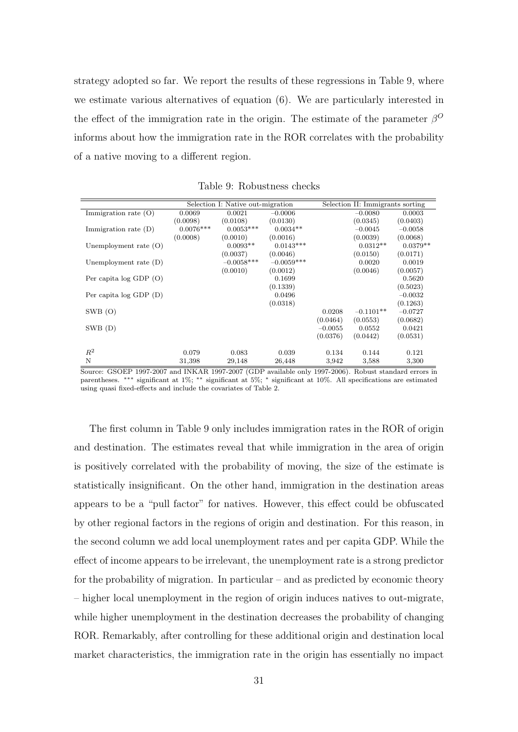strategy adopted so far. We report the results of these regressions in Table [9,](#page-33-0) where we estimate various alternatives of equation [\(6\)](#page-32-0). We are particularly interested in the effect of the immigration rate in the origin. The estimate of the parameter  $\beta^0$ informs about how the immigration rate in the ROR correlates with the probability of a native moving to a different region.

|                            |             | Selection I: Native out-migration |              |           | Selection II: Immigrants sorting |            |
|----------------------------|-------------|-----------------------------------|--------------|-----------|----------------------------------|------------|
| Immigration rate $(O)$     | 0.0069      | 0.0021                            | $-0.0006$    |           | $-0.0080$                        | 0.0003     |
|                            | (0.0098)    | (0.0108)                          | (0.0130)     |           | (0.0345)                         | (0.0403)   |
| Immigration rate $(D)$     | $0.0076***$ | $0.0053***$                       | $0.0034**$   |           | $-0.0045$                        | $-0.0058$  |
|                            | (0.0008)    | (0.0010)                          | (0.0016)     |           | (0.0039)                         | (0.0068)   |
| Unemployment rate $(O)$    |             | $0.0093**$                        | $0.0143***$  |           | $0.0312**$                       | $0.0379**$ |
|                            |             | (0.0037)                          | (0.0046)     |           | (0.0150)                         | (0.0171)   |
| Unemployment rate $(D)$    |             | $-0.0058***$                      | $-0.0059***$ |           | 0.0020                           | 0.0019     |
|                            |             | (0.0010)                          | (0.0012)     |           | (0.0046)                         | (0.0057)   |
| Per capita $log$ GDP $(O)$ |             |                                   | 0.1699       |           |                                  | 0.5620     |
|                            |             |                                   | (0.1339)     |           |                                  | (0.5023)   |
| Per capita $log GDP(D)$    |             |                                   | 0.0496       |           |                                  | $-0.0032$  |
|                            |             |                                   | (0.0318)     |           |                                  | (0.1263)   |
| $SWB$ (O)                  |             |                                   |              | 0.0208    | $-0.1101**$                      | $-0.0727$  |
|                            |             |                                   |              | (0.0464)  | (0.0553)                         | (0.0682)   |
| SWB(D)                     |             |                                   |              | $-0.0055$ | 0.0552                           | 0.0421     |
|                            |             |                                   |              | (0.0376)  | (0.0442)                         | (0.0531)   |
|                            |             |                                   |              |           |                                  |            |
| $R^2$                      | 0.079       | 0.083                             | 0.039        | 0.134     | 0.144                            | 0.121      |
| N                          | 31,398      | 29,148                            | 26,448       | 3,942     | 3,588                            | 3,300      |

<span id="page-33-0"></span>Table 9: Robustness checks

Source: GSOEP 1997-2007 and INKAR 1997-2007 (GDP available only 1997-2006). Robust standard errors in parentheses. ∗∗∗ significant at 1%; ∗∗ significant at 5%; <sup>∗</sup> significant at 10%. All specifications are estimated using quasi fixed-effects and include the covariates of Table [2.](#page-15-0)

The first column in Table 9 only includes immigration rates in the ROR of origin and destination. The estimates reveal that while immigration in the area of origin is positively correlated with the probability of moving, the size of the estimate is statistically insignificant. On the other hand, immigration in the destination areas appears to be a "pull factor" for natives. However, this effect could be obfuscated by other regional factors in the regions of origin and destination. For this reason, in the second column we add local unemployment rates and per capita GDP. While the effect of income appears to be irrelevant, the unemployment rate is a strong predictor for the probability of migration. In particular – and as predicted by economic theory – higher local unemployment in the region of origin induces natives to out-migrate, while higher unemployment in the destination decreases the probability of changing ROR. Remarkably, after controlling for these additional origin and destination local market characteristics, the immigration rate in the origin has essentially no impact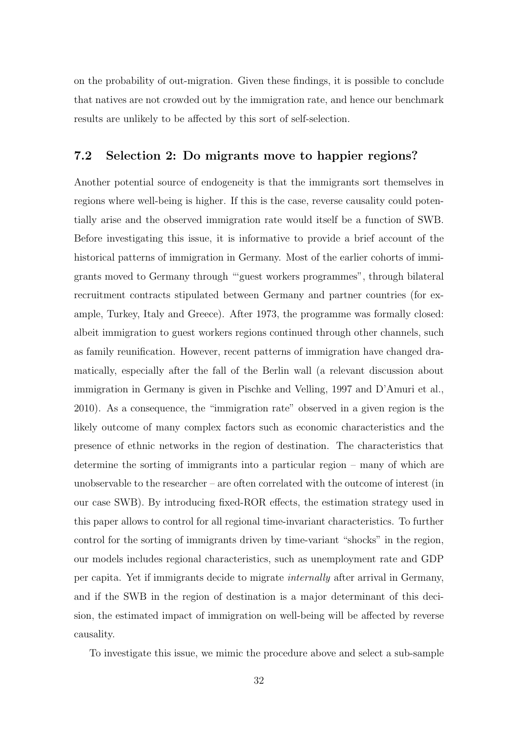on the probability of out-migration. Given these findings, it is possible to conclude that natives are not crowded out by the immigration rate, and hence our benchmark results are unlikely to be affected by this sort of self-selection.

#### 7.2 Selection 2: Do migrants move to happier regions?

Another potential source of endogeneity is that the immigrants sort themselves in regions where well-being is higher. If this is the case, reverse causality could potentially arise and the observed immigration rate would itself be a function of SWB. Before investigating this issue, it is informative to provide a brief account of the historical patterns of immigration in Germany. Most of the earlier cohorts of immigrants moved to Germany through "'guest workers programmes", through bilateral recruitment contracts stipulated between Germany and partner countries (for example, Turkey, Italy and Greece). After 1973, the programme was formally closed: albeit immigration to guest workers regions continued through other channels, such as family reunification. However, recent patterns of immigration have changed dramatically, especially after the fall of the Berlin wall (a relevant discussion about immigration in Germany is given in [Pischke and Velling,](#page--1-19) [1997](#page--1-19) and [D'Amuri et al.,](#page--1-20) [2010\)](#page--1-20). As a consequence, the "immigration rate" observed in a given region is the likely outcome of many complex factors such as economic characteristics and the presence of ethnic networks in the region of destination. The characteristics that determine the sorting of immigrants into a particular region – many of which are unobservable to the researcher – are often correlated with the outcome of interest (in our case SWB). By introducing fixed-ROR effects, the estimation strategy used in this paper allows to control for all regional time-invariant characteristics. To further control for the sorting of immigrants driven by time-variant "shocks" in the region, our models includes regional characteristics, such as unemployment rate and GDP per capita. Yet if immigrants decide to migrate internally after arrival in Germany, and if the SWB in the region of destination is a major determinant of this decision, the estimated impact of immigration on well-being will be affected by reverse causality.

To investigate this issue, we mimic the procedure above and select a sub-sample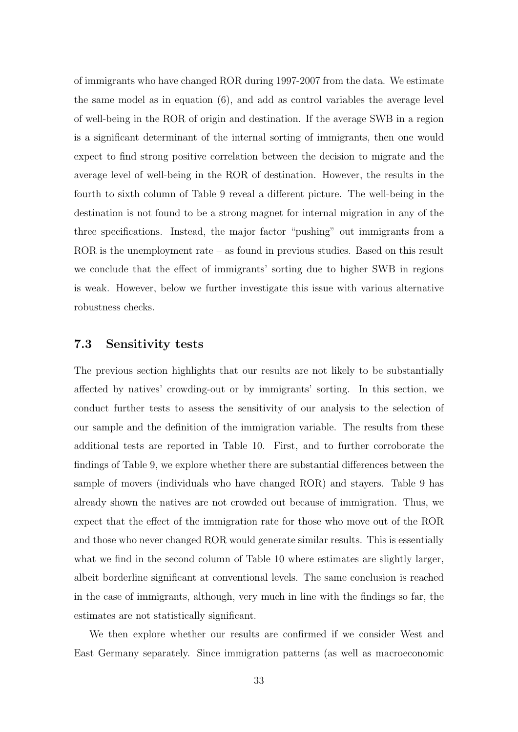of immigrants who have changed ROR during 1997-2007 from the data. We estimate the same model as in equation [\(6\)](#page-32-0), and add as control variables the average level of well-being in the ROR of origin and destination. If the average SWB in a region is a significant determinant of the internal sorting of immigrants, then one would expect to find strong positive correlation between the decision to migrate and the average level of well-being in the ROR of destination. However, the results in the fourth to sixth column of Table [9](#page-33-0) reveal a different picture. The well-being in the destination is not found to be a strong magnet for internal migration in any of the three specifications. Instead, the major factor "pushing" out immigrants from a ROR is the unemployment rate – as found in previous studies. Based on this result we conclude that the effect of immigrants' sorting due to higher SWB in regions is weak. However, below we further investigate this issue with various alternative robustness checks.

### 7.3 Sensitivity tests

The previous section highlights that our results are not likely to be substantially affected by natives' crowding-out or by immigrants' sorting. In this section, we conduct further tests to assess the sensitivity of our analysis to the selection of our sample and the definition of the immigration variable. The results from these additional tests are reported in Table [10.](#page-36-0) First, and to further corroborate the findings of Table [9,](#page-33-0) we explore whether there are substantial differences between the sample of movers (individuals who have changed ROR) and stayers. Table [9](#page-33-0) has already shown the natives are not crowded out because of immigration. Thus, we expect that the effect of the immigration rate for those who move out of the ROR and those who never changed ROR would generate similar results. This is essentially what we find in the second column of Table [10](#page-36-0) where estimates are slightly larger, albeit borderline significant at conventional levels. The same conclusion is reached in the case of immigrants, although, very much in line with the findings so far, the estimates are not statistically significant.

We then explore whether our results are confirmed if we consider West and East Germany separately. Since immigration patterns (as well as macroeconomic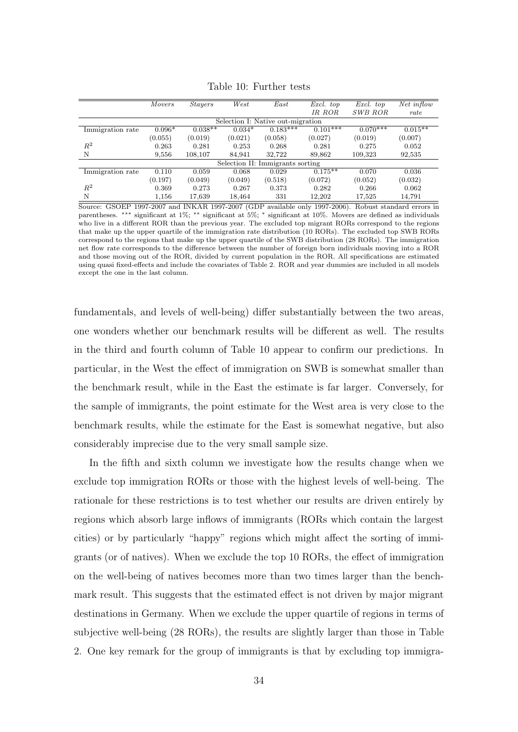|                  | <b>Movers</b> | <i>Stayers</i> | West     | East                              | Excl. top  | Excl. top  | Net inflow |
|------------------|---------------|----------------|----------|-----------------------------------|------------|------------|------------|
|                  |               |                |          |                                   | IR ROR     | SWB ROR    | rate       |
|                  |               |                |          | Selection I: Native out-migration |            |            |            |
| Immigration rate | $0.096*$      | $0.038**$      | $0.034*$ | $0.183***$                        | $0.101***$ | $0.070***$ | $0.015**$  |
|                  | (0.055)       | (0.019)        | (0.021)  | (0.058)                           | (0.027)    | (0.019)    | (0.007)    |
| $R^2$            | 0.263         | 0.281          | 0.253    | 0.268                             | 0.281      | 0.275      | 0.052      |
| N                | 9,556         | 108,107        | 84,941   | 32.722                            | 89,862     | 109,323    | 92,535     |
|                  |               |                |          | Selection II: Immigrants sorting  |            |            |            |
| Immigration rate | 0.110         | 0.059          | 0.068    | 0.029                             | $0.175**$  | 0.070      | 0.036      |
|                  | (0.197)       | (0.049)        | (0.049)  | (0.518)                           | (0.072)    | (0.052)    | (0.032)    |
| $R^2$            | 0.369         | 0.273          | 0.267    | 0.373                             | 0.282      | 0.266      | 0.062      |
| N                | 1,156         | 17,639         | 18,464   | 331                               | 12,202     | 17,525     | 14,791     |

<span id="page-36-0"></span>Table 10: Further tests

Source: GSOEP 1997-2007 and INKAR 1997-2007 (GDP available only 1997-2006). Robust standard errors in parentheses. ∗∗∗ significant at 1%; ∗∗ significant at 5%; <sup>∗</sup> significant at 10%. Movers are defined as individuals who live in a different ROR than the previous year. The excluded top migrant RORs correspond to the regions that make up the upper quartile of the immigration rate distribution (10 RORs). The excluded top SWB RORs correspond to the regions that make up the upper quartile of the SWB distribution (28 RORs). The immigration net flow rate corresponds to the difference between the number of foreign born individuals moving into a ROR and those moving out of the ROR, divided by current population in the ROR. All specifications are estimated using quasi fixed-effects and include the covariates of Table [2.](#page-15-0) ROR and year dummies are included in all models except the one in the last column.

fundamentals, and levels of well-being) differ substantially between the two areas, one wonders whether our benchmark results will be different as well. The results in the third and fourth column of Table [10](#page-36-0) appear to confirm our predictions. In particular, in the West the effect of immigration on SWB is somewhat smaller than the benchmark result, while in the East the estimate is far larger. Conversely, for the sample of immigrants, the point estimate for the West area is very close to the benchmark results, while the estimate for the East is somewhat negative, but also considerably imprecise due to the very small sample size.

In the fifth and sixth column we investigate how the results change when we exclude top immigration RORs or those with the highest levels of well-being. The rationale for these restrictions is to test whether our results are driven entirely by regions which absorb large inflows of immigrants (RORs which contain the largest cities) or by particularly "happy" regions which might affect the sorting of immigrants (or of natives). When we exclude the top 10 RORs, the effect of immigration on the well-being of natives becomes more than two times larger than the benchmark result. This suggests that the estimated effect is not driven by major migrant destinations in Germany. When we exclude the upper quartile of regions in terms of subjective well-being (28 RORs), the results are slightly larger than those in Table [2.](#page-15-0) One key remark for the group of immigrants is that by excluding top immigra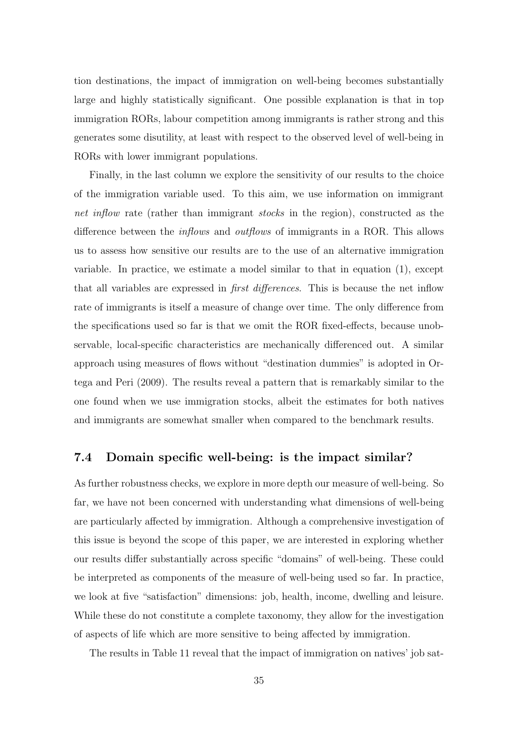tion destinations, the impact of immigration on well-being becomes substantially large and highly statistically significant. One possible explanation is that in top immigration RORs, labour competition among immigrants is rather strong and this generates some disutility, at least with respect to the observed level of well-being in RORs with lower immigrant populations.

Finally, in the last column we explore the sensitivity of our results to the choice of the immigration variable used. To this aim, we use information on immigrant net inflow rate (rather than immigrant *stocks* in the region), constructed as the difference between the *inflows* and *outflows* of immigrants in a ROR. This allows us to assess how sensitive our results are to the use of an alternative immigration variable. In practice, we estimate a model similar to that in equation [\(1\)](#page-12-1), except that all variables are expressed in *first differences*. This is because the net inflow rate of immigrants is itself a measure of change over time. The only difference from the specifications used so far is that we omit the ROR fixed-effects, because unobservable, local-specific characteristics are mechanically differenced out. A similar approach using measures of flows without "destination dummies" is adopted in [Or](#page--1-33)[tega and Peri](#page--1-33) [\(2009\)](#page--1-33). The results reveal a pattern that is remarkably similar to the one found when we use immigration stocks, albeit the estimates for both natives and immigrants are somewhat smaller when compared to the benchmark results.

### 7.4 Domain specific well-being: is the impact similar?

As further robustness checks, we explore in more depth our measure of well-being. So far, we have not been concerned with understanding what dimensions of well-being are particularly affected by immigration. Although a comprehensive investigation of this issue is beyond the scope of this paper, we are interested in exploring whether our results differ substantially across specific "domains" of well-being. These could be interpreted as components of the measure of well-being used so far. In practice, we look at five "satisfaction" dimensions: job, health, income, dwelling and leisure. While these do not constitute a complete taxonomy, they allow for the investigation of aspects of life which are more sensitive to being affected by immigration.

The results in Table [11](#page-38-0) reveal that the impact of immigration on natives' job sat-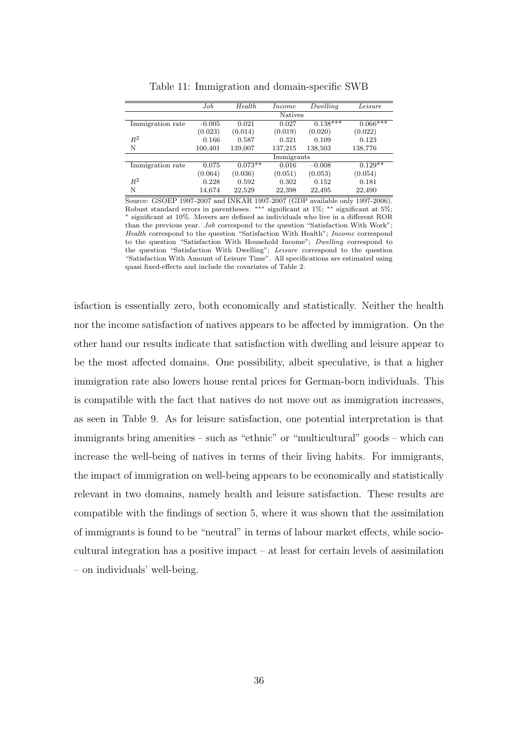|                  | Job      | Health    | <i>Income</i>  | Dwelling   | Leisure    |
|------------------|----------|-----------|----------------|------------|------------|
|                  |          |           | <b>Natives</b> |            |            |
| Immigration rate | $-0.005$ | 0.021     | 0.027          | $0.138***$ | $0.066***$ |
|                  | (0.023)  | (0.014)   | (0.019)        | (0.020)    | (0.022)    |
| $R^2$            | 0.166    | 0.587     | 0.321          | 0.109      | 0.123      |
| N                | 100,401  | 139,007   | 137,215        | 138,503    | 138,776    |
|                  |          |           | Immigrants     |            |            |
| Immigration rate | 0.075    | $0.073**$ | 0.016          | $-0.008$   | $0.129**$  |
|                  | (0.064)  | (0.036)   | (0.051)        | (0.053)    | (0.054)    |
| $R^2$            | 0.228    | 0.592     | 0.302          | 0.152      | 0.181      |
| N                | 14,674   | 22,529    | 22,398         | 22,495     | 22,490     |

<span id="page-38-0"></span>Table 11: Immigration and domain-specific SWB

Source: GSOEP 1997-2007 and INKAR 1997-2007 (GDP available only 1997-2006). Robust standard errors in parentheses. ∗∗∗ significant at 1%; ∗∗ significant at 5%; <sup>∗</sup> significant at 10%. Movers are defined as individuals who live in a different ROR than the previous year. Job correspond to the question "Satisfaction With Work"; Health correspond to the question "Satisfaction With Health"; Income correspond to the question "Satisfaction With Household Income"; Dwelling correspond to the question "Satisfaction With Dwelling"; Leisure correspond to the question "Satisfaction With Amount of Leisure Time". All specifications are estimated using quasi fixed-effects and include the covariates of Table [2.](#page-15-0)

isfaction is essentially zero, both economically and statistically. Neither the health nor the income satisfaction of natives appears to be affected by immigration. On the other hand our results indicate that satisfaction with dwelling and leisure appear to be the most affected domains. One possibility, albeit speculative, is that a higher immigration rate also lowers house rental prices for German-born individuals. This is compatible with the fact that natives do not move out as immigration increases, as seen in Table [9.](#page-33-0) As for leisure satisfaction, one potential interpretation is that immigrants bring amenities – such as "ethnic" or "multicultural" goods – which can increase the well-being of natives in terms of their living habits. For immigrants, the impact of immigration on well-being appears to be economically and statistically relevant in two domains, namely health and leisure satisfaction. These results are compatible with the findings of section 5, where it was shown that the assimilation of immigrants is found to be "neutral" in terms of labour market effects, while sociocultural integration has a positive impact – at least for certain levels of assimilation – on individuals' well-being.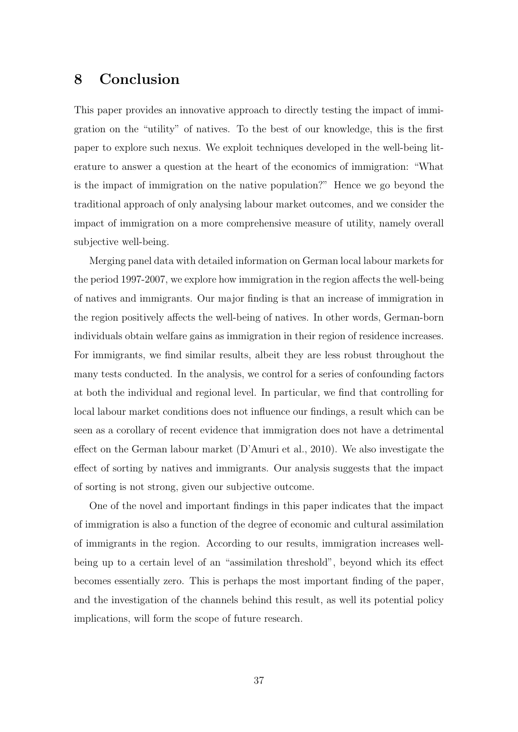## 8 Conclusion

This paper provides an innovative approach to directly testing the impact of immigration on the "utility" of natives. To the best of our knowledge, this is the first paper to explore such nexus. We exploit techniques developed in the well-being literature to answer a question at the heart of the economics of immigration: "What is the impact of immigration on the native population?" Hence we go beyond the traditional approach of only analysing labour market outcomes, and we consider the impact of immigration on a more comprehensive measure of utility, namely overall subjective well-being.

Merging panel data with detailed information on German local labour markets for the period 1997-2007, we explore how immigration in the region affects the well-being of natives and immigrants. Our major finding is that an increase of immigration in the region positively affects the well-being of natives. In other words, German-born individuals obtain welfare gains as immigration in their region of residence increases. For immigrants, we find similar results, albeit they are less robust throughout the many tests conducted. In the analysis, we control for a series of confounding factors at both the individual and regional level. In particular, we find that controlling for local labour market conditions does not influence our findings, a result which can be seen as a corollary of recent evidence that immigration does not have a detrimental effect on the German labour market [\(D'Amuri et al.,](#page--1-20) [2010\)](#page--1-20). We also investigate the effect of sorting by natives and immigrants. Our analysis suggests that the impact of sorting is not strong, given our subjective outcome.

One of the novel and important findings in this paper indicates that the impact of immigration is also a function of the degree of economic and cultural assimilation of immigrants in the region. According to our results, immigration increases wellbeing up to a certain level of an "assimilation threshold", beyond which its effect becomes essentially zero. This is perhaps the most important finding of the paper, and the investigation of the channels behind this result, as well its potential policy implications, will form the scope of future research.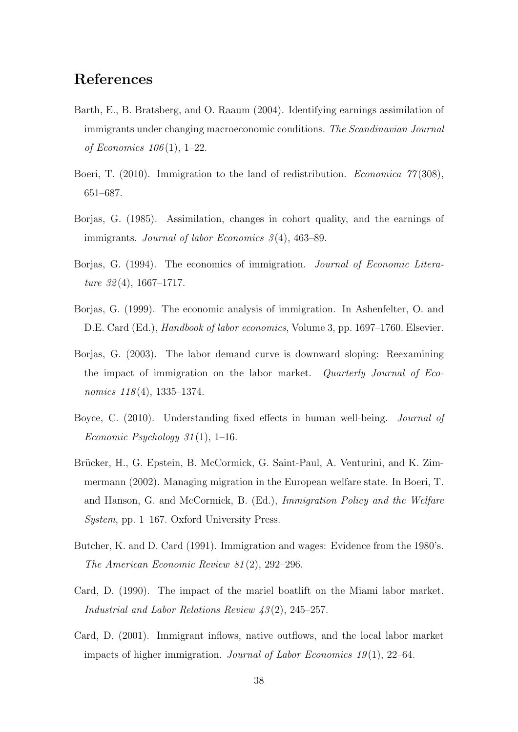# References

- Barth, E., B. Bratsberg, and O. Raaum (2004). Identifying earnings assimilation of immigrants under changing macroeconomic conditions. The Scandinavian Journal of Economics  $106(1)$ , 1–22.
- Boeri, T. (2010). Immigration to the land of redistribution. *Economica* 77(308), 651–687.
- Borjas, G. (1985). Assimilation, changes in cohort quality, and the earnings of immigrants. Journal of labor Economics  $3(4)$ , 463–89.
- Borjas, G. (1994). The economics of immigration. Journal of Economic Literature  $32(4)$ , 1667–1717.
- Borjas, G. (1999). The economic analysis of immigration. In Ashenfelter, O. and D.E. Card (Ed.), Handbook of labor economics, Volume 3, pp. 1697–1760. Elsevier.
- Borjas, G. (2003). The labor demand curve is downward sloping: Reexamining the impact of immigration on the labor market. Quarterly Journal of Economics  $118(4)$ , 1335–1374.
- Boyce, C. (2010). Understanding fixed effects in human well-being. *Journal of* Economic Psychology  $31(1)$ , 1–16.
- Brücker, H., G. Epstein, B. McCormick, G. Saint-Paul, A. Venturini, and K. Zimmermann (2002). Managing migration in the European welfare state. In Boeri, T. and Hanson, G. and McCormick, B. (Ed.), Immigration Policy and the Welfare System, pp. 1–167. Oxford University Press.
- Butcher, K. and D. Card (1991). Immigration and wages: Evidence from the 1980's. The American Economic Review 81 (2), 292–296.
- Card, D. (1990). The impact of the mariel boatlift on the Miami labor market. Industrial and Labor Relations Review 43 (2), 245–257.
- Card, D. (2001). Immigrant inflows, native outflows, and the local labor market impacts of higher immigration. Journal of Labor Economics  $19(1)$ ,  $22-64$ .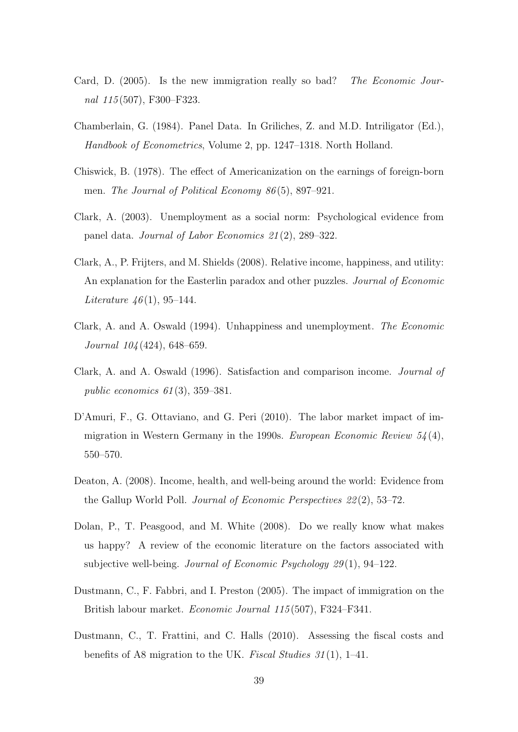- Card, D. (2005). Is the new immigration really so bad? The Economic Journal 115 (507), F300–F323.
- Chamberlain, G. (1984). Panel Data. In Griliches, Z. and M.D. Intriligator (Ed.), Handbook of Econometrics, Volume 2, pp. 1247–1318. North Holland.
- Chiswick, B. (1978). The effect of Americanization on the earnings of foreign-born men. The Journal of Political Economy 86 (5), 897–921.
- Clark, A. (2003). Unemployment as a social norm: Psychological evidence from panel data. Journal of Labor Economics 21 (2), 289–322.
- Clark, A., P. Frijters, and M. Shields (2008). Relative income, happiness, and utility: An explanation for the Easterlin paradox and other puzzles. Journal of Economic *Literature 46*(1), 95–144.
- Clark, A. and A. Oswald (1994). Unhappiness and unemployment. The Economic Journal 104 (424), 648–659.
- Clark, A. and A. Oswald (1996). Satisfaction and comparison income. Journal of public economics  $61(3)$ , 359–381.
- D'Amuri, F., G. Ottaviano, and G. Peri (2010). The labor market impact of immigration in Western Germany in the 1990s. European Economic Review  $54(4)$ , 550–570.
- Deaton, A. (2008). Income, health, and well-being around the world: Evidence from the Gallup World Poll. Journal of Economic Perspectives 22 (2), 53–72.
- Dolan, P., T. Peasgood, and M. White (2008). Do we really know what makes us happy? A review of the economic literature on the factors associated with subjective well-being. *Journal of Economic Psychology 29* $(1)$ , 94–122.
- Dustmann, C., F. Fabbri, and I. Preston (2005). The impact of immigration on the British labour market. Economic Journal 115 (507), F324–F341.
- Dustmann, C., T. Frattini, and C. Halls (2010). Assessing the fiscal costs and benefits of A8 migration to the UK. Fiscal Studies  $31(1)$ , 1–41.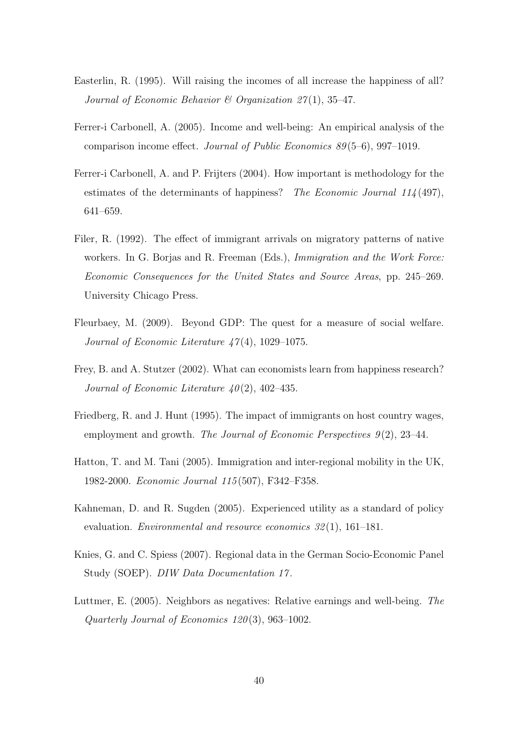- Easterlin, R. (1995). Will raising the incomes of all increase the happiness of all? Journal of Economic Behavior & Organization  $27(1)$ , 35-47.
- Ferrer-i Carbonell, A. (2005). Income and well-being: An empirical analysis of the comparison income effect. Journal of Public Economics 89 (5–6), 997–1019.
- Ferrer-i Carbonell, A. and P. Frijters (2004). How important is methodology for the estimates of the determinants of happiness? The Economic Journal 114 (497), 641–659.
- Filer, R. (1992). The effect of immigrant arrivals on migratory patterns of native workers. In G. Borjas and R. Freeman (Eds.), *Immigration and the Work Force:* Economic Consequences for the United States and Source Areas, pp. 245–269. University Chicago Press.
- Fleurbaey, M. (2009). Beyond GDP: The quest for a measure of social welfare. Journal of Economic Literature  $\angle 47(4)$ , 1029–1075.
- Frey, B. and A. Stutzer (2002). What can economists learn from happiness research? Journal of Economic Literature  $40(2)$ , 402-435.
- Friedberg, R. and J. Hunt (1995). The impact of immigrants on host country wages, employment and growth. The Journal of Economic Perspectives  $9(2)$ , 23-44.
- Hatton, T. and M. Tani (2005). Immigration and inter-regional mobility in the UK, 1982-2000. Economic Journal 115 (507), F342–F358.
- Kahneman, D. and R. Sugden (2005). Experienced utility as a standard of policy evaluation. *Environmental and resource economics 32(1)*, 161–181.
- Knies, G. and C. Spiess (2007). Regional data in the German Socio-Economic Panel Study (SOEP). DIW Data Documentation 17.
- Luttmer, E. (2005). Neighbors as negatives: Relative earnings and well-being. The Quarterly Journal of Economics 120 (3), 963–1002.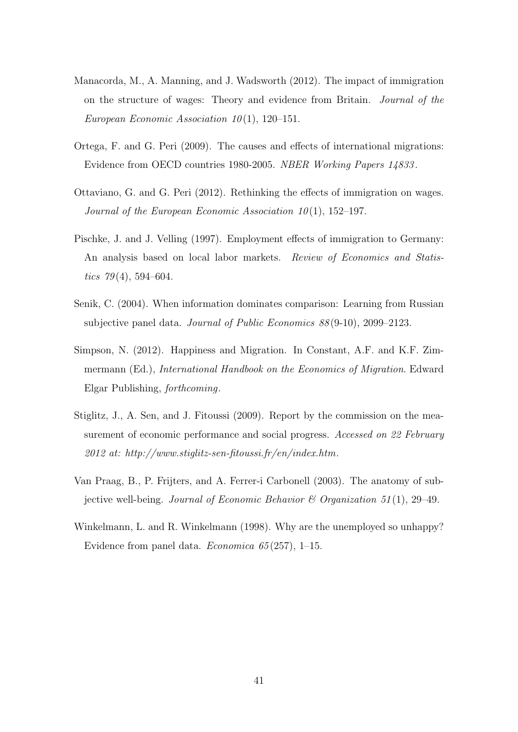- Manacorda, M., A. Manning, and J. Wadsworth (2012). The impact of immigration on the structure of wages: Theory and evidence from Britain. Journal of the European Economic Association  $10(1)$ , 120–151.
- Ortega, F. and G. Peri (2009). The causes and effects of international migrations: Evidence from OECD countries 1980-2005. NBER Working Papers 14833 .
- Ottaviano, G. and G. Peri (2012). Rethinking the effects of immigration on wages. Journal of the European Economic Association  $10(1)$ , 152–197.
- Pischke, J. and J. Velling (1997). Employment effects of immigration to Germany: An analysis based on local labor markets. Review of Economics and Statistics  $79(4)$ , 594–604.
- Senik, C. (2004). When information dominates comparison: Learning from Russian subjective panel data. Journal of Public Economics 88 (9-10), 2099–2123.
- Simpson, N. (2012). Happiness and Migration. In Constant, A.F. and K.F. Zimmermann (Ed.), International Handbook on the Economics of Migration. Edward Elgar Publishing, forthcoming.
- Stiglitz, J., A. Sen, and J. Fitoussi (2009). Report by the commission on the measurement of economic performance and social progress. Accessed on 22 February  $2012$  at: http://www.stiglitz-sen-fitoussi.fr/en/index.htm.
- Van Praag, B., P. Frijters, and A. Ferrer-i Carbonell (2003). The anatomy of subjective well-being. Journal of Economic Behavior & Organization 51(1), 29–49.
- Winkelmann, L. and R. Winkelmann (1998). Why are the unemployed so unhappy? Evidence from panel data. Economica 65 (257), 1–15.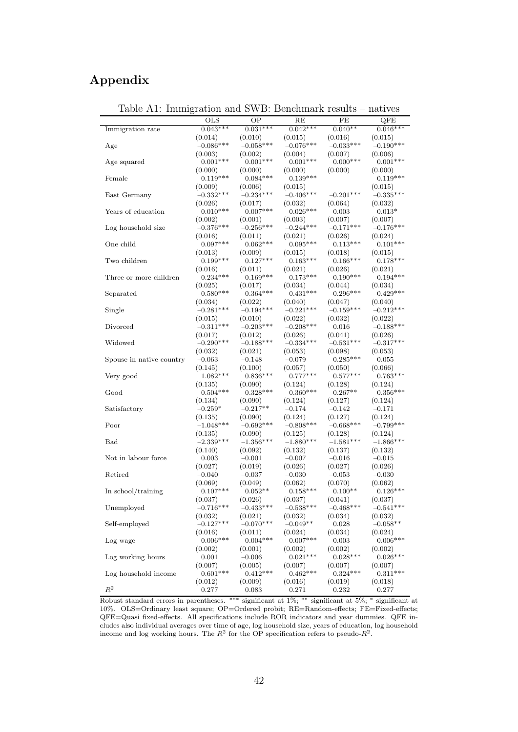## Appendix

| $\frac{1}{2}$            |                           |                        | <b>D</b> cheminal R Teb area |                        | 1100 1 V V V            |
|--------------------------|---------------------------|------------------------|------------------------------|------------------------|-------------------------|
|                          | $\overline{\mathrm{OLS}}$ | $\overline{OP}$        | RE                           | FE                     | $\overline{\text{QFE}}$ |
| Immigration rate         | $0.043***$                | $0.031***$             | $0.042***$                   | $0.040**$              | $0.046***$              |
|                          | (0.014)                   | (0.010)                | (0.015)                      | (0.016)                | (0.015)                 |
| Age                      | $-0.086***$               | $-0.058***$            | $-0.076***$                  | $-0.033***$            | $-0.190***$             |
|                          | (0.003)                   | (0.002)                | (0.004)                      | (0.007)                | (0.006)                 |
| Age squared              | $0.001***$                | $0.001***$             | $0.001***$                   | $0.000***$             | $0.001***$              |
|                          | (0.000)                   | (0.000)                | (0.000)                      | (0.000)                | (0.000)                 |
| Female                   | $0.119***$                | $0.084***$             | $0.139***$                   |                        | $0.119***$              |
|                          | (0.009)                   | (0.006)                | (0.015)                      |                        | (0.015)                 |
| East Germany             | $-0.332***$               | $-0.234***$            | $-0.406***$                  | $-0.201***$            | $-0.335***$             |
|                          | (0.026)                   | (0.017)                | (0.032)                      | (0.064)                | (0.032)                 |
| Years of education       | $0.010***$                | $0.007***$             | $0.026***$                   | 0.003                  | $0.013*$                |
|                          | (0.002)                   | (0.001)                | (0.003)                      | (0.007)                | (0.007)                 |
| Log household size       | $-0.376***$               | $-0.256***$            | $-0.244***$                  | $-0.171***$            | $-0.176***$             |
|                          | (0.016)                   | (0.011)                | (0.021)                      | (0.026)                | (0.024)                 |
| One child                | $0.097***$                | $0.062***$             | $0.095***$                   | $0.113***$             | $0.101***$              |
|                          | (0.013)                   | (0.009)                | (0.015)                      | (0.018)                | (0.015)                 |
| Two children             | $0.199***$                | $0.127***$             | $0.163***$                   | $0.166***$             | $0.178***$              |
|                          | (0.016)                   | (0.011)                | (0.021)                      | (0.026)                | (0.021)                 |
| Three or more children   | $0.234***$                | $0.169***$             | $0.173***$                   | $0.190***$             | $0.194***$              |
|                          | (0.025)                   | (0.017)                | (0.034)                      | (0.044)                | (0.034)                 |
| Separated                | $-0.580***$               | $-0.364***$            | $-0.431***$                  | $-0.296***$            | $-0.429***$             |
|                          | (0.034)<br>$-0.281***$    | (0.022)<br>$-0.194***$ | (0.040)<br>$-0.221***$       | (0.047)<br>$-0.159***$ | (0.040)<br>$-0.212***$  |
| Single                   |                           |                        |                              |                        | (0.022)                 |
| Divorced                 | (0.015)<br>$-0.311***$    | (0.010)<br>$-0.203***$ | (0.022)<br>$-0.208***$       | (0.032)<br>0.016       | $-0.188***$             |
|                          |                           | (0.012)                | (0.026)                      | (0.041)                | (0.026)                 |
| Widowed                  | (0.017)<br>$-0.290***$    | $-0.188***$            | $-0.334***$                  | $-0.531***$            | $-0.317***$             |
|                          | (0.032)                   | (0.021)                | (0.053)                      | (0.098)                | (0.053)                 |
| Spouse in native country | $-0.063$                  | $-0.148$               | $-0.079$                     | $0.285***$             | 0.055                   |
|                          | (0.145)                   | (0.100)                | (0.057)                      | (0.050)                | (0.066)                 |
| Very good                | $1.082***$                | $0.836***$             | $0.777***$                   | $0.577***$             | $0.763***$              |
|                          | (0.135)                   | (0.090)                | (0.124)                      | (0.128)                | (0.124)                 |
| Good                     | $0.504***$                | $0.328***$             | $0.360***$                   | $0.267**$              | $0.356***$              |
|                          | (0.134)                   | (0.090)                | (0.124)                      | (0.127)                | (0.124)                 |
| Satisfactory             | $-0.259*$                 | $-0.217**$             | $-0.174$                     | $-0.142$               | $-0.171$                |
|                          | (0.135)                   | (0.090)                | (0.124)                      | (0.127)                | (0.124)                 |
| Poor                     | $-1.048***$               | $-0.692***$            | $-0.808***$                  | $-0.668***$            | $-0.799***$             |
|                          | (0.135)                   | (0.090)                | (0.125)                      | (0.128)                | (0.124)                 |
| Bad                      | $-2.339***$               | $-1.356***$            | $-1.880***$                  | $-1.581***$            | $-1.866***$             |
|                          | (0.140)                   | (0.092)                | (0.132)                      | (0.137)                | (0.132)                 |
| Not in labour force      | 0.003                     | $-0.001$               | $-0.007$                     | $-0.016$               | $-0.015$                |
|                          | (0.027)                   | (0.019)                | (0.026)                      | (0.027)                | (0.026)                 |
| Retired                  | $-0.040$                  | $-0.037$               | $-0.030$                     | $-0.053$               | $-0.030$                |
|                          | (0.069)                   | (0.049)                | (0.062)                      | (0.070)                | (0.062)                 |
| In school/training       | $0.107***$                | $0.052**$              | $0.158***$                   | $0.100**$              | $0.126***$              |
|                          | (0.037)                   | (0.026)                | (0.037)                      | (0.041)                | (0.037)                 |
| Unemployed               | $-0.716***$               | $-0.433***$            | $-0.538***$                  | $-0.468***$            | $-0.541***$             |
|                          | (0.032)                   | (0.021)                | (0.032)                      | (0.034)                | (0.032)                 |
| Self-employed            | $-0.127***$               | $-0.070***$            | $-0.049**$                   | 0.028                  | $-0.058**$              |
|                          | (0.016)                   | (0.011)                | (0.024)                      | (0.034)                | (0.024)                 |
| Log wage                 | $0.006***$                | $0.004***$             | $0.007***$                   | 0.003                  | $0.006***$              |
|                          | (0.002)                   | (0.001)                | (0.002)                      | (0.002)                | (0.002)                 |
| Log working hours        | 0.001                     | $-0.006$               | $0.021***$                   | $0.028***$             | $0.026***$              |
|                          | (0.007)                   | (0.005)                | (0.007)                      | (0.007)                | (0.007)                 |
| Log household income     | $0.601***$                | $0.412***$             | $0.462***$                   | $0.324***$             | $0.311***$              |
|                          | (0.012)                   | (0.009)                | (0.016)                      | (0.019)                | (0.018)                 |
| $R^2$                    | 0.277                     | 0.083                  | 0.271                        | 0.232                  | 0.277                   |

Table A1: Immigration and SWB: Benchmark results – natives

Robust standard errors in parentheses. ∗∗∗ significant at 1%; ∗∗ significant at 5%; <sup>∗</sup> significant at 10%. OLS=Ordinary least square; OP=Ordered probit; RE=Random-effects; FE=Fixed-effects; QFE=Quasi fixed-effects. All specifications include ROR indicators and year dummies. QFE includes also individual averages over time of age, log household size, years of education, log household income and log working hours. The  $R^2$  for the OP specification refers to pseudo- $R^2$ .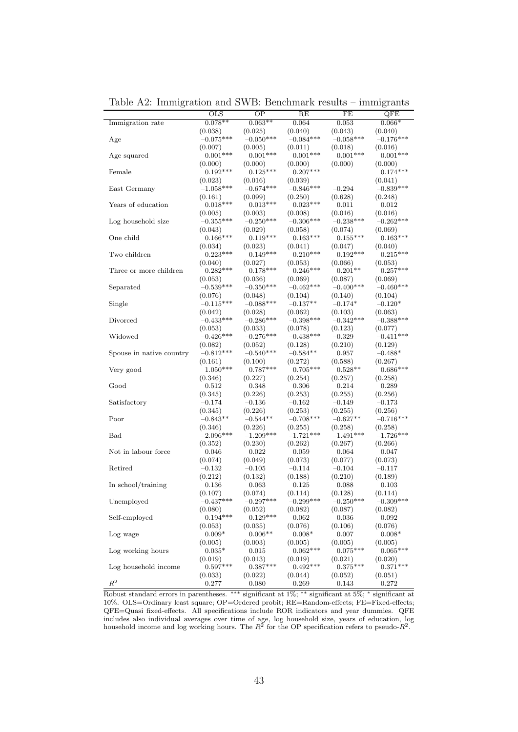| $0.078**$<br>$0.063**$<br>0.064<br>0.053<br>$0.066*$<br>Immigration rate<br>(0.038)<br>(0.025)<br>(0.040)<br>(0.043)<br>(0.040)<br>$-0.050***$<br>$-0.084***$<br>$-0.058***$<br>$-0.075***$<br>$-0.176***$<br>Age<br>(0.007)<br>(0.005)<br>(0.011)<br>(0.018)<br>(0.016)<br>$0.001***$<br>$0.001***$<br>$0.001***$<br>$0.001***$<br>$0.001***$<br>Age squared<br>(0.000)<br>(0.000)<br>(0.000)<br>(0.000)<br>(0.000)<br>$0.192***$<br>$0.125***$<br>$0.207***$<br>$0.174***$<br>Female<br>(0.023)<br>(0.016)<br>(0.039)<br>(0.041)<br>$-1.058***$<br>$-0.674***$<br>$-0.846***$<br>$-0.839***$<br>East Germany<br>$-0.294$<br>(0.628)<br>(0.161)<br>(0.099)<br>(0.250)<br>(0.248)<br>$0.018***$<br>$0.013***$<br>$0.023***$<br>Years of education<br>0.011<br>0.012<br>(0.005)<br>(0.003)<br>(0.008)<br>(0.016)<br>(0.016)<br>$-0.250***$<br>$-0.306***$<br>$-0.238***$<br>$-0.262***$<br>Log household size<br>$-0.355***$<br>(0.043)<br>(0.029)<br>(0.058)<br>(0.074)<br>(0.069)<br>$0.166***$<br>$0.119***$<br>$0.163***$<br>$0.155***$<br>$0.163***$<br>One child<br>(0.034)<br>(0.023)<br>(0.041)<br>(0.047)<br>(0.040)<br>$0.149***$<br>$0.210***$<br>$0.223***$<br>$0.192***$<br>$0.215***$<br>Two children<br>(0.040)<br>(0.027)<br>(0.053)<br>(0.066)<br>(0.053)<br>$0.178***$<br>$0.246***$<br>Three or more children<br>$0.282***$<br>$0.201**$<br>$0.257***$<br>(0.053)<br>(0.036)<br>(0.069)<br>(0.087)<br>(0.069)<br>$-0.400***$<br>$-0.539***$<br>$-0.350***$<br>$-0.462***$<br>$-0.460***$<br>Separated<br>(0.076)<br>(0.048)<br>(0.104)<br>(0.140)<br>(0.104)<br>$-0.115***$<br>$-0.088***$<br>$-0.137**$<br>$-0.174*$<br>$-0.120*$<br>Single<br>(0.103)<br>(0.063)<br>(0.042)<br>(0.028)<br>(0.062)<br>$-0.342***$<br>Divorced<br>$-0.433***$<br>$-0.286***$<br>$-0.398***$<br>$-0.388***$<br>(0.053)<br>(0.033)<br>(0.078)<br>(0.123)<br>(0.077)<br>$-0.426***$<br>$-0.276***$<br>$-0.438***$<br>$-0.411***$<br>Widowed<br>$-0.329$<br>(0.210)<br>(0.082)<br>(0.052)<br>(0.128)<br>(0.129)<br>$-0.812***$<br>$-0.540***$<br>$-0.584**$<br>0.957<br>$-0.488*$<br>Spouse in native country<br>(0.161)<br>(0.100)<br>(0.272)<br>(0.588)<br>(0.267)<br>$0.787***$<br>$0.705***$<br>$1.050***$<br>$0.528**$<br>$0.686***$<br>Very good<br>(0.346)<br>(0.254)<br>(0.257)<br>(0.227)<br>(0.258)<br>0.306<br>0.214<br>Good<br>0.512<br>0.348<br>0.289<br>(0.226)<br>(0.255)<br>(0.345)<br>(0.253)<br>(0.256)<br>Satisfactory<br>$-0.174$<br>$-0.136$<br>$-0.162$<br>$-0.149$<br>$-0.173$<br>(0.256)<br>(0.345)<br>(0.226)<br>(0.253)<br>(0.255)<br>$-0.843**$<br>$-0.708***$<br>$-0.627**$<br>$-0.716***$<br>Poor<br>$-0.544**$<br>(0.346)<br>(0.226)<br>(0.255)<br>(0.258)<br>(0.258)<br>$-2.096***$<br>$-1.209***$<br>$-1.721***$<br>$-1.491***$<br>$-1.726***$<br>Bad<br>(0.352)<br>(0.230)<br>(0.262)<br>(0.267)<br>(0.266)<br>Not in labour force<br>0.022<br>0.046<br>0.059<br>0.064<br>0.047<br>(0.077)<br>(0.074)<br>(0.049)<br>(0.073)<br>(0.073)<br>$-0.132$<br>$-0.105$<br>$-0.104$<br>$-0.117$<br>Retired<br>$-0.114$<br>(0.212)<br>(0.132)<br>(0.188)<br>(0.210)<br>(0.189)<br>In school/training<br>0.063<br>0.125<br>0.088<br>0.103<br>0.136<br>(0.074)<br>(0.114)<br>(0.107)<br>(0.128)<br>(0.114)<br>Unemployed<br>$-0.437***$<br>$-0.297***$<br>$-0.299***$<br>$-0.250***$<br>$-0.309***$<br>(0.080)<br>(0.052)<br>(0.082)<br>(0.087)<br>(0.082)<br>$-0.194***$<br>$-0.129***$<br>Self-employed<br>$-0.062$<br>0.036<br>$-0.092$<br>(0.053)<br>(0.035)<br>(0.076)<br>(0.106)<br>(0.076)<br>$0.009*$<br>$0.006**$<br>$0.008*$<br>0.007<br>$0.008*$<br>Log wage<br>(0.005)<br>(0.003)<br>(0.005)<br>(0.005)<br>(0.005)<br>$0.075***$<br>$0.062***$<br>$0.065***$<br>Log working hours<br>$0.035*$<br>0.015<br>(0.019)<br>(0.013)<br>(0.019)<br>(0.021)<br>(0.020)<br>$0.387***$<br>$0.492***$<br>$0.597***$<br>$0.375***$<br>$0.371***$<br>Log household income | <b>OLS</b> | ΟP      | RE      | FE      | QFE     |
|--------------------------------------------------------------------------------------------------------------------------------------------------------------------------------------------------------------------------------------------------------------------------------------------------------------------------------------------------------------------------------------------------------------------------------------------------------------------------------------------------------------------------------------------------------------------------------------------------------------------------------------------------------------------------------------------------------------------------------------------------------------------------------------------------------------------------------------------------------------------------------------------------------------------------------------------------------------------------------------------------------------------------------------------------------------------------------------------------------------------------------------------------------------------------------------------------------------------------------------------------------------------------------------------------------------------------------------------------------------------------------------------------------------------------------------------------------------------------------------------------------------------------------------------------------------------------------------------------------------------------------------------------------------------------------------------------------------------------------------------------------------------------------------------------------------------------------------------------------------------------------------------------------------------------------------------------------------------------------------------------------------------------------------------------------------------------------------------------------------------------------------------------------------------------------------------------------------------------------------------------------------------------------------------------------------------------------------------------------------------------------------------------------------------------------------------------------------------------------------------------------------------------------------------------------------------------------------------------------------------------------------------------------------------------------------------------------------------------------------------------------------------------------------------------------------------------------------------------------------------------------------------------------------------------------------------------------------------------------------------------------------------------------------------------------------------------------------------------------------------------------------------------------------------------------------------------------------------------------------------------------------------------------------------------------------------------------------------------------------------------------------------------------------------------------------------------------------------------------------------------------------------------------------------------------------------------------------------------------------------------------------------------------------------------------------------------------------------------------------------------------------------------------------------------------------------------------------------------------------------------------------------|------------|---------|---------|---------|---------|
|                                                                                                                                                                                                                                                                                                                                                                                                                                                                                                                                                                                                                                                                                                                                                                                                                                                                                                                                                                                                                                                                                                                                                                                                                                                                                                                                                                                                                                                                                                                                                                                                                                                                                                                                                                                                                                                                                                                                                                                                                                                                                                                                                                                                                                                                                                                                                                                                                                                                                                                                                                                                                                                                                                                                                                                                                                                                                                                                                                                                                                                                                                                                                                                                                                                                                                                                                                                                                                                                                                                                                                                                                                                                                                                                                                                                                                                                                            |            |         |         |         |         |
|                                                                                                                                                                                                                                                                                                                                                                                                                                                                                                                                                                                                                                                                                                                                                                                                                                                                                                                                                                                                                                                                                                                                                                                                                                                                                                                                                                                                                                                                                                                                                                                                                                                                                                                                                                                                                                                                                                                                                                                                                                                                                                                                                                                                                                                                                                                                                                                                                                                                                                                                                                                                                                                                                                                                                                                                                                                                                                                                                                                                                                                                                                                                                                                                                                                                                                                                                                                                                                                                                                                                                                                                                                                                                                                                                                                                                                                                                            |            |         |         |         |         |
|                                                                                                                                                                                                                                                                                                                                                                                                                                                                                                                                                                                                                                                                                                                                                                                                                                                                                                                                                                                                                                                                                                                                                                                                                                                                                                                                                                                                                                                                                                                                                                                                                                                                                                                                                                                                                                                                                                                                                                                                                                                                                                                                                                                                                                                                                                                                                                                                                                                                                                                                                                                                                                                                                                                                                                                                                                                                                                                                                                                                                                                                                                                                                                                                                                                                                                                                                                                                                                                                                                                                                                                                                                                                                                                                                                                                                                                                                            |            |         |         |         |         |
|                                                                                                                                                                                                                                                                                                                                                                                                                                                                                                                                                                                                                                                                                                                                                                                                                                                                                                                                                                                                                                                                                                                                                                                                                                                                                                                                                                                                                                                                                                                                                                                                                                                                                                                                                                                                                                                                                                                                                                                                                                                                                                                                                                                                                                                                                                                                                                                                                                                                                                                                                                                                                                                                                                                                                                                                                                                                                                                                                                                                                                                                                                                                                                                                                                                                                                                                                                                                                                                                                                                                                                                                                                                                                                                                                                                                                                                                                            |            |         |         |         |         |
|                                                                                                                                                                                                                                                                                                                                                                                                                                                                                                                                                                                                                                                                                                                                                                                                                                                                                                                                                                                                                                                                                                                                                                                                                                                                                                                                                                                                                                                                                                                                                                                                                                                                                                                                                                                                                                                                                                                                                                                                                                                                                                                                                                                                                                                                                                                                                                                                                                                                                                                                                                                                                                                                                                                                                                                                                                                                                                                                                                                                                                                                                                                                                                                                                                                                                                                                                                                                                                                                                                                                                                                                                                                                                                                                                                                                                                                                                            |            |         |         |         |         |
|                                                                                                                                                                                                                                                                                                                                                                                                                                                                                                                                                                                                                                                                                                                                                                                                                                                                                                                                                                                                                                                                                                                                                                                                                                                                                                                                                                                                                                                                                                                                                                                                                                                                                                                                                                                                                                                                                                                                                                                                                                                                                                                                                                                                                                                                                                                                                                                                                                                                                                                                                                                                                                                                                                                                                                                                                                                                                                                                                                                                                                                                                                                                                                                                                                                                                                                                                                                                                                                                                                                                                                                                                                                                                                                                                                                                                                                                                            |            |         |         |         |         |
|                                                                                                                                                                                                                                                                                                                                                                                                                                                                                                                                                                                                                                                                                                                                                                                                                                                                                                                                                                                                                                                                                                                                                                                                                                                                                                                                                                                                                                                                                                                                                                                                                                                                                                                                                                                                                                                                                                                                                                                                                                                                                                                                                                                                                                                                                                                                                                                                                                                                                                                                                                                                                                                                                                                                                                                                                                                                                                                                                                                                                                                                                                                                                                                                                                                                                                                                                                                                                                                                                                                                                                                                                                                                                                                                                                                                                                                                                            |            |         |         |         |         |
|                                                                                                                                                                                                                                                                                                                                                                                                                                                                                                                                                                                                                                                                                                                                                                                                                                                                                                                                                                                                                                                                                                                                                                                                                                                                                                                                                                                                                                                                                                                                                                                                                                                                                                                                                                                                                                                                                                                                                                                                                                                                                                                                                                                                                                                                                                                                                                                                                                                                                                                                                                                                                                                                                                                                                                                                                                                                                                                                                                                                                                                                                                                                                                                                                                                                                                                                                                                                                                                                                                                                                                                                                                                                                                                                                                                                                                                                                            |            |         |         |         |         |
|                                                                                                                                                                                                                                                                                                                                                                                                                                                                                                                                                                                                                                                                                                                                                                                                                                                                                                                                                                                                                                                                                                                                                                                                                                                                                                                                                                                                                                                                                                                                                                                                                                                                                                                                                                                                                                                                                                                                                                                                                                                                                                                                                                                                                                                                                                                                                                                                                                                                                                                                                                                                                                                                                                                                                                                                                                                                                                                                                                                                                                                                                                                                                                                                                                                                                                                                                                                                                                                                                                                                                                                                                                                                                                                                                                                                                                                                                            |            |         |         |         |         |
|                                                                                                                                                                                                                                                                                                                                                                                                                                                                                                                                                                                                                                                                                                                                                                                                                                                                                                                                                                                                                                                                                                                                                                                                                                                                                                                                                                                                                                                                                                                                                                                                                                                                                                                                                                                                                                                                                                                                                                                                                                                                                                                                                                                                                                                                                                                                                                                                                                                                                                                                                                                                                                                                                                                                                                                                                                                                                                                                                                                                                                                                                                                                                                                                                                                                                                                                                                                                                                                                                                                                                                                                                                                                                                                                                                                                                                                                                            |            |         |         |         |         |
|                                                                                                                                                                                                                                                                                                                                                                                                                                                                                                                                                                                                                                                                                                                                                                                                                                                                                                                                                                                                                                                                                                                                                                                                                                                                                                                                                                                                                                                                                                                                                                                                                                                                                                                                                                                                                                                                                                                                                                                                                                                                                                                                                                                                                                                                                                                                                                                                                                                                                                                                                                                                                                                                                                                                                                                                                                                                                                                                                                                                                                                                                                                                                                                                                                                                                                                                                                                                                                                                                                                                                                                                                                                                                                                                                                                                                                                                                            |            |         |         |         |         |
|                                                                                                                                                                                                                                                                                                                                                                                                                                                                                                                                                                                                                                                                                                                                                                                                                                                                                                                                                                                                                                                                                                                                                                                                                                                                                                                                                                                                                                                                                                                                                                                                                                                                                                                                                                                                                                                                                                                                                                                                                                                                                                                                                                                                                                                                                                                                                                                                                                                                                                                                                                                                                                                                                                                                                                                                                                                                                                                                                                                                                                                                                                                                                                                                                                                                                                                                                                                                                                                                                                                                                                                                                                                                                                                                                                                                                                                                                            |            |         |         |         |         |
|                                                                                                                                                                                                                                                                                                                                                                                                                                                                                                                                                                                                                                                                                                                                                                                                                                                                                                                                                                                                                                                                                                                                                                                                                                                                                                                                                                                                                                                                                                                                                                                                                                                                                                                                                                                                                                                                                                                                                                                                                                                                                                                                                                                                                                                                                                                                                                                                                                                                                                                                                                                                                                                                                                                                                                                                                                                                                                                                                                                                                                                                                                                                                                                                                                                                                                                                                                                                                                                                                                                                                                                                                                                                                                                                                                                                                                                                                            |            |         |         |         |         |
|                                                                                                                                                                                                                                                                                                                                                                                                                                                                                                                                                                                                                                                                                                                                                                                                                                                                                                                                                                                                                                                                                                                                                                                                                                                                                                                                                                                                                                                                                                                                                                                                                                                                                                                                                                                                                                                                                                                                                                                                                                                                                                                                                                                                                                                                                                                                                                                                                                                                                                                                                                                                                                                                                                                                                                                                                                                                                                                                                                                                                                                                                                                                                                                                                                                                                                                                                                                                                                                                                                                                                                                                                                                                                                                                                                                                                                                                                            |            |         |         |         |         |
|                                                                                                                                                                                                                                                                                                                                                                                                                                                                                                                                                                                                                                                                                                                                                                                                                                                                                                                                                                                                                                                                                                                                                                                                                                                                                                                                                                                                                                                                                                                                                                                                                                                                                                                                                                                                                                                                                                                                                                                                                                                                                                                                                                                                                                                                                                                                                                                                                                                                                                                                                                                                                                                                                                                                                                                                                                                                                                                                                                                                                                                                                                                                                                                                                                                                                                                                                                                                                                                                                                                                                                                                                                                                                                                                                                                                                                                                                            |            |         |         |         |         |
|                                                                                                                                                                                                                                                                                                                                                                                                                                                                                                                                                                                                                                                                                                                                                                                                                                                                                                                                                                                                                                                                                                                                                                                                                                                                                                                                                                                                                                                                                                                                                                                                                                                                                                                                                                                                                                                                                                                                                                                                                                                                                                                                                                                                                                                                                                                                                                                                                                                                                                                                                                                                                                                                                                                                                                                                                                                                                                                                                                                                                                                                                                                                                                                                                                                                                                                                                                                                                                                                                                                                                                                                                                                                                                                                                                                                                                                                                            |            |         |         |         |         |
|                                                                                                                                                                                                                                                                                                                                                                                                                                                                                                                                                                                                                                                                                                                                                                                                                                                                                                                                                                                                                                                                                                                                                                                                                                                                                                                                                                                                                                                                                                                                                                                                                                                                                                                                                                                                                                                                                                                                                                                                                                                                                                                                                                                                                                                                                                                                                                                                                                                                                                                                                                                                                                                                                                                                                                                                                                                                                                                                                                                                                                                                                                                                                                                                                                                                                                                                                                                                                                                                                                                                                                                                                                                                                                                                                                                                                                                                                            |            |         |         |         |         |
|                                                                                                                                                                                                                                                                                                                                                                                                                                                                                                                                                                                                                                                                                                                                                                                                                                                                                                                                                                                                                                                                                                                                                                                                                                                                                                                                                                                                                                                                                                                                                                                                                                                                                                                                                                                                                                                                                                                                                                                                                                                                                                                                                                                                                                                                                                                                                                                                                                                                                                                                                                                                                                                                                                                                                                                                                                                                                                                                                                                                                                                                                                                                                                                                                                                                                                                                                                                                                                                                                                                                                                                                                                                                                                                                                                                                                                                                                            |            |         |         |         |         |
|                                                                                                                                                                                                                                                                                                                                                                                                                                                                                                                                                                                                                                                                                                                                                                                                                                                                                                                                                                                                                                                                                                                                                                                                                                                                                                                                                                                                                                                                                                                                                                                                                                                                                                                                                                                                                                                                                                                                                                                                                                                                                                                                                                                                                                                                                                                                                                                                                                                                                                                                                                                                                                                                                                                                                                                                                                                                                                                                                                                                                                                                                                                                                                                                                                                                                                                                                                                                                                                                                                                                                                                                                                                                                                                                                                                                                                                                                            |            |         |         |         |         |
|                                                                                                                                                                                                                                                                                                                                                                                                                                                                                                                                                                                                                                                                                                                                                                                                                                                                                                                                                                                                                                                                                                                                                                                                                                                                                                                                                                                                                                                                                                                                                                                                                                                                                                                                                                                                                                                                                                                                                                                                                                                                                                                                                                                                                                                                                                                                                                                                                                                                                                                                                                                                                                                                                                                                                                                                                                                                                                                                                                                                                                                                                                                                                                                                                                                                                                                                                                                                                                                                                                                                                                                                                                                                                                                                                                                                                                                                                            |            |         |         |         |         |
|                                                                                                                                                                                                                                                                                                                                                                                                                                                                                                                                                                                                                                                                                                                                                                                                                                                                                                                                                                                                                                                                                                                                                                                                                                                                                                                                                                                                                                                                                                                                                                                                                                                                                                                                                                                                                                                                                                                                                                                                                                                                                                                                                                                                                                                                                                                                                                                                                                                                                                                                                                                                                                                                                                                                                                                                                                                                                                                                                                                                                                                                                                                                                                                                                                                                                                                                                                                                                                                                                                                                                                                                                                                                                                                                                                                                                                                                                            |            |         |         |         |         |
|                                                                                                                                                                                                                                                                                                                                                                                                                                                                                                                                                                                                                                                                                                                                                                                                                                                                                                                                                                                                                                                                                                                                                                                                                                                                                                                                                                                                                                                                                                                                                                                                                                                                                                                                                                                                                                                                                                                                                                                                                                                                                                                                                                                                                                                                                                                                                                                                                                                                                                                                                                                                                                                                                                                                                                                                                                                                                                                                                                                                                                                                                                                                                                                                                                                                                                                                                                                                                                                                                                                                                                                                                                                                                                                                                                                                                                                                                            |            |         |         |         |         |
|                                                                                                                                                                                                                                                                                                                                                                                                                                                                                                                                                                                                                                                                                                                                                                                                                                                                                                                                                                                                                                                                                                                                                                                                                                                                                                                                                                                                                                                                                                                                                                                                                                                                                                                                                                                                                                                                                                                                                                                                                                                                                                                                                                                                                                                                                                                                                                                                                                                                                                                                                                                                                                                                                                                                                                                                                                                                                                                                                                                                                                                                                                                                                                                                                                                                                                                                                                                                                                                                                                                                                                                                                                                                                                                                                                                                                                                                                            |            |         |         |         |         |
|                                                                                                                                                                                                                                                                                                                                                                                                                                                                                                                                                                                                                                                                                                                                                                                                                                                                                                                                                                                                                                                                                                                                                                                                                                                                                                                                                                                                                                                                                                                                                                                                                                                                                                                                                                                                                                                                                                                                                                                                                                                                                                                                                                                                                                                                                                                                                                                                                                                                                                                                                                                                                                                                                                                                                                                                                                                                                                                                                                                                                                                                                                                                                                                                                                                                                                                                                                                                                                                                                                                                                                                                                                                                                                                                                                                                                                                                                            |            |         |         |         |         |
|                                                                                                                                                                                                                                                                                                                                                                                                                                                                                                                                                                                                                                                                                                                                                                                                                                                                                                                                                                                                                                                                                                                                                                                                                                                                                                                                                                                                                                                                                                                                                                                                                                                                                                                                                                                                                                                                                                                                                                                                                                                                                                                                                                                                                                                                                                                                                                                                                                                                                                                                                                                                                                                                                                                                                                                                                                                                                                                                                                                                                                                                                                                                                                                                                                                                                                                                                                                                                                                                                                                                                                                                                                                                                                                                                                                                                                                                                            |            |         |         |         |         |
|                                                                                                                                                                                                                                                                                                                                                                                                                                                                                                                                                                                                                                                                                                                                                                                                                                                                                                                                                                                                                                                                                                                                                                                                                                                                                                                                                                                                                                                                                                                                                                                                                                                                                                                                                                                                                                                                                                                                                                                                                                                                                                                                                                                                                                                                                                                                                                                                                                                                                                                                                                                                                                                                                                                                                                                                                                                                                                                                                                                                                                                                                                                                                                                                                                                                                                                                                                                                                                                                                                                                                                                                                                                                                                                                                                                                                                                                                            |            |         |         |         |         |
|                                                                                                                                                                                                                                                                                                                                                                                                                                                                                                                                                                                                                                                                                                                                                                                                                                                                                                                                                                                                                                                                                                                                                                                                                                                                                                                                                                                                                                                                                                                                                                                                                                                                                                                                                                                                                                                                                                                                                                                                                                                                                                                                                                                                                                                                                                                                                                                                                                                                                                                                                                                                                                                                                                                                                                                                                                                                                                                                                                                                                                                                                                                                                                                                                                                                                                                                                                                                                                                                                                                                                                                                                                                                                                                                                                                                                                                                                            |            |         |         |         |         |
|                                                                                                                                                                                                                                                                                                                                                                                                                                                                                                                                                                                                                                                                                                                                                                                                                                                                                                                                                                                                                                                                                                                                                                                                                                                                                                                                                                                                                                                                                                                                                                                                                                                                                                                                                                                                                                                                                                                                                                                                                                                                                                                                                                                                                                                                                                                                                                                                                                                                                                                                                                                                                                                                                                                                                                                                                                                                                                                                                                                                                                                                                                                                                                                                                                                                                                                                                                                                                                                                                                                                                                                                                                                                                                                                                                                                                                                                                            |            |         |         |         |         |
|                                                                                                                                                                                                                                                                                                                                                                                                                                                                                                                                                                                                                                                                                                                                                                                                                                                                                                                                                                                                                                                                                                                                                                                                                                                                                                                                                                                                                                                                                                                                                                                                                                                                                                                                                                                                                                                                                                                                                                                                                                                                                                                                                                                                                                                                                                                                                                                                                                                                                                                                                                                                                                                                                                                                                                                                                                                                                                                                                                                                                                                                                                                                                                                                                                                                                                                                                                                                                                                                                                                                                                                                                                                                                                                                                                                                                                                                                            |            |         |         |         |         |
|                                                                                                                                                                                                                                                                                                                                                                                                                                                                                                                                                                                                                                                                                                                                                                                                                                                                                                                                                                                                                                                                                                                                                                                                                                                                                                                                                                                                                                                                                                                                                                                                                                                                                                                                                                                                                                                                                                                                                                                                                                                                                                                                                                                                                                                                                                                                                                                                                                                                                                                                                                                                                                                                                                                                                                                                                                                                                                                                                                                                                                                                                                                                                                                                                                                                                                                                                                                                                                                                                                                                                                                                                                                                                                                                                                                                                                                                                            |            |         |         |         |         |
|                                                                                                                                                                                                                                                                                                                                                                                                                                                                                                                                                                                                                                                                                                                                                                                                                                                                                                                                                                                                                                                                                                                                                                                                                                                                                                                                                                                                                                                                                                                                                                                                                                                                                                                                                                                                                                                                                                                                                                                                                                                                                                                                                                                                                                                                                                                                                                                                                                                                                                                                                                                                                                                                                                                                                                                                                                                                                                                                                                                                                                                                                                                                                                                                                                                                                                                                                                                                                                                                                                                                                                                                                                                                                                                                                                                                                                                                                            |            |         |         |         |         |
|                                                                                                                                                                                                                                                                                                                                                                                                                                                                                                                                                                                                                                                                                                                                                                                                                                                                                                                                                                                                                                                                                                                                                                                                                                                                                                                                                                                                                                                                                                                                                                                                                                                                                                                                                                                                                                                                                                                                                                                                                                                                                                                                                                                                                                                                                                                                                                                                                                                                                                                                                                                                                                                                                                                                                                                                                                                                                                                                                                                                                                                                                                                                                                                                                                                                                                                                                                                                                                                                                                                                                                                                                                                                                                                                                                                                                                                                                            |            |         |         |         |         |
|                                                                                                                                                                                                                                                                                                                                                                                                                                                                                                                                                                                                                                                                                                                                                                                                                                                                                                                                                                                                                                                                                                                                                                                                                                                                                                                                                                                                                                                                                                                                                                                                                                                                                                                                                                                                                                                                                                                                                                                                                                                                                                                                                                                                                                                                                                                                                                                                                                                                                                                                                                                                                                                                                                                                                                                                                                                                                                                                                                                                                                                                                                                                                                                                                                                                                                                                                                                                                                                                                                                                                                                                                                                                                                                                                                                                                                                                                            |            |         |         |         |         |
|                                                                                                                                                                                                                                                                                                                                                                                                                                                                                                                                                                                                                                                                                                                                                                                                                                                                                                                                                                                                                                                                                                                                                                                                                                                                                                                                                                                                                                                                                                                                                                                                                                                                                                                                                                                                                                                                                                                                                                                                                                                                                                                                                                                                                                                                                                                                                                                                                                                                                                                                                                                                                                                                                                                                                                                                                                                                                                                                                                                                                                                                                                                                                                                                                                                                                                                                                                                                                                                                                                                                                                                                                                                                                                                                                                                                                                                                                            |            |         |         |         |         |
|                                                                                                                                                                                                                                                                                                                                                                                                                                                                                                                                                                                                                                                                                                                                                                                                                                                                                                                                                                                                                                                                                                                                                                                                                                                                                                                                                                                                                                                                                                                                                                                                                                                                                                                                                                                                                                                                                                                                                                                                                                                                                                                                                                                                                                                                                                                                                                                                                                                                                                                                                                                                                                                                                                                                                                                                                                                                                                                                                                                                                                                                                                                                                                                                                                                                                                                                                                                                                                                                                                                                                                                                                                                                                                                                                                                                                                                                                            |            |         |         |         |         |
|                                                                                                                                                                                                                                                                                                                                                                                                                                                                                                                                                                                                                                                                                                                                                                                                                                                                                                                                                                                                                                                                                                                                                                                                                                                                                                                                                                                                                                                                                                                                                                                                                                                                                                                                                                                                                                                                                                                                                                                                                                                                                                                                                                                                                                                                                                                                                                                                                                                                                                                                                                                                                                                                                                                                                                                                                                                                                                                                                                                                                                                                                                                                                                                                                                                                                                                                                                                                                                                                                                                                                                                                                                                                                                                                                                                                                                                                                            |            |         |         |         |         |
|                                                                                                                                                                                                                                                                                                                                                                                                                                                                                                                                                                                                                                                                                                                                                                                                                                                                                                                                                                                                                                                                                                                                                                                                                                                                                                                                                                                                                                                                                                                                                                                                                                                                                                                                                                                                                                                                                                                                                                                                                                                                                                                                                                                                                                                                                                                                                                                                                                                                                                                                                                                                                                                                                                                                                                                                                                                                                                                                                                                                                                                                                                                                                                                                                                                                                                                                                                                                                                                                                                                                                                                                                                                                                                                                                                                                                                                                                            |            |         |         |         |         |
|                                                                                                                                                                                                                                                                                                                                                                                                                                                                                                                                                                                                                                                                                                                                                                                                                                                                                                                                                                                                                                                                                                                                                                                                                                                                                                                                                                                                                                                                                                                                                                                                                                                                                                                                                                                                                                                                                                                                                                                                                                                                                                                                                                                                                                                                                                                                                                                                                                                                                                                                                                                                                                                                                                                                                                                                                                                                                                                                                                                                                                                                                                                                                                                                                                                                                                                                                                                                                                                                                                                                                                                                                                                                                                                                                                                                                                                                                            |            |         |         |         |         |
|                                                                                                                                                                                                                                                                                                                                                                                                                                                                                                                                                                                                                                                                                                                                                                                                                                                                                                                                                                                                                                                                                                                                                                                                                                                                                                                                                                                                                                                                                                                                                                                                                                                                                                                                                                                                                                                                                                                                                                                                                                                                                                                                                                                                                                                                                                                                                                                                                                                                                                                                                                                                                                                                                                                                                                                                                                                                                                                                                                                                                                                                                                                                                                                                                                                                                                                                                                                                                                                                                                                                                                                                                                                                                                                                                                                                                                                                                            |            |         |         |         |         |
|                                                                                                                                                                                                                                                                                                                                                                                                                                                                                                                                                                                                                                                                                                                                                                                                                                                                                                                                                                                                                                                                                                                                                                                                                                                                                                                                                                                                                                                                                                                                                                                                                                                                                                                                                                                                                                                                                                                                                                                                                                                                                                                                                                                                                                                                                                                                                                                                                                                                                                                                                                                                                                                                                                                                                                                                                                                                                                                                                                                                                                                                                                                                                                                                                                                                                                                                                                                                                                                                                                                                                                                                                                                                                                                                                                                                                                                                                            |            |         |         |         |         |
|                                                                                                                                                                                                                                                                                                                                                                                                                                                                                                                                                                                                                                                                                                                                                                                                                                                                                                                                                                                                                                                                                                                                                                                                                                                                                                                                                                                                                                                                                                                                                                                                                                                                                                                                                                                                                                                                                                                                                                                                                                                                                                                                                                                                                                                                                                                                                                                                                                                                                                                                                                                                                                                                                                                                                                                                                                                                                                                                                                                                                                                                                                                                                                                                                                                                                                                                                                                                                                                                                                                                                                                                                                                                                                                                                                                                                                                                                            |            |         |         |         |         |
|                                                                                                                                                                                                                                                                                                                                                                                                                                                                                                                                                                                                                                                                                                                                                                                                                                                                                                                                                                                                                                                                                                                                                                                                                                                                                                                                                                                                                                                                                                                                                                                                                                                                                                                                                                                                                                                                                                                                                                                                                                                                                                                                                                                                                                                                                                                                                                                                                                                                                                                                                                                                                                                                                                                                                                                                                                                                                                                                                                                                                                                                                                                                                                                                                                                                                                                                                                                                                                                                                                                                                                                                                                                                                                                                                                                                                                                                                            |            |         |         |         |         |
|                                                                                                                                                                                                                                                                                                                                                                                                                                                                                                                                                                                                                                                                                                                                                                                                                                                                                                                                                                                                                                                                                                                                                                                                                                                                                                                                                                                                                                                                                                                                                                                                                                                                                                                                                                                                                                                                                                                                                                                                                                                                                                                                                                                                                                                                                                                                                                                                                                                                                                                                                                                                                                                                                                                                                                                                                                                                                                                                                                                                                                                                                                                                                                                                                                                                                                                                                                                                                                                                                                                                                                                                                                                                                                                                                                                                                                                                                            |            |         |         |         |         |
|                                                                                                                                                                                                                                                                                                                                                                                                                                                                                                                                                                                                                                                                                                                                                                                                                                                                                                                                                                                                                                                                                                                                                                                                                                                                                                                                                                                                                                                                                                                                                                                                                                                                                                                                                                                                                                                                                                                                                                                                                                                                                                                                                                                                                                                                                                                                                                                                                                                                                                                                                                                                                                                                                                                                                                                                                                                                                                                                                                                                                                                                                                                                                                                                                                                                                                                                                                                                                                                                                                                                                                                                                                                                                                                                                                                                                                                                                            |            |         |         |         |         |
|                                                                                                                                                                                                                                                                                                                                                                                                                                                                                                                                                                                                                                                                                                                                                                                                                                                                                                                                                                                                                                                                                                                                                                                                                                                                                                                                                                                                                                                                                                                                                                                                                                                                                                                                                                                                                                                                                                                                                                                                                                                                                                                                                                                                                                                                                                                                                                                                                                                                                                                                                                                                                                                                                                                                                                                                                                                                                                                                                                                                                                                                                                                                                                                                                                                                                                                                                                                                                                                                                                                                                                                                                                                                                                                                                                                                                                                                                            |            |         |         |         |         |
|                                                                                                                                                                                                                                                                                                                                                                                                                                                                                                                                                                                                                                                                                                                                                                                                                                                                                                                                                                                                                                                                                                                                                                                                                                                                                                                                                                                                                                                                                                                                                                                                                                                                                                                                                                                                                                                                                                                                                                                                                                                                                                                                                                                                                                                                                                                                                                                                                                                                                                                                                                                                                                                                                                                                                                                                                                                                                                                                                                                                                                                                                                                                                                                                                                                                                                                                                                                                                                                                                                                                                                                                                                                                                                                                                                                                                                                                                            |            |         |         |         |         |
|                                                                                                                                                                                                                                                                                                                                                                                                                                                                                                                                                                                                                                                                                                                                                                                                                                                                                                                                                                                                                                                                                                                                                                                                                                                                                                                                                                                                                                                                                                                                                                                                                                                                                                                                                                                                                                                                                                                                                                                                                                                                                                                                                                                                                                                                                                                                                                                                                                                                                                                                                                                                                                                                                                                                                                                                                                                                                                                                                                                                                                                                                                                                                                                                                                                                                                                                                                                                                                                                                                                                                                                                                                                                                                                                                                                                                                                                                            |            |         |         |         |         |
|                                                                                                                                                                                                                                                                                                                                                                                                                                                                                                                                                                                                                                                                                                                                                                                                                                                                                                                                                                                                                                                                                                                                                                                                                                                                                                                                                                                                                                                                                                                                                                                                                                                                                                                                                                                                                                                                                                                                                                                                                                                                                                                                                                                                                                                                                                                                                                                                                                                                                                                                                                                                                                                                                                                                                                                                                                                                                                                                                                                                                                                                                                                                                                                                                                                                                                                                                                                                                                                                                                                                                                                                                                                                                                                                                                                                                                                                                            |            |         |         |         |         |
|                                                                                                                                                                                                                                                                                                                                                                                                                                                                                                                                                                                                                                                                                                                                                                                                                                                                                                                                                                                                                                                                                                                                                                                                                                                                                                                                                                                                                                                                                                                                                                                                                                                                                                                                                                                                                                                                                                                                                                                                                                                                                                                                                                                                                                                                                                                                                                                                                                                                                                                                                                                                                                                                                                                                                                                                                                                                                                                                                                                                                                                                                                                                                                                                                                                                                                                                                                                                                                                                                                                                                                                                                                                                                                                                                                                                                                                                                            |            |         |         |         |         |
|                                                                                                                                                                                                                                                                                                                                                                                                                                                                                                                                                                                                                                                                                                                                                                                                                                                                                                                                                                                                                                                                                                                                                                                                                                                                                                                                                                                                                                                                                                                                                                                                                                                                                                                                                                                                                                                                                                                                                                                                                                                                                                                                                                                                                                                                                                                                                                                                                                                                                                                                                                                                                                                                                                                                                                                                                                                                                                                                                                                                                                                                                                                                                                                                                                                                                                                                                                                                                                                                                                                                                                                                                                                                                                                                                                                                                                                                                            |            |         |         |         |         |
|                                                                                                                                                                                                                                                                                                                                                                                                                                                                                                                                                                                                                                                                                                                                                                                                                                                                                                                                                                                                                                                                                                                                                                                                                                                                                                                                                                                                                                                                                                                                                                                                                                                                                                                                                                                                                                                                                                                                                                                                                                                                                                                                                                                                                                                                                                                                                                                                                                                                                                                                                                                                                                                                                                                                                                                                                                                                                                                                                                                                                                                                                                                                                                                                                                                                                                                                                                                                                                                                                                                                                                                                                                                                                                                                                                                                                                                                                            |            |         |         |         |         |
|                                                                                                                                                                                                                                                                                                                                                                                                                                                                                                                                                                                                                                                                                                                                                                                                                                                                                                                                                                                                                                                                                                                                                                                                                                                                                                                                                                                                                                                                                                                                                                                                                                                                                                                                                                                                                                                                                                                                                                                                                                                                                                                                                                                                                                                                                                                                                                                                                                                                                                                                                                                                                                                                                                                                                                                                                                                                                                                                                                                                                                                                                                                                                                                                                                                                                                                                                                                                                                                                                                                                                                                                                                                                                                                                                                                                                                                                                            |            |         |         |         |         |
|                                                                                                                                                                                                                                                                                                                                                                                                                                                                                                                                                                                                                                                                                                                                                                                                                                                                                                                                                                                                                                                                                                                                                                                                                                                                                                                                                                                                                                                                                                                                                                                                                                                                                                                                                                                                                                                                                                                                                                                                                                                                                                                                                                                                                                                                                                                                                                                                                                                                                                                                                                                                                                                                                                                                                                                                                                                                                                                                                                                                                                                                                                                                                                                                                                                                                                                                                                                                                                                                                                                                                                                                                                                                                                                                                                                                                                                                                            |            |         |         |         |         |
|                                                                                                                                                                                                                                                                                                                                                                                                                                                                                                                                                                                                                                                                                                                                                                                                                                                                                                                                                                                                                                                                                                                                                                                                                                                                                                                                                                                                                                                                                                                                                                                                                                                                                                                                                                                                                                                                                                                                                                                                                                                                                                                                                                                                                                                                                                                                                                                                                                                                                                                                                                                                                                                                                                                                                                                                                                                                                                                                                                                                                                                                                                                                                                                                                                                                                                                                                                                                                                                                                                                                                                                                                                                                                                                                                                                                                                                                                            |            |         |         |         |         |
|                                                                                                                                                                                                                                                                                                                                                                                                                                                                                                                                                                                                                                                                                                                                                                                                                                                                                                                                                                                                                                                                                                                                                                                                                                                                                                                                                                                                                                                                                                                                                                                                                                                                                                                                                                                                                                                                                                                                                                                                                                                                                                                                                                                                                                                                                                                                                                                                                                                                                                                                                                                                                                                                                                                                                                                                                                                                                                                                                                                                                                                                                                                                                                                                                                                                                                                                                                                                                                                                                                                                                                                                                                                                                                                                                                                                                                                                                            |            |         |         |         |         |
|                                                                                                                                                                                                                                                                                                                                                                                                                                                                                                                                                                                                                                                                                                                                                                                                                                                                                                                                                                                                                                                                                                                                                                                                                                                                                                                                                                                                                                                                                                                                                                                                                                                                                                                                                                                                                                                                                                                                                                                                                                                                                                                                                                                                                                                                                                                                                                                                                                                                                                                                                                                                                                                                                                                                                                                                                                                                                                                                                                                                                                                                                                                                                                                                                                                                                                                                                                                                                                                                                                                                                                                                                                                                                                                                                                                                                                                                                            | (0.033)    | (0.022) | (0.044) | (0.052) | (0.051) |
| $\mathbb{R}^2$<br>$_{0.277}$<br>0.080<br>0.269<br>0.143<br>0.272                                                                                                                                                                                                                                                                                                                                                                                                                                                                                                                                                                                                                                                                                                                                                                                                                                                                                                                                                                                                                                                                                                                                                                                                                                                                                                                                                                                                                                                                                                                                                                                                                                                                                                                                                                                                                                                                                                                                                                                                                                                                                                                                                                                                                                                                                                                                                                                                                                                                                                                                                                                                                                                                                                                                                                                                                                                                                                                                                                                                                                                                                                                                                                                                                                                                                                                                                                                                                                                                                                                                                                                                                                                                                                                                                                                                                           |            |         |         |         |         |

Table A2: Immigration and SWB: Benchmark results – immigrants

Robust standard errors in parentheses. ∗∗∗ significant at 1%; ∗∗ significant at 5%; <sup>∗</sup> significant at 10%. OLS=Ordinary least square; OP=Ordered probit; RE=Random-effects; FE=Fixed-effects; QFE=Quasi fixed-effects. All specifications include ROR indicators and year dummies. QFE includes also individual averages over time of age, log household size, years of education, log household income and log working hours. The  $R^2$  for the OP specification refers to pseudo- $R^2$ .